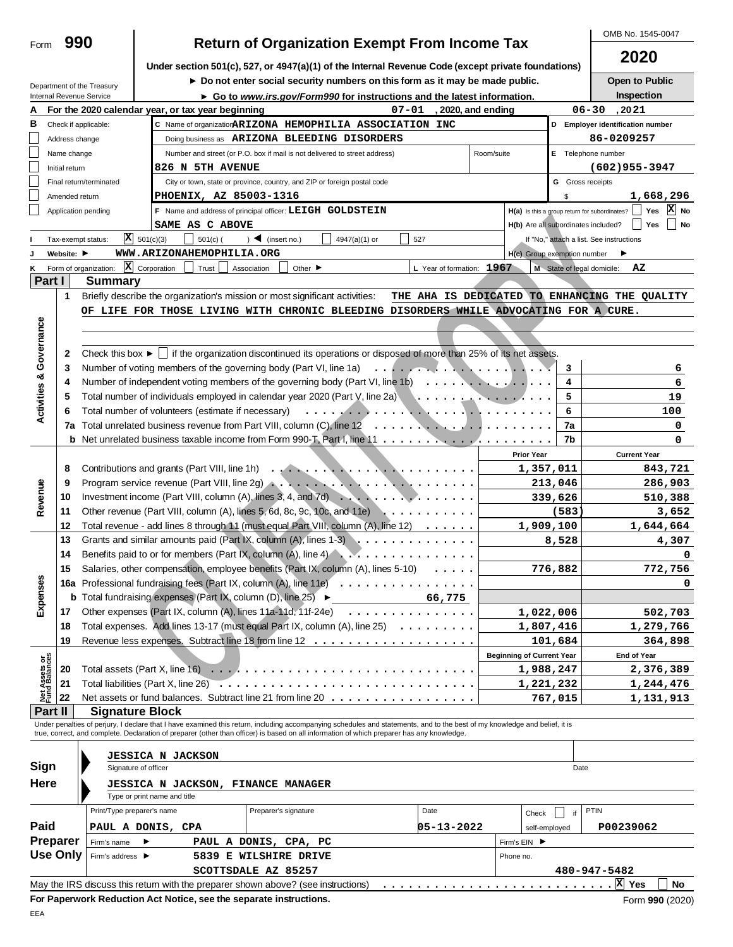| Form                           | 990            |                                                        |                                   |                                                   | <b>Return of Organization Exempt From Income Tax</b>                                                                                                                       |               |                           |            |                                     |                         | OMB No. 1545-0047                                                |
|--------------------------------|----------------|--------------------------------------------------------|-----------------------------------|---------------------------------------------------|----------------------------------------------------------------------------------------------------------------------------------------------------------------------------|---------------|---------------------------|------------|-------------------------------------|-------------------------|------------------------------------------------------------------|
|                                |                |                                                        |                                   |                                                   | Under section 501(c), 527, or 4947(a)(1) of the Internal Revenue Code (except private foundations)                                                                         |               |                           |            |                                     |                         | 2020                                                             |
|                                |                |                                                        |                                   |                                                   | Do not enter social security numbers on this form as it may be made public.                                                                                                |               |                           |            |                                     |                         | Open to Public                                                   |
|                                |                | Department of the Treasury<br>Internal Revenue Service |                                   |                                                   | ► Go to www.irs.gov/Form990 for instructions and the latest information.                                                                                                   |               |                           |            |                                     |                         | Inspection                                                       |
|                                |                |                                                        |                                   | For the 2020 calendar year, or tax year beginning |                                                                                                                                                                            | 07-01         | , 2020, and ending        |            |                                     |                         | 06-30<br>, 2021                                                  |
| В                              |                | Check if applicable:                                   |                                   |                                                   | C Name of organizatior ARIZONA HEMOPHILIA ASSOCIATION INC                                                                                                                  |               |                           |            |                                     |                         | D Employer identification number                                 |
|                                | Address change |                                                        |                                   |                                                   | Doing business as ARIZONA BLEEDING DISORDERS                                                                                                                               |               |                           |            |                                     |                         | 86-0209257                                                       |
|                                | Name change    |                                                        |                                   |                                                   | Number and street (or P.O. box if mail is not delivered to street address)                                                                                                 |               |                           | Room/suite |                                     |                         | E Telephone number                                               |
|                                | Initial return |                                                        |                                   | 826 N 5TH AVENUE                                  |                                                                                                                                                                            |               |                           |            |                                     |                         | $(602)955 - 3947$                                                |
|                                |                | Final return/terminated                                |                                   |                                                   | City or town, state or province, country, and ZIP or foreign postal code                                                                                                   |               |                           |            |                                     | <b>G</b> Gross receipts |                                                                  |
|                                | Amended return |                                                        |                                   | PHOENIX, AZ 85003-1316                            |                                                                                                                                                                            |               |                           |            |                                     | \$                      | 1,668,296                                                        |
|                                |                | Application pending                                    |                                   |                                                   | F Name and address of principal officer: LEIGH GOLDSTEIN                                                                                                                   |               |                           |            |                                     |                         | $ X $ No<br>H(a) Is this a group return for subordinates?<br>Yes |
|                                |                |                                                        |                                   | SAME AS C ABOVE                                   |                                                                                                                                                                            |               |                           |            | H(b) Are all subordinates included? |                         | Yes<br>No                                                        |
|                                |                | Tax-exempt status:                                     | $\overline{\mathbf{X}}$ 501(c)(3) | $501(c)$ (                                        | $\sum$ (insert no.)                                                                                                                                                        | 4947(a)(1) or | 527                       |            |                                     |                         | If "No," attach a list. See instructions                         |
|                                | Website: ▶     |                                                        |                                   | WWW.ARIZONAHEMOPHILIA.ORG                         |                                                                                                                                                                            |               |                           |            | H(c) Group exemption number         |                         |                                                                  |
| ĸ                              |                | Form of organization:                                  | $\mathbf{X}$ Corporation          | Trust                                             | Association<br>Other $\blacktriangleright$                                                                                                                                 |               | L Year of formation: 1967 |            |                                     |                         | M State of legal domicile:<br>AZ                                 |
| Part I                         |                | <b>Summary</b>                                         |                                   |                                                   |                                                                                                                                                                            |               |                           |            |                                     |                         |                                                                  |
|                                | $\mathbf{1}$   |                                                        |                                   |                                                   | Briefly describe the organization's mission or most significant activities:                                                                                                |               |                           |            |                                     |                         | THE AHA IS DEDICATED TO ENHANCING THE QUALITY                    |
|                                |                |                                                        |                                   |                                                   | OF LIFE FOR THOSE LIVING WITH CHRONIC BLEEDING DISORDERS WHILE ADVOCATING FOR A CURE.                                                                                      |               |                           |            |                                     |                         |                                                                  |
|                                |                |                                                        |                                   |                                                   |                                                                                                                                                                            |               |                           |            |                                     |                         |                                                                  |
| Activities & Governance        |                |                                                        |                                   |                                                   |                                                                                                                                                                            |               |                           |            |                                     |                         |                                                                  |
|                                | $\mathbf{2}$   |                                                        |                                   |                                                   | Check this box $\blacktriangleright$   if the organization discontinued its operations or disposed of more than 25% of its net assets.                                     |               |                           |            |                                     |                         |                                                                  |
|                                | 3<br>4         |                                                        |                                   |                                                   | Number of voting members of the governing body (Part VI, line 1a)<br>Number of independent voting members of the governing body (Part VI, line 1b)                         |               |                           |            |                                     | 3<br>4                  | 6<br>6                                                           |
|                                | 5              |                                                        |                                   |                                                   |                                                                                                                                                                            |               |                           |            |                                     | 5                       | 19                                                               |
|                                | 6              |                                                        |                                   |                                                   |                                                                                                                                                                            |               |                           |            |                                     | 6                       | 100                                                              |
|                                |                |                                                        |                                   |                                                   |                                                                                                                                                                            |               |                           |            |                                     | 7a                      | 0                                                                |
|                                |                |                                                        |                                   |                                                   |                                                                                                                                                                            |               |                           |            |                                     | 7b                      | 0                                                                |
|                                |                |                                                        |                                   |                                                   |                                                                                                                                                                            |               |                           |            | <b>Prior Year</b>                   |                         | <b>Current Year</b>                                              |
|                                | 8              |                                                        |                                   |                                                   |                                                                                                                                                                            |               |                           |            | 1,357,011                           |                         | 843,721                                                          |
|                                | 9              |                                                        |                                   |                                                   |                                                                                                                                                                            |               |                           |            |                                     | 213,046                 | 286,903                                                          |
| Revenue                        | 10             |                                                        |                                   |                                                   | Investment income (Part VIII, column (A), lines 3, 4, and 7d) $\ldots$ , $\ldots$ , $\ldots$ , $\ldots$                                                                    |               |                           |            |                                     | 339,626                 | 510,388                                                          |
|                                | 11             |                                                        |                                   |                                                   | Other revenue (Part VIII, column (A), lines 5, 6d, 8c, 9c, 10c, and 11e)                                                                                                   |               |                           |            |                                     | (583)                   | 3,652                                                            |
|                                | 12             |                                                        |                                   |                                                   | Total revenue - add lines 8 through 11 (must equal Part VIII, column (A), line 12)                                                                                         |               |                           |            | 1,909,100                           |                         | 1,644,664                                                        |
|                                | 13             |                                                        |                                   |                                                   | Grants and similar amounts paid (Part IX, column (A), lines $1-3$ )                                                                                                        |               |                           |            |                                     | 8,528                   | 4,307                                                            |
|                                | 14             |                                                        |                                   |                                                   | Benefits paid to or for members (Part IX, column (A), line 4) $\ldots$                                                                                                     |               |                           |            |                                     |                         | 0                                                                |
|                                |                |                                                        |                                   |                                                   | Salaries, other compensation, employee benefits (Part IX, column (A), lines 5-10)                                                                                          |               |                           |            |                                     | 776,882                 | 772,756                                                          |
| Expenses                       |                |                                                        |                                   |                                                   | 16a Professional fundraising fees (Part IX, column (A), line 11e)                                                                                                          |               |                           |            |                                     |                         | 0                                                                |
|                                |                |                                                        |                                   |                                                   | <b>b</b> Total fundraising expenses (Part IX, column (D), line 25) $\blacktriangleright$                                                                                   |               | 66,775                    |            |                                     |                         |                                                                  |
|                                | 17             |                                                        |                                   |                                                   | Other expenses (Part IX, column (A), lines 11a-11d, 11f-24e)                                                                                                               | .             |                           |            | 1,022,006                           |                         | 502,703                                                          |
|                                | 18             |                                                        |                                   |                                                   | Total expenses. Add lines 13-17 (must equal Part IX, column (A), line 25)                                                                                                  |               |                           |            | 1,807,416                           |                         | 1,279,766                                                        |
|                                | 19             |                                                        |                                   |                                                   |                                                                                                                                                                            |               |                           |            |                                     | 101,684                 | 364,898                                                          |
| Net Assets or<br>Fund Balances |                |                                                        |                                   |                                                   |                                                                                                                                                                            |               |                           |            | <b>Beginning of Current Year</b>    |                         | End of Year                                                      |
|                                | 20             |                                                        |                                   |                                                   |                                                                                                                                                                            |               |                           |            | 1,988,247                           |                         | 2,376,389                                                        |
|                                | 21<br>22       |                                                        |                                   |                                                   | Net assets or fund balances. Subtract line 21 from line 20                                                                                                                 |               |                           |            | 1,221,232                           |                         | 1,244,476                                                        |
| Part II                        |                | <b>Signature Block</b>                                 |                                   |                                                   |                                                                                                                                                                            |               |                           |            |                                     | 767,015                 | 1, 131, 913                                                      |
|                                |                |                                                        |                                   |                                                   | Under penalties of perjury, I declare that I have examined this return, including accompanying schedules and statements, and to the best of my knowledge and belief, it is |               |                           |            |                                     |                         |                                                                  |
|                                |                |                                                        |                                   |                                                   | true, correct, and complete. Declaration of preparer (other than officer) is based on all information of which preparer has any knowledge.                                 |               |                           |            |                                     |                         |                                                                  |
|                                |                |                                                        |                                   | <b>JESSICA N JACKSON</b>                          |                                                                                                                                                                            |               |                           |            |                                     |                         |                                                                  |
| Sign                           |                |                                                        | Signature of officer              |                                                   |                                                                                                                                                                            |               |                           |            |                                     | Date                    |                                                                  |
| Here                           |                |                                                        |                                   |                                                   | <b>JESSICA N JACKSON, FINANCE MANAGER</b>                                                                                                                                  |               |                           |            |                                     |                         |                                                                  |
|                                |                |                                                        | Type or print name and title      |                                                   |                                                                                                                                                                            |               |                           |            |                                     |                         |                                                                  |
|                                |                | Print/Type preparer's name                             |                                   |                                                   | Preparer's signature                                                                                                                                                       |               | Date                      |            | Check                               | if                      | <b>PTIN</b>                                                      |
| Paid                           |                | PAUL A DONIS, CPA                                      |                                   |                                                   |                                                                                                                                                                            |               | 05-13-2022                |            | self-employed                       |                         | P00239062                                                        |
|                                | Preparer       | Firm's name                                            |                                   |                                                   | PAUL A DONIS, CPA, PC                                                                                                                                                      |               |                           |            | Firm's EIN ▶                        |                         |                                                                  |
|                                | Use Only       | Firm's address ▶                                       |                                   |                                                   | 5839 E WILSHIRE DRIVE                                                                                                                                                      |               |                           |            | Phone no.                           |                         |                                                                  |
|                                |                |                                                        |                                   |                                                   | SCOTTSDALE AZ 85257                                                                                                                                                        |               |                           |            |                                     |                         | 480-947-5482                                                     |
|                                |                |                                                        |                                   |                                                   | May the IRS discuss this retum with the preparer shown above? (see instructions)                                                                                           |               |                           |            |                                     |                         | No                                                               |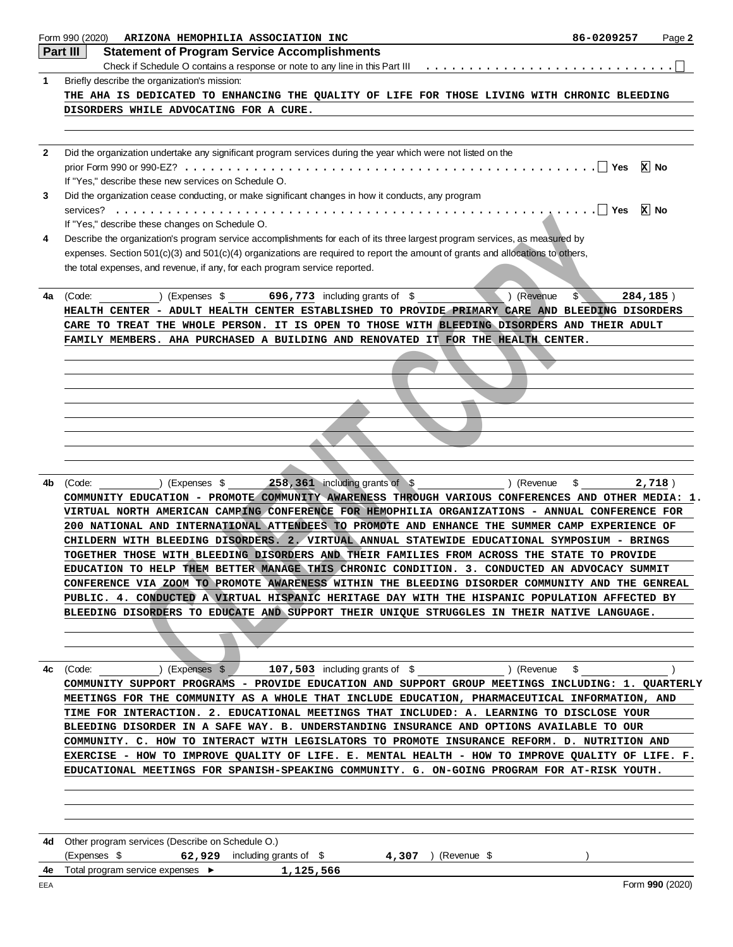|              | Form 990 (2020)<br>ARIZONA HEMOPHILIA ASSOCIATION INC                                                                                                                                    | 86-0209257                 | Page 2          |
|--------------|------------------------------------------------------------------------------------------------------------------------------------------------------------------------------------------|----------------------------|-----------------|
|              | Part III<br><b>Statement of Program Service Accomplishments</b>                                                                                                                          |                            |                 |
|              |                                                                                                                                                                                          |                            |                 |
| 1            | Briefly describe the organization's mission:                                                                                                                                             |                            |                 |
|              | THE AHA IS DEDICATED TO ENHANCING THE QUALITY OF LIFE FOR THOSE LIVING WITH CHRONIC BLEEDING                                                                                             |                            |                 |
|              | DISORDERS WHILE ADVOCATING FOR A CURE.                                                                                                                                                   |                            |                 |
|              |                                                                                                                                                                                          |                            |                 |
|              |                                                                                                                                                                                          |                            |                 |
| $\mathbf{2}$ | Did the organization undertake any significant program services during the year which were not listed on the                                                                             |                            |                 |
|              |                                                                                                                                                                                          |                            | $x$ No          |
|              | If "Yes," describe these new services on Schedule O.                                                                                                                                     |                            |                 |
| 3            | Did the organization cease conducting, or make significant changes in how it conducts, any program                                                                                       |                            |                 |
|              |                                                                                                                                                                                          |                            | $x$ No          |
|              | If "Yes," describe these changes on Schedule O.                                                                                                                                          |                            |                 |
| 4            | Describe the organization's program service accomplishments for each of its three largest program services, as measured by                                                               |                            |                 |
|              | expenses. Section 501(c)(3) and 501(c)(4) organizations are required to report the amount of grants and allocations to others,                                                           |                            |                 |
|              | the total expenses, and revenue, if any, for each program service reported.                                                                                                              |                            |                 |
|              |                                                                                                                                                                                          |                            |                 |
| 4a           | 696,773 including grants of \$<br>) (Revenue<br>(Code:<br>(Expenses \$                                                                                                                   | $\mathfrak{L}$<br>284,185) |                 |
|              | HEALTH CENTER - ADULT HEALTH CENTER ESTABLISHED TO PROVIDE PRIMARY CARE AND BLEEDING DISORDERS                                                                                           |                            |                 |
|              | CARE TO TREAT THE WHOLE PERSON. IT IS OPEN TO THOSE WITH BLEEDING DISORDERS AND THEIR ADULT<br>FAMILY MEMBERS. AHA PURCHASED A BUILDING AND RENOVATED IT FOR THE HEALTH CENTER.          |                            |                 |
|              |                                                                                                                                                                                          |                            |                 |
|              |                                                                                                                                                                                          |                            |                 |
|              |                                                                                                                                                                                          |                            |                 |
|              |                                                                                                                                                                                          |                            |                 |
|              |                                                                                                                                                                                          |                            |                 |
|              |                                                                                                                                                                                          |                            |                 |
|              |                                                                                                                                                                                          |                            |                 |
|              |                                                                                                                                                                                          |                            |                 |
|              |                                                                                                                                                                                          |                            |                 |
| 4b           | 258, 361 including grants of \$<br>(Revenue)<br>(Code:<br>) (Expenses \$                                                                                                                 | \$                         | 2,718)          |
|              | COMMUNITY EDUCATION - PROMOTE COMMUNITY AWARENESS THROUGH VARIOUS CONFERENCES AND OTHER MEDIA: 1.                                                                                        |                            |                 |
|              | VIRTUAL NORTH AMERICAN CAMPING CONFERENCE FOR HEMOPHILIA ORGANIZATIONS - ANNUAL CONFERENCE FOR                                                                                           |                            |                 |
|              | 200 NATIONAL AND INTERNATIONAL ATTENDEES TO PROMOTE AND ENHANCE THE SUMMER CAMP EXPERIENCE OF                                                                                            |                            |                 |
|              | CHILDERN WITH BLEEDING DISORDERS. 2. VIRTUAL ANNUAL STATEWIDE EDUCATIONAL SYMPOSIUM - BRINGS                                                                                             |                            |                 |
|              | TOGETHER THOSE WITH BLEEDING DISORDERS AND THEIR FAMILIES FROM ACROSS THE STATE TO PROVIDE                                                                                               |                            |                 |
|              | EDUCATION TO HELP THEM BETTER MANAGE THIS CHRONIC CONDITION. 3. CONDUCTED AN ADVOCACY SUMMIT                                                                                             |                            |                 |
|              | CONFERENCE VIA ZOOM TO PROMOTE AWARENESS WITHIN THE BLEEDING DISORDER COMMUNITY AND THE GENREAL                                                                                          |                            |                 |
|              | PUBLIC. 4. CONDUCTED A VIRTUAL HISPANIC HERITAGE DAY WITH THE HISPANIC POPULATION AFFECTED BY                                                                                            |                            |                 |
|              | BLEEDING DISORDERS TO EDUCATE AND SUPPORT THEIR UNIQUE STRUGGLES IN THEIR NATIVE LANGUAGE.                                                                                               |                            |                 |
|              |                                                                                                                                                                                          |                            |                 |
|              |                                                                                                                                                                                          |                            |                 |
|              |                                                                                                                                                                                          |                            |                 |
| 4c           | 107,503 including grants of \$ ) (Revenue \$<br>(Code: ) (Expenses \$                                                                                                                    |                            |                 |
|              | COMMUNITY SUPPORT PROGRAMS - PROVIDE EDUCATION AND SUPPORT GROUP MEETINGS INCLUDING: 1. QUARTERLY                                                                                        |                            |                 |
|              | MEETINGS FOR THE COMMUNITY AS A WHOLE THAT INCLUDE EDUCATION, PHARMACEUTICAL INFORMATION, AND                                                                                            |                            |                 |
|              | TIME FOR INTERACTION. 2. EDUCATIONAL MEETINGS THAT INCLUDED: A. LEARNING TO DISCLOSE YOUR                                                                                                |                            |                 |
|              | BLEEDING DISORDER IN A SAFE WAY. B. UNDERSTANDING INSURANCE AND OPTIONS AVAILABLE TO OUR<br>COMMUNITY. C. HOW TO INTERACT WITH LEGISLATORS TO PROMOTE INSURANCE REFORM. D. NUTRITION AND |                            |                 |
|              | EXERCISE - HOW TO IMPROVE QUALITY OF LIFE. E. MENTAL HEALTH - HOW TO IMPROVE QUALITY OF LIFE. F.                                                                                         |                            |                 |
|              | EDUCATIONAL MEETINGS FOR SPANISH-SPEAKING COMMUNITY. G. ON-GOING PROGRAM FOR AT-RISK YOUTH.                                                                                              |                            |                 |
|              |                                                                                                                                                                                          |                            |                 |
|              |                                                                                                                                                                                          |                            |                 |
|              |                                                                                                                                                                                          |                            |                 |
|              |                                                                                                                                                                                          |                            |                 |
| 4d           | Other program services (Describe on Schedule O.)                                                                                                                                         |                            |                 |
|              | (Expenses \$<br>62,929 including grants of $\$ 4,307 ) (Revenue $\$                                                                                                                      |                            |                 |
| 4e           | Total program service expenses ▶<br>1,125,566                                                                                                                                            |                            |                 |
|              |                                                                                                                                                                                          |                            | Form 990 (2020) |
| EEA          |                                                                                                                                                                                          |                            |                 |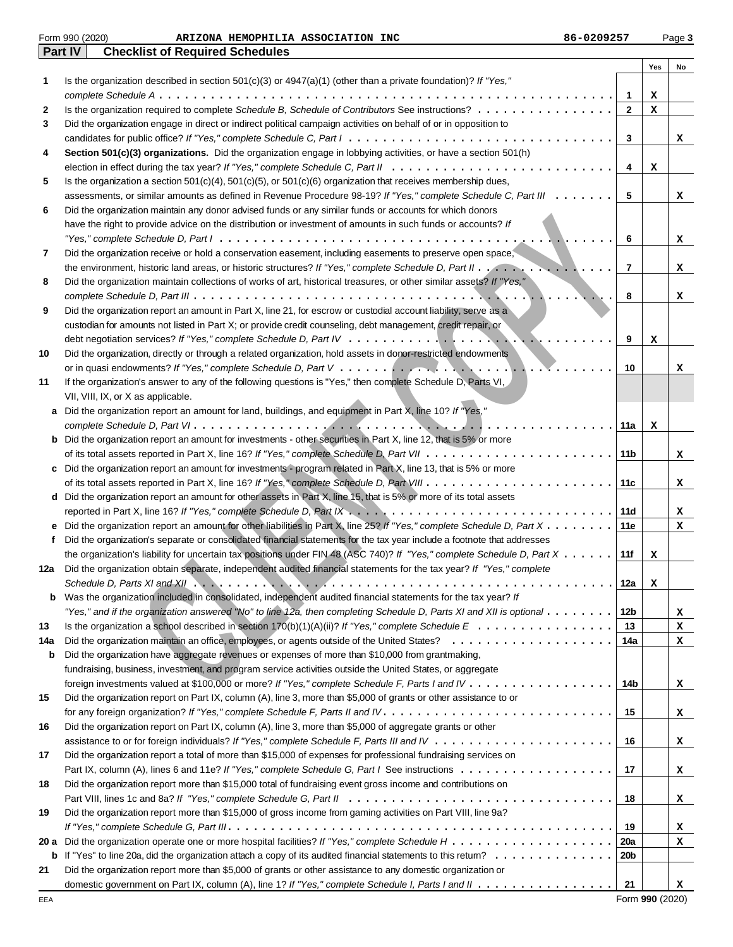|      | Part IV<br><b>Checklist of Required Schedules</b>                                                                                         |                |     |    |
|------|-------------------------------------------------------------------------------------------------------------------------------------------|----------------|-----|----|
|      |                                                                                                                                           |                | Yes | No |
| 1    | Is the organization described in section $501(c)(3)$ or $4947(a)(1)$ (other than a private foundation)? If "Yes,"                         |                |     |    |
|      |                                                                                                                                           | 1              | x   |    |
| 2    | Is the organization required to complete Schedule B, Schedule of Contributors See instructions?                                           | $\mathbf{2}$   | x   |    |
| 3    | Did the organization engage in direct or indirect political campaign activities on behalf of or in opposition to                          |                |     |    |
|      |                                                                                                                                           | 3              |     | x  |
| 4    | Section 501(c)(3) organizations. Did the organization engage in lobbying activities, or have a section 501(h)                             |                |     |    |
|      |                                                                                                                                           | 4              |     |    |
|      |                                                                                                                                           |                | x   |    |
| 5    | Is the organization a section $501(c)(4)$ , $501(c)(5)$ , or $501(c)(6)$ organization that receives membership dues,                      |                |     |    |
|      | assessments, or similar amounts as defined in Revenue Procedure 98-19? If "Yes," complete Schedule C, Part III                            | 5              |     | x  |
| 6    | Did the organization maintain any donor advised funds or any similar funds or accounts for which donors                                   |                |     |    |
|      | have the right to provide advice on the distribution or investment of amounts in such funds or accounts? If                               |                |     |    |
|      |                                                                                                                                           | 6              |     | x  |
| 7    | Did the organization receive or hold a conservation easement, including easements to preserve open space,                                 |                |     |    |
|      |                                                                                                                                           | $\overline{7}$ |     | x  |
| 8    | Did the organization maintain collections of works of art, historical treasures, or other similar assets? If "Yes,"                       |                |     |    |
|      |                                                                                                                                           | 8              |     | x  |
| 9    | Did the organization report an amount in Part X, line 21, for escrow or custodial account liability, serve as a                           |                |     |    |
|      | custodian for amounts not listed in Part X; or provide credit counseling, debt management, credit repair, or                              |                |     |    |
|      |                                                                                                                                           | 9              | х   |    |
| 10   | Did the organization, directly or through a related organization, hold assets in donor-restricted endowments                              |                |     |    |
|      |                                                                                                                                           | 10             |     | x  |
| 11   | If the organization's answer to any of the following questions is "Yes," then complete Schedule D, Parts VI,                              |                |     |    |
|      | VII, VIII, IX, or X as applicable.                                                                                                        |                |     |    |
| a    | Did the organization report an amount for land, buildings, and equipment in Part $\overline{X}$ , line 10? If "Yes,"                      |                |     |    |
|      |                                                                                                                                           | 11a            | x   |    |
| b    | Did the organization report an amount for investments - other securities in Part X, line 12, that is 5% or more                           |                |     |    |
|      |                                                                                                                                           | 11b            |     | x  |
|      | Did the organization report an amount for investments - program related in Part X, line 13, that is 5% or more                            |                |     |    |
| c    |                                                                                                                                           |                |     |    |
|      |                                                                                                                                           | 11c            |     | x  |
|      | d Did the organization report an amount for other assets in Part X, line 15, that is 5% or more of its total assets                       |                |     |    |
|      |                                                                                                                                           | 11d            |     | x  |
| е    | Did the organization report an amount for other liabilities in Part X, line 25? If "Yes," complete Schedule D, Part X                     | 11e            |     | x  |
| f    | Did the organization's separate or consolidated financial statements for the tax year include a footnote that addresses                   |                |     |    |
|      | the organization's liability for uncertain tax positions under FIN 48 (ASC 740)? If "Yes," complete Schedule D, Part X                    | 11f            | x   |    |
| 12a  | Did the organization obtain separate, independent audited financial statements for the tax year? If "Yes," complete                       |                |     |    |
|      |                                                                                                                                           | 12a            | X   |    |
| b    | Was the organization included in consolidated, independent audited financial statements for the tax year? If                              |                |     |    |
|      | "Yes," and if the organization answered "No" to line 12a, then completing Schedule D, Parts XI and XII is optional $\ldots \ldots \ldots$ | 12b            |     | x  |
| 13   |                                                                                                                                           | 13             |     | x  |
| 14a  |                                                                                                                                           | 14a            |     | x  |
| b    | Did the organization have aggregate revenues or expenses of more than \$10,000 from grantmaking,                                          |                |     |    |
|      | fundraising, business, investment, and program service activities outside the United States, or aggregate                                 |                |     |    |
|      |                                                                                                                                           | 14b            |     | x  |
| 15   | Did the organization report on Part IX, column (A), line 3, more than \$5,000 of grants or other assistance to or                         |                |     |    |
|      |                                                                                                                                           | 15             |     | x  |
| 16   | Did the organization report on Part IX, column (A), line 3, more than \$5,000 of aggregate grants or other                                |                |     |    |
|      |                                                                                                                                           | 16             |     | x  |
| 17   | Did the organization report a total of more than \$15,000 of expenses for professional fundraising services on                            |                |     |    |
|      |                                                                                                                                           | 17             |     | x  |
| 18   | Did the organization report more than \$15,000 total of fundraising event gross income and contributions on                               |                |     |    |
|      |                                                                                                                                           | 18             |     |    |
|      |                                                                                                                                           |                |     | x  |
| 19   | Did the organization report more than \$15,000 of gross income from gaming activities on Part VIII, line 9a?                              |                |     |    |
|      |                                                                                                                                           | 19             |     | x  |
| 20 a |                                                                                                                                           | 20a            |     | x  |
| b    |                                                                                                                                           | <b>20b</b>     |     |    |
| 21   | Did the organization report more than \$5,000 of grants or other assistance to any domestic organization or                               |                |     |    |
|      | domestic government on Part IX, column (A), line 1? If "Yes," complete Schedule I, Parts I and II                                         | 21             |     | x  |

Form 990 (2020) Page **3**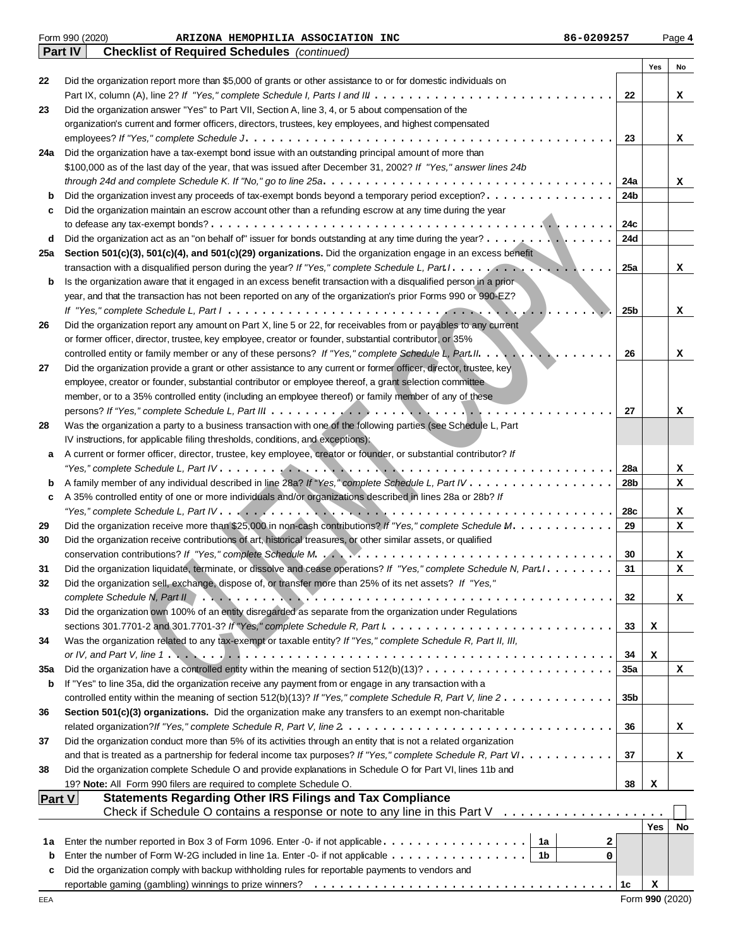|               | Form 990 (2020)<br>86-0209257<br>ARIZONA HEMOPHILIA ASSOCIATION INC                                                                                                                      |                 |            | Page 4 |
|---------------|------------------------------------------------------------------------------------------------------------------------------------------------------------------------------------------|-----------------|------------|--------|
|               | <b>Checklist of Required Schedules</b> (continued)<br><b>Part IV</b>                                                                                                                     |                 |            |        |
|               |                                                                                                                                                                                          |                 | Yes        | No     |
| 22            | Did the organization report more than \$5,000 of grants or other assistance to or for domestic individuals on                                                                            | 22              |            |        |
| 23            | Did the organization answer "Yes" to Part VII, Section A, line 3, 4, or 5 about compensation of the                                                                                      |                 |            | x      |
|               | organization's current and former officers, directors, trustees, key employees, and highest compensated                                                                                  |                 |            |        |
|               |                                                                                                                                                                                          | 23              |            | x      |
| 24a           | Did the organization have a tax-exempt bond issue with an outstanding principal amount of more than                                                                                      |                 |            |        |
|               | \$100,000 as of the last day of the year, that was issued after December 31, 2002? If "Yes," answer lines 24b                                                                            |                 |            |        |
|               |                                                                                                                                                                                          | 24a             |            | x      |
| b             | Did the organization invest any proceeds of tax-exempt bonds beyond a temporary period exception?                                                                                        | 24b             |            |        |
| c             | Did the organization maintain an escrow account other than a refunding escrow at any time during the year                                                                                |                 |            |        |
|               |                                                                                                                                                                                          | 24c             |            |        |
| d             | Did the organization act as an "on behalf of" issuer for bonds outstanding at any time during the year? ,                                                                                | 24d             |            |        |
| 25a           | Section 501(c)(3), 501(c)(4), and 501(c)(29) organizations. Did the organization engage in an excess benefit                                                                             |                 |            |        |
|               |                                                                                                                                                                                          | 25a             |            | x      |
| b             | Is the organization aware that it engaged in an excess benefit transaction with a disqualified person in a prior                                                                         |                 |            |        |
|               | year, and that the transaction has not been reported on any of the organization's prior Forms 990 or 990-EZ?                                                                             |                 |            |        |
|               |                                                                                                                                                                                          | 25b             |            | x      |
| 26            | Did the organization report any amount on Part X, line 5 or 22, for receivables from or payables to any current                                                                          |                 |            |        |
|               | or former officer, director, trustee, key employee, creator or founder, substantial contributor, or 35%                                                                                  |                 |            |        |
|               | controlled entity or family member or any of these persons? If "Yes," complete Schedule L, Part II.<br>$\mathcal{L}$                                                                     | 26              |            | x      |
| 27            | Did the organization provide a grant or other assistance to any current or former officer, director, trustee, key                                                                        |                 |            |        |
|               | employee, creator or founder, substantial contributor or employee thereof, a grant selection committee                                                                                   |                 |            |        |
|               | member, or to a 35% controlled entity (including an employee thereof) or family member of any of these                                                                                   |                 |            |        |
|               |                                                                                                                                                                                          | 27              |            | x      |
| 28            | Was the organization a party to a business transaction with one of the following parties (see Schedule L, Part                                                                           |                 |            |        |
|               | IV instructions, for applicable filing thresholds, conditions, and exceptions).                                                                                                          |                 |            |        |
| а             | A current or former officer, director, trustee, key employee, creator or founder, or substantial contributor? If                                                                         |                 |            |        |
|               |                                                                                                                                                                                          | 28a             |            | x      |
| b             | A family member of any individual described in line 28a? If "Yes," complete Schedule L, Part IV                                                                                          | 28b             |            | x      |
| c             | A 35% controlled entity of one or more individuals and/or organizations described in lines 28a or 28b? If                                                                                |                 |            |        |
|               |                                                                                                                                                                                          | 28c             |            | x      |
| 29            | Did the organization receive more than \$25,000 in non-cash contributions? If "Yes," complete Schedule M.                                                                                | 29              |            | x      |
| 30            | Did the organization receive contributions of art, historical treasures, or other similar assets, or qualified                                                                           |                 |            |        |
|               |                                                                                                                                                                                          | 30              |            | x      |
| 31            | Did the organization liquidate, terminate, or dissolve and cease operations? If "Yes," complete Schedule N, Part I.                                                                      | 31              |            | x      |
| 32            | Did the organization sell, exchange, dispose of, or transfer more than 25% of its net assets? If "Yes,"                                                                                  |                 |            |        |
| 33            | Did the organization own 100% of an entity disregarded as separate from the organization under Regulations                                                                               | 32              |            | x      |
|               | sections 301.7701-2 and 301.7701-3? If "Yes," complete Schedule R, Part $l : \ldots : \ldots : \ldots : \ldots : \ldots : \ldots : \ldots$                                               | 33              | х          |        |
| 34            | Was the organization related to any tax-exempt or taxable entity? If "Yes," complete Schedule R, Part II, III,                                                                           |                 |            |        |
|               | or IV, and Part V, line 1. $\dots$ , $\dots$ , $\dots$ , $\dots$ , $\dots$ , $\dots$ , $\dots$ , $\dots$ , $\dots$ , $\dots$ , $\dots$ , $\dots$ , $\dots$ , $\dots$ , $\dots$ , $\dots$ | 34              | х          |        |
| 35a           | Did the organization have a controlled entity within the meaning of section $512(b)(13)? \ldots \ldots \ldots \ldots \ldots \ldots \ldots$                                               | 35a             |            | x      |
| b             | If "Yes" to line 35a, did the organization receive any payment from or engage in any transaction with a                                                                                  |                 |            |        |
|               | controlled entity within the meaning of section 512(b)(13)? If "Yes," complete Schedule R, Part V, line $2 \ldots \ldots \ldots \ldots$                                                  | 35 <sub>b</sub> |            |        |
| 36            | Section 501(c)(3) organizations. Did the organization make any transfers to an exempt non-charitable                                                                                     |                 |            |        |
|               |                                                                                                                                                                                          | 36              |            | x      |
| 37            | Did the organization conduct more than 5% of its activities through an entity that is not a related organization                                                                         |                 |            |        |
|               |                                                                                                                                                                                          | 37              |            | x      |
| 38            | Did the organization complete Schedule O and provide explanations in Schedule O for Part VI, lines 11b and                                                                               |                 |            |        |
|               | 19? Note: All Form 990 filers are required to complete Schedule O.                                                                                                                       | 38              | х          |        |
| <b>Part V</b> | <b>Statements Regarding Other IRS Filings and Tax Compliance</b>                                                                                                                         |                 |            |        |
|               | Check if Schedule O contains a response or note to any line in this Part $V_1, \ldots, \ldots, \ldots, \ldots, \ldots$                                                                   |                 |            |        |
|               |                                                                                                                                                                                          |                 | <b>Yes</b> | No     |
| 1a            | 1a<br>Enter the number reported in Box 3 of Form 1096. Enter -0- if not applicable<br>2                                                                                                  |                 |            |        |
| b             | Enter the number of Form W-2G included in line 1a. Enter -0- if not applicable<br>  1b<br>0                                                                                              |                 |            |        |
| c             | Did the organization comply with backup withholding rules for reportable payments to vendors and                                                                                         |                 |            |        |
|               |                                                                                                                                                                                          | 1c              | x          |        |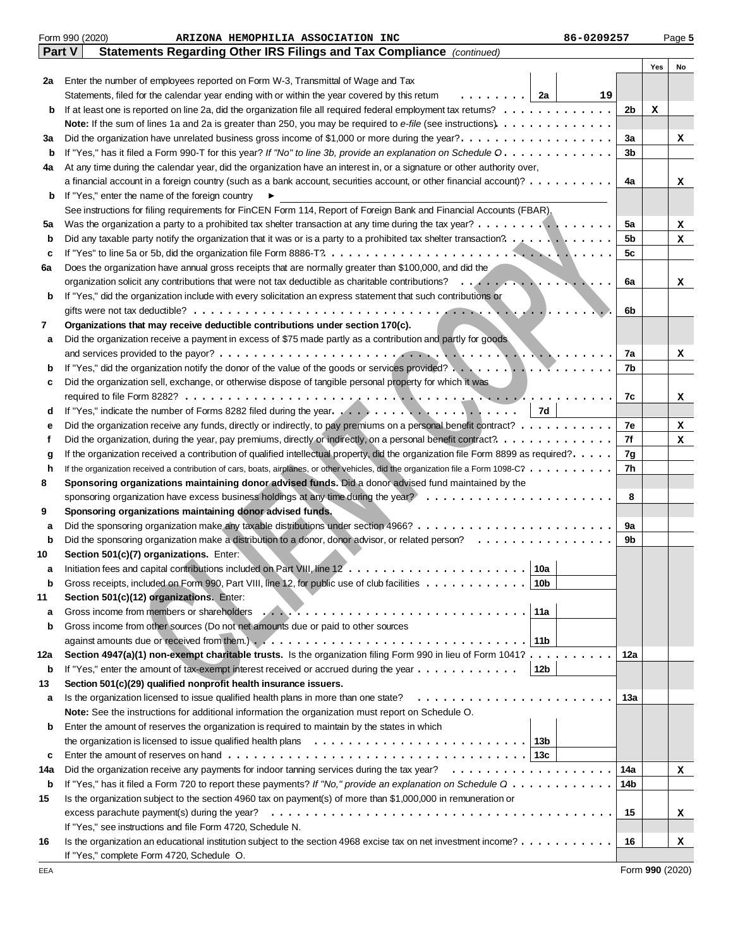|             | Form 990 (2020)<br>86-0209257<br>ARIZONA HEMOPHILIA ASSOCIATION INC                                                                                                                                                                   |     |     | Page 5 |
|-------------|---------------------------------------------------------------------------------------------------------------------------------------------------------------------------------------------------------------------------------------|-----|-----|--------|
|             | Part V<br>Statements Regarding Other IRS Filings and Tax Compliance (continued)                                                                                                                                                       |     |     |        |
|             |                                                                                                                                                                                                                                       |     | Yes | No     |
| 2a          | Enter the number of employees reported on Form W-3, Transmittal of Wage and Tax                                                                                                                                                       |     |     |        |
|             | Statements, filed for the calendar year ending with or within the year covered by this retum<br>.   2a                                                                                                                                | 19  |     |        |
| b           |                                                                                                                                                                                                                                       | 2b  | х   |        |
|             | Note: If the sum of lines 1a and 2a is greater than 250, you may be required to e-file (see instructions).                                                                                                                            |     |     |        |
| За          | Did the organization have unrelated business gross income of \$1,000 or more during the year?                                                                                                                                         | За  |     | x      |
| b           | If "Yes," has it filed a Form 990-T for this year? If "No" to line 3b, provide an explanation on Schedule O.                                                                                                                          | 3b  |     |        |
| 4a          | At any time during the calendar year, did the organization have an interest in, or a signature or other authority over,                                                                                                               |     |     |        |
|             | a financial account in a foreign country (such as a bank account, securities account, or other financial account)?                                                                                                                    | 4a  |     | x      |
| b           | If "Yes," enter the name of the foreign country                                                                                                                                                                                       |     |     |        |
|             | See instructions for filing requirements for FinCEN Form 114, Report of Foreign Bank and Financial Accounts (FBAR).                                                                                                                   |     |     |        |
| 5a          | Was the organization a party to a prohibited tax shelter transaction at any time during the tax year?                                                                                                                                 | 5a  |     | x      |
| b           | Did any taxable party notify the organization that it was or is a party to a prohibited tax shelter transaction? $\ldots \ldots$                                                                                                      | 5b  |     | x      |
| c           |                                                                                                                                                                                                                                       | 5c  |     |        |
| 6a          | Does the organization have annual gross receipts that are normally greater than \$100,000, and did the                                                                                                                                |     |     |        |
|             |                                                                                                                                                                                                                                       | 6a  |     | x      |
| b           | If "Yes," did the organization include with every solicitation an express statement that such contributions or                                                                                                                        |     |     |        |
|             |                                                                                                                                                                                                                                       | 6b  |     |        |
| 7           | Organizations that may receive deductible contributions under section 170(c).                                                                                                                                                         |     |     |        |
|             | Did the organization receive a payment in excess of \$75 made partly as a contribution and partly for goods                                                                                                                           |     |     |        |
| а           |                                                                                                                                                                                                                                       |     |     |        |
|             | If "Yes," did the organization notify the donor of the value of the goods or services provided?                                                                                                                                       | 7a  |     | x      |
| b           |                                                                                                                                                                                                                                       | 7b  |     |        |
| c           | Did the organization sell, exchange, or otherwise dispose of tangible personal property for which it was                                                                                                                              |     |     |        |
|             |                                                                                                                                                                                                                                       | 7c  |     | x      |
| d           | 7d                                                                                                                                                                                                                                    |     |     |        |
| е           | Did the organization receive any funds, directly or indirectly, to pay premiums on a personal benefit contract?                                                                                                                       | 7e  |     | x      |
| f           |                                                                                                                                                                                                                                       | 7f  |     | x      |
| g           | If the organization received a contribution of qualified intellectual property, did the organization file Form 8899 as required?.                                                                                                     | 7g  |     |        |
| h           | If the organization received a contribution of cars, boats, airplanes, or other vehicles, did the organization file a Form 1098-C?                                                                                                    | 7h  |     |        |
| 8           | Sponsoring organizations maintaining donor advised funds. Did a donor advised fund maintained by the                                                                                                                                  |     |     |        |
|             |                                                                                                                                                                                                                                       | 8   |     |        |
| 9           | Sponsoring organizations maintaining donor advised funds.                                                                                                                                                                             |     |     |        |
| а           |                                                                                                                                                                                                                                       | 9а  |     |        |
| $\mathbf b$ | Did the sponsoring organization make a distribution to a donor, donor advisor, or related person?                                                                                                                                     | 9b  |     |        |
| 10          | Section 501(c)(7) organizations. Enter:                                                                                                                                                                                               |     |     |        |
|             | 10a<br>Initiation fees and capital contributions included on Part VIII, line 12                                                                                                                                                       |     |     |        |
| b           | Gross receipts, included on Form 990, Part VIII, line 12, for public use of club facilities<br>10b                                                                                                                                    |     |     |        |
| 11          | Section 501(c)(12) organizations. Enter:                                                                                                                                                                                              |     |     |        |
| а           | Gross income from members or shareholders (e.g., e.g., e.g., e.g., e.g., e.g., e.g., e.g., e.g., e.g., e.g., e.g., e.g., e.g., e.g., e.g., e.g., e.g., e.g., e.g., e.g., e.g., e.g., e.g., e.g., e.g., e.g., e.g., e.g., e.g.,<br>11a |     |     |        |
| b           | Gross income from other sources (Do not net amounts due or paid to other sources                                                                                                                                                      |     |     |        |
|             | 11b                                                                                                                                                                                                                                   |     |     |        |
| 12a         | Section 4947(a)(1) non-exempt charitable trusts. Is the organization filing Form 990 in lieu of Form 1041?                                                                                                                            | 12a |     |        |
| b           | If "Yes," enter the amount of tax-exempt interest received or accrued during the year $\dots \dots \dots \dots$<br>12 <sub>b</sub>                                                                                                    |     |     |        |
| 13          | Section 501(c)(29) qualified nonprofit health insurance issuers.                                                                                                                                                                      |     |     |        |
| а           | Is the organization licensed to issue qualified health plans in more than one state?                                                                                                                                                  | 13а |     |        |
|             | Note: See the instructions for additional information the organization must report on Schedule O.                                                                                                                                     |     |     |        |
| b           | Enter the amount of reserves the organization is required to maintain by the states in which                                                                                                                                          |     |     |        |
|             | the organization is licensed to issue qualified health plans $\ldots \ldots \ldots \ldots \ldots \ldots \ldots \ldots$<br>13b                                                                                                         |     |     |        |
| c           |                                                                                                                                                                                                                                       |     |     |        |
| 14a         |                                                                                                                                                                                                                                       | 14a |     | x      |
| b           | If "Yes," has it filed a Form 720 to report these payments? If "No," provide an explanation on Schedule Q                                                                                                                             | 14b |     |        |
| 15          | Is the organization subject to the section 4960 tax on payment(s) of more than \$1,000,000 in remuneration or                                                                                                                         |     |     |        |
|             |                                                                                                                                                                                                                                       | 15  |     | x      |
|             | If "Yes," see instructions and file Form 4720, Schedule N.                                                                                                                                                                            |     |     |        |
|             | Is the organization an educational institution subject to the section 4968 excise tax on net investment income?                                                                                                                       | 16  |     |        |
| 16          |                                                                                                                                                                                                                                       |     |     | x      |
|             | If "Yes," complete Form 4720, Schedule O.                                                                                                                                                                                             |     |     |        |

Form **990** (2020)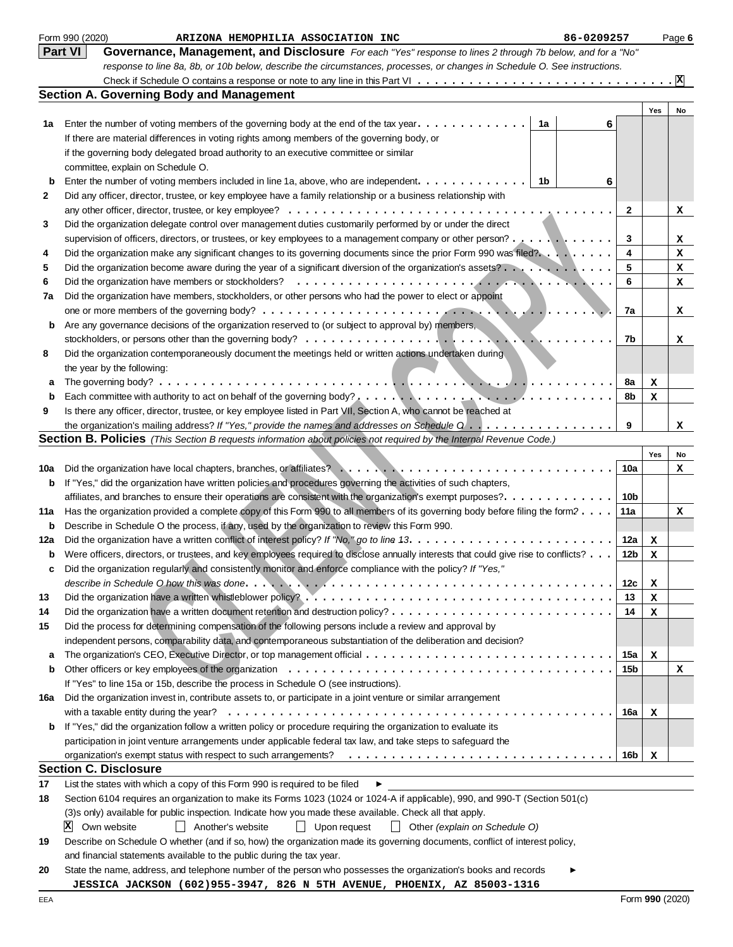|     | Form 990 (2020)<br>86-0209257<br>ARIZONA HEMOPHILIA ASSOCIATION INC                                                                                                                                               |                 |     | Page 6 |
|-----|-------------------------------------------------------------------------------------------------------------------------------------------------------------------------------------------------------------------|-----------------|-----|--------|
|     | <b>Part VI</b><br>Governance, Management, and Disclosure For each "Yes" response to lines 2 through 7b below, and for a "No"                                                                                      |                 |     |        |
|     | response to line 8a, 8b, or 10b below, describe the circumstances, processes, or changes in Schedule O. See instructions.                                                                                         |                 |     |        |
|     |                                                                                                                                                                                                                   |                 |     |        |
|     | <b>Section A. Governing Body and Management</b>                                                                                                                                                                   |                 |     |        |
|     |                                                                                                                                                                                                                   |                 | Yes | No     |
| 1a  | Enter the number of voting members of the governing body at the end of the tax year.<br>1a<br>6                                                                                                                   |                 |     |        |
|     | If there are material differences in voting rights among members of the governing body, or                                                                                                                        |                 |     |        |
|     | if the governing body delegated broad authority to an executive committee or similar                                                                                                                              |                 |     |        |
|     | committee, explain on Schedule O.                                                                                                                                                                                 |                 |     |        |
| b   | Enter the number of voting members included in line 1a, above, who are independent. .<br>1b<br>6<br>$\frac{1}{2}$ . $\frac{1}{2}$ . $\frac{1}{2}$ . $\frac{1}{2}$ . $\frac{1}{2}$ . $\frac{1}{2}$ . $\frac{1}{2}$ |                 |     |        |
| 2   | Did any officer, director, trustee, or key employee have a family relationship or a business relationship with                                                                                                    |                 |     |        |
|     |                                                                                                                                                                                                                   | 2               |     | x      |
| 3   | Did the organization delegate control over management duties customarily performed by or under the direct                                                                                                         |                 |     |        |
|     | supervision of officers, directors, or trustees, or key employees to a management company or other person?                                                                                                        | 3               |     | x      |
| 4   | Did the organization make any significant changes to its governing documents since the prior Form 990 was filed?                                                                                                  | 4               |     | x      |
| 5   | Did the organization become aware during the year of a significant diversion of the organization's assets? $\dots$ , $\dots$                                                                                      | 5               |     | x      |
| 6   |                                                                                                                                                                                                                   | 6               |     | x      |
| 7a  | Did the organization have members, stockholders, or other persons who had the power to elect or appoint                                                                                                           |                 |     |        |
|     |                                                                                                                                                                                                                   | 7a              |     | x      |
| b   | Are any governance decisions of the organization reserved to (or subject to approval by) members,                                                                                                                 |                 |     |        |
|     | $\blacksquare$ . The $\ldots$                                                                                                                                                                                     | 7b              |     | x      |
| 8   | Did the organization contemporaneously document the meetings held or written actions undertaken during                                                                                                            |                 |     |        |
|     | the year by the following:                                                                                                                                                                                        |                 |     |        |
| а   |                                                                                                                                                                                                                   | 8a              | x   |        |
| b   |                                                                                                                                                                                                                   | 8b              | х   |        |
| 9   | Is there any officer, director, trustee, or key employee listed in Part VII, Section A, who cannot be reached at                                                                                                  |                 |     |        |
|     | the organization's mailing address? If "Yes," provide the names and addresses on Schedule $0$                                                                                                                     | 9               |     | x      |
|     | <b>Section B. Policies</b> (This Section B requests information about policies not required by the Internal Revenue Code.)                                                                                        |                 |     |        |
|     |                                                                                                                                                                                                                   |                 | Yes | No     |
| 10a | Did the organization have local chapters, branches, or affiliates?                                                                                                                                                | 10a             |     | x      |
| b   | If "Yes," did the organization have written policies and procedures governing the activities of such chapters,                                                                                                    |                 |     |        |
|     | affiliates, and branches to ensure their operations are consistent with the organization's exempt purposes?                                                                                                       | 10b             |     |        |
| 11a | Has the organization provided a complete copy of this Form 990 to all members of its governing body before filing the form?                                                                                       | 11a             |     | x      |
| b   | Describe in Schedule O the process, if any, used by the organization to review this Form 990.                                                                                                                     |                 |     |        |
| 12a | Did the organization have a written conflict of interest policy? If "No," go to line 13.                                                                                                                          | 12a             | x   |        |
| b   | Were officers, directors, or trustees, and key employees required to disclose annually interests that could give rise to conflicts?                                                                               | 12 <sub>b</sub> | x   |        |
|     | Did the organization regularly and consistently monitor and enforce compliance with the policy? If "Yes,"                                                                                                         |                 |     |        |
|     |                                                                                                                                                                                                                   | 12c             | х   |        |
| 13  |                                                                                                                                                                                                                   | 13              | х   |        |
| 14  |                                                                                                                                                                                                                   | 14              | х   |        |
| 15  | Did the process for determining compensation of the following persons include a review and approval by                                                                                                            |                 |     |        |
|     | independent persons, comparability data, and contemporaneous substantiation of the deliberation and decision?                                                                                                     |                 |     |        |
| a   |                                                                                                                                                                                                                   | 15a             | x   |        |
| b   |                                                                                                                                                                                                                   | 15b             |     | x      |
|     | If "Yes" to line 15a or 15b, describe the process in Schedule O (see instructions).                                                                                                                               |                 |     |        |
| 16а | Did the organization invest in, contribute assets to, or participate in a joint venture or similar arrangement                                                                                                    |                 |     |        |
|     | with a taxable entity during the year? $\dots \dots \dots \dots \dots \dots \dots \dots \dots \dots \dots \dots \dots \dots \dots \dots \dots \dots$                                                              | 16a             | x   |        |
| b   | If "Yes," did the organization follow a written policy or procedure requiring the organization to evaluate its                                                                                                    |                 |     |        |
|     | participation in joint venture arrangements under applicable federal tax law, and take steps to safeguard the                                                                                                     |                 |     |        |
|     |                                                                                                                                                                                                                   | 16b             | x   |        |
|     | <b>Section C. Disclosure</b>                                                                                                                                                                                      |                 |     |        |
| 17  | List the states with which a copy of this Form 990 is required to be filed<br>▶                                                                                                                                   |                 |     |        |
| 18  | Section 6104 requires an organization to make its Forms 1023 (1024 or 1024-A if applicable), 990, and 990-T (Section 501(c)                                                                                       |                 |     |        |
|     | (3)s only) available for public inspection. Indicate how you made these available. Check all that apply.                                                                                                          |                 |     |        |
|     | X <br>Own website<br>Another's website<br>Upon request<br>$\perp$<br>$\perp$<br>Other (explain on Schedule O)                                                                                                     |                 |     |        |
| 19  | Describe on Schedule O whether (and if so, how) the organization made its governing documents, conflict of interest policy,                                                                                       |                 |     |        |
|     | and financial statements available to the public during the tax year.                                                                                                                                             |                 |     |        |
| 20  | State the name, address, and telephone number of the person who possesses the organization's books and records                                                                                                    |                 |     |        |
|     | JESSICA JACKSON (602)955-3947, 826 N 5TH AVENUE, PHOENIX, AZ 85003-1316                                                                                                                                           |                 |     |        |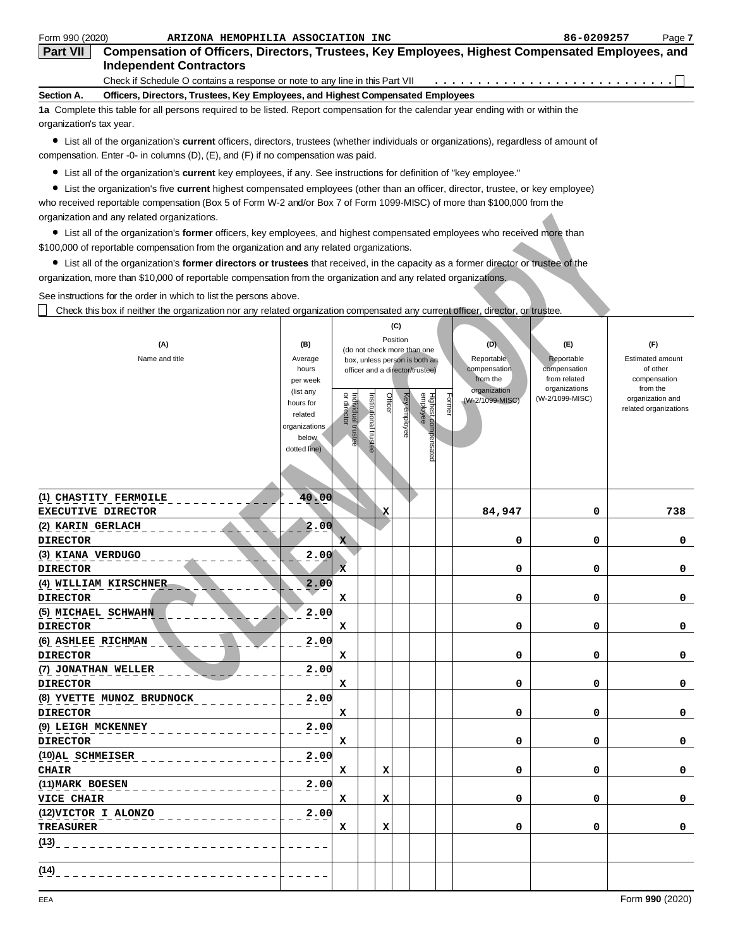| Form 990 (2020)                      | ARIZONA HEMOPHILIA ASSOCIATION INC                                                                                                                                                                                                         |                        |                                   |                       |          |                                                                  |        |                                 | 86-0209257                    | Page 7                   |
|--------------------------------------|--------------------------------------------------------------------------------------------------------------------------------------------------------------------------------------------------------------------------------------------|------------------------|-----------------------------------|-----------------------|----------|------------------------------------------------------------------|--------|---------------------------------|-------------------------------|--------------------------|
| <b>Part VII</b>                      | Compensation of Officers, Directors, Trustees, Key Employees, Highest Compensated Employees, and                                                                                                                                           |                        |                                   |                       |          |                                                                  |        |                                 |                               |                          |
|                                      | <b>Independent Contractors</b>                                                                                                                                                                                                             |                        |                                   |                       |          |                                                                  |        |                                 |                               |                          |
|                                      | Check if Schedule O contains a response or note to any line in this Part VII                                                                                                                                                               |                        |                                   |                       |          |                                                                  |        |                                 |                               |                          |
| Section A.                           | Officers, Directors, Trustees, Key Employees, and Highest Compensated Employees                                                                                                                                                            |                        |                                   |                       |          |                                                                  |        |                                 |                               |                          |
| organization's tax year.             | 1a Complete this table for all persons required to be listed. Report compensation for the calendar year ending with or within the                                                                                                          |                        |                                   |                       |          |                                                                  |        |                                 |                               |                          |
|                                      | • List all of the organization's <b>current</b> officers, directors, trustees (whether individuals or organizations), regardless of amount of<br>compensation. Enter -0- in columns $(D)$ , $(E)$ , and $(F)$ if no compensation was paid. |                        |                                   |                       |          |                                                                  |        |                                 |                               |                          |
|                                      | • List all of the organization's current key employees, if any. See instructions for definition of "key employee."                                                                                                                         |                        |                                   |                       |          |                                                                  |        |                                 |                               |                          |
|                                      | • List the organization's five current highest compensated employees (other than an officer, director, trustee, or key employee)                                                                                                           |                        |                                   |                       |          |                                                                  |        |                                 |                               |                          |
|                                      | who received reportable compensation (Box 5 of Form W-2 and/or Box 7 of Form 1099-MISC) of more than \$100,000 from the                                                                                                                    |                        |                                   |                       |          |                                                                  |        |                                 |                               |                          |
|                                      | organization and any related organizations.                                                                                                                                                                                                |                        |                                   |                       |          |                                                                  |        |                                 |                               |                          |
|                                      | • List all of the organization's former officers, key employees, and highest compensated employees who received more than                                                                                                                  |                        |                                   |                       |          |                                                                  |        |                                 |                               |                          |
|                                      | \$100,000 of reportable compensation from the organization and any related organizations.                                                                                                                                                  |                        |                                   |                       |          |                                                                  |        |                                 |                               |                          |
|                                      | • List all of the organization's former directors or trustees that received, in the capacity as a former director or trustee of the                                                                                                        |                        |                                   |                       |          |                                                                  |        |                                 |                               |                          |
|                                      | organization, more than \$10,000 of reportable compensation from the organization and any related organizations.                                                                                                                           |                        |                                   |                       |          |                                                                  |        |                                 |                               |                          |
|                                      | See instructions for the order in which to list the persons above.                                                                                                                                                                         |                        |                                   |                       |          |                                                                  |        |                                 |                               |                          |
|                                      | Check this box if neither the organization nor any related organization compensated any current officer, director, or trustee.                                                                                                             |                        |                                   |                       |          |                                                                  |        |                                 |                               |                          |
|                                      |                                                                                                                                                                                                                                            |                        |                                   |                       | (C)      |                                                                  |        |                                 |                               |                          |
|                                      |                                                                                                                                                                                                                                            |                        |                                   |                       | Position |                                                                  |        | (D)                             | $(\mathsf{F})$                | (F)                      |
|                                      | (A)<br>Name and title                                                                                                                                                                                                                      | (B)<br>Average         |                                   |                       |          | (do not check more than one                                      |        | Reportable                      | Reportable                    | <b>Estimated amount</b>  |
|                                      |                                                                                                                                                                                                                                            | hours                  |                                   |                       |          | box, unless person is both an<br>officer and a director/trustee) |        | compensation                    | compensation                  | of other                 |
|                                      |                                                                                                                                                                                                                                            | per week               |                                   |                       |          |                                                                  |        | from the                        | from related<br>organizations | compensation<br>from the |
|                                      |                                                                                                                                                                                                                                            | (list any<br>hours for | ă                                 |                       | Officer  |                                                                  | Former | organization<br>(W-2/1099-MISC) | (W-2/1099-MISC)               | organization and         |
|                                      |                                                                                                                                                                                                                                            | related                |                                   |                       |          |                                                                  |        |                                 |                               | related organizations    |
|                                      |                                                                                                                                                                                                                                            | organizations          |                                   |                       |          | Key employee                                                     |        |                                 |                               |                          |
|                                      |                                                                                                                                                                                                                                            | below<br>dotted line)  | Individual trustee<br>or director | Institutional trustee |          | Highest compensated<br>employee                                  |        |                                 |                               |                          |
|                                      |                                                                                                                                                                                                                                            |                        |                                   |                       |          |                                                                  |        |                                 |                               |                          |
|                                      |                                                                                                                                                                                                                                            |                        |                                   |                       |          |                                                                  |        |                                 |                               |                          |
|                                      |                                                                                                                                                                                                                                            |                        |                                   |                       |          |                                                                  |        |                                 |                               |                          |
|                                      | (1) CHASTITY FERMOILE                                                                                                                                                                                                                      | 40.00                  |                                   |                       |          |                                                                  |        |                                 |                               |                          |
|                                      | <b>EXECUTIVE DIRECTOR</b>                                                                                                                                                                                                                  |                        |                                   | x                     |          |                                                                  |        | 84,947                          | 0                             | 738                      |
| (2) KARIN GERLACH                    |                                                                                                                                                                                                                                            | 00<br>2                |                                   |                       |          |                                                                  |        |                                 |                               |                          |
| <b>DIRECTOR</b>                      |                                                                                                                                                                                                                                            |                        | $\mathbf{x}$                      |                       |          |                                                                  |        | 0                               | 0                             | 0                        |
| (3) KIANA VERDUGO<br><b>DIRECTOR</b> |                                                                                                                                                                                                                                            | 2.00                   |                                   |                       |          |                                                                  |        | 0                               | 0                             |                          |
|                                      | (4) WILLIAM KIRSCHNER                                                                                                                                                                                                                      | 2.00                   | x                                 |                       |          |                                                                  |        |                                 |                               | 0                        |
| <b>DIRECTOR</b>                      |                                                                                                                                                                                                                                            |                        | х                                 |                       |          |                                                                  |        | 0                               | 0                             | 0                        |
|                                      | (5) MICHAEL SCHWAHN                                                                                                                                                                                                                        | 2.00                   |                                   |                       |          |                                                                  |        |                                 |                               |                          |
| <b>DIRECTOR</b>                      |                                                                                                                                                                                                                                            |                        | х                                 |                       |          |                                                                  |        | 0                               | 0                             | 0                        |
| (6) ASHLEE RICHMAN                   |                                                                                                                                                                                                                                            | 2.00                   |                                   |                       |          |                                                                  |        |                                 |                               |                          |
| <b>DIRECTOR</b>                      |                                                                                                                                                                                                                                            |                        | х                                 |                       |          |                                                                  |        | 0                               | 0                             | 0                        |
|                                      | (7) JONATHAN WELLER                                                                                                                                                                                                                        | 2.00                   |                                   |                       |          |                                                                  |        |                                 |                               |                          |
| <b>DIRECTOR</b>                      |                                                                                                                                                                                                                                            |                        | х                                 |                       |          |                                                                  |        | 0                               | 0                             | 0                        |
|                                      | (8) YVETTE MUNOZ BRUDNOCK                                                                                                                                                                                                                  | 2.00                   |                                   |                       |          |                                                                  |        |                                 |                               |                          |
| <b>DIRECTOR</b>                      |                                                                                                                                                                                                                                            |                        | х                                 |                       |          |                                                                  |        | 0                               | 0                             | 0                        |
| (9) LEIGH MCKENNEY                   |                                                                                                                                                                                                                                            | 2.00                   |                                   |                       |          |                                                                  |        |                                 |                               |                          |
| <b>DIRECTOR</b>                      |                                                                                                                                                                                                                                            |                        | х                                 |                       |          |                                                                  |        | 0                               | 0                             | 0                        |
| (10) AL SCHMEISER                    |                                                                                                                                                                                                                                            | 2.00                   |                                   |                       |          |                                                                  |        |                                 |                               |                          |
| <b>CHAIR</b>                         |                                                                                                                                                                                                                                            |                        | х                                 |                       | х        |                                                                  |        | 0                               | 0                             | 0                        |

**VICE CHAIR**  $\begin{vmatrix} \mathbf{x} & \mathbf{x} \\ \mathbf{x} & \mathbf{x} \end{vmatrix}$  **0** 0 0 0 0

**TREASURER X X 0 0 0** 

 $- - - - -$ 

 $\frac{(14)}{6}$ 

**(13)**

**(11) MARK BOESEN 2.00** 

**(12) VICTOR I ALONZO 2.00**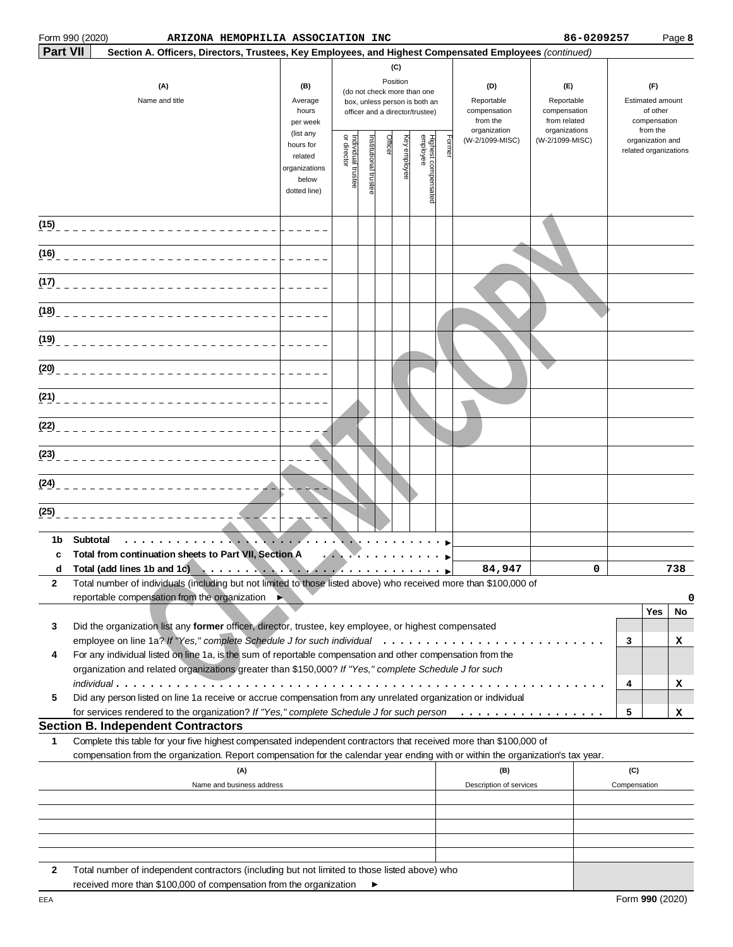### Form 990 (2020) Page **8 ARIZONA HEMOPHILIA ASSOCIATION INC 86-0209257**

| <b>Part VII</b> | Section A. Officers, Directors, Trustees, Key Employees, and Highest Compensated Employees (continued)                                                                                                                                                                                                                                                                                                                                                               |                                                                             |                                                                                                                                                    |                      | (C)                                                                                                       |  |  |                                                               |                                                                    |   |                                                                 |     |
|-----------------|----------------------------------------------------------------------------------------------------------------------------------------------------------------------------------------------------------------------------------------------------------------------------------------------------------------------------------------------------------------------------------------------------------------------------------------------------------------------|-----------------------------------------------------------------------------|----------------------------------------------------------------------------------------------------------------------------------------------------|----------------------|-----------------------------------------------------------------------------------------------------------|--|--|---------------------------------------------------------------|--------------------------------------------------------------------|---|-----------------------------------------------------------------|-----|
|                 | (A)<br>Name and title                                                                                                                                                                                                                                                                                                                                                                                                                                                |                                                                             | Position<br>(B)<br>(do not check more than one<br>Average<br>box, unless person is both an<br>hours<br>officer and a director/trustee)<br>per week |                      |                                                                                                           |  |  | (D)<br>Reportable<br>compensation<br>from the<br>organization | (E)<br>Reportable<br>compensation<br>from related<br>organizations |   | (F)<br>Estimated amount<br>of other<br>compensation<br>from the |     |
|                 |                                                                                                                                                                                                                                                                                                                                                                                                                                                                      | (list any<br>hours for<br>related<br>organizations<br>below<br>dotted line) | Individual trustee<br>or director                                                                                                                  | nstitutional trustee | Highest compensated<br>employee<br>Officer<br>Key employee<br>Forme<br>(W-2/1099-MISC)<br>(W-2/1099-MISC) |  |  | organization and<br>related organizations                     |                                                                    |   |                                                                 |     |
| (15)            | ___________________________                                                                                                                                                                                                                                                                                                                                                                                                                                          |                                                                             |                                                                                                                                                    |                      |                                                                                                           |  |  |                                                               |                                                                    |   |                                                                 |     |
| (16)            | ___________________________                                                                                                                                                                                                                                                                                                                                                                                                                                          |                                                                             |                                                                                                                                                    |                      |                                                                                                           |  |  |                                                               |                                                                    |   |                                                                 |     |
| (17)            | ___________________________                                                                                                                                                                                                                                                                                                                                                                                                                                          |                                                                             |                                                                                                                                                    |                      |                                                                                                           |  |  |                                                               |                                                                    |   |                                                                 |     |
| (18)            | ____________________________                                                                                                                                                                                                                                                                                                                                                                                                                                         |                                                                             |                                                                                                                                                    |                      |                                                                                                           |  |  |                                                               |                                                                    |   |                                                                 |     |
| (19)            | ____________________________                                                                                                                                                                                                                                                                                                                                                                                                                                         |                                                                             |                                                                                                                                                    |                      |                                                                                                           |  |  |                                                               |                                                                    |   |                                                                 |     |
| (20)            |                                                                                                                                                                                                                                                                                                                                                                                                                                                                      |                                                                             |                                                                                                                                                    |                      |                                                                                                           |  |  |                                                               |                                                                    |   |                                                                 |     |
| (21)            |                                                                                                                                                                                                                                                                                                                                                                                                                                                                      |                                                                             |                                                                                                                                                    |                      |                                                                                                           |  |  |                                                               |                                                                    |   |                                                                 |     |
| (22)            |                                                                                                                                                                                                                                                                                                                                                                                                                                                                      |                                                                             |                                                                                                                                                    |                      |                                                                                                           |  |  |                                                               |                                                                    |   |                                                                 |     |
| (23)            |                                                                                                                                                                                                                                                                                                                                                                                                                                                                      |                                                                             |                                                                                                                                                    |                      |                                                                                                           |  |  |                                                               |                                                                    |   |                                                                 |     |
| (24)            |                                                                                                                                                                                                                                                                                                                                                                                                                                                                      |                                                                             |                                                                                                                                                    |                      |                                                                                                           |  |  |                                                               |                                                                    |   |                                                                 |     |
| (25)            |                                                                                                                                                                                                                                                                                                                                                                                                                                                                      |                                                                             |                                                                                                                                                    |                      |                                                                                                           |  |  |                                                               |                                                                    |   |                                                                 |     |
| 1b<br>C         | Subtotal<br>.<br>Total from continuation sheets to Part VII, Section A                                                                                                                                                                                                                                                                                                                                                                                               |                                                                             |                                                                                                                                                    |                      |                                                                                                           |  |  |                                                               |                                                                    |   |                                                                 |     |
| d               | Total (add lines 1b and $1\bar{c}$ )<br>$\mathbf{X} = \mathbf{X} + \mathbf{X} + \mathbf{X} + \mathbf{X} + \mathbf{X} + \mathbf{X} + \mathbf{X} + \mathbf{X} + \mathbf{X} + \mathbf{X} + \mathbf{X} + \mathbf{X} + \mathbf{X} + \mathbf{X} + \mathbf{X} + \mathbf{X} + \mathbf{X} + \mathbf{X} + \mathbf{X} + \mathbf{X} + \mathbf{X} + \mathbf{X} + \mathbf{X} + \mathbf{X} + \mathbf{X} + \mathbf{X} + \mathbf{X} + \mathbf{X} + \mathbf{X} + \mathbf{X} + \mathbf$ |                                                                             |                                                                                                                                                    |                      |                                                                                                           |  |  | 84,947                                                        |                                                                    | 0 |                                                                 | 738 |
| 2               | Total number of individuals (including but not limited to those listed above) who received more than \$100,000 of<br>reportable compensation from the organization                                                                                                                                                                                                                                                                                                   |                                                                             |                                                                                                                                                    |                      |                                                                                                           |  |  |                                                               |                                                                    |   |                                                                 | 0   |
| 3               | Did the organization list any former officer, director, trustee, key employee, or highest compensated                                                                                                                                                                                                                                                                                                                                                                |                                                                             |                                                                                                                                                    |                      |                                                                                                           |  |  |                                                               |                                                                    |   | Yes                                                             | No  |
|                 |                                                                                                                                                                                                                                                                                                                                                                                                                                                                      |                                                                             |                                                                                                                                                    |                      |                                                                                                           |  |  |                                                               |                                                                    | 3 |                                                                 | x   |
| 4               | For any individual listed on line 1a, is the sum of reportable compensation and other compensation from the                                                                                                                                                                                                                                                                                                                                                          |                                                                             |                                                                                                                                                    |                      |                                                                                                           |  |  |                                                               |                                                                    |   |                                                                 |     |
|                 | organization and related organizations greater than \$150,000? If "Yes," complete Schedule J for such                                                                                                                                                                                                                                                                                                                                                                |                                                                             |                                                                                                                                                    |                      |                                                                                                           |  |  |                                                               |                                                                    |   |                                                                 |     |
| 5               | $indivial \ldots \ldots \ldots \ldots \ldots \ldots \ldots \ldots \ldots \ldots \ldots \ldots$<br>Did any person listed on line 1a receive or accrue compensation from any unrelated organization or individual                                                                                                                                                                                                                                                      |                                                                             |                                                                                                                                                    |                      |                                                                                                           |  |  |                                                               |                                                                    | 4 |                                                                 | x   |
|                 | for services rendered to the organization? If "Yes," complete Schedule J for such person                                                                                                                                                                                                                                                                                                                                                                             |                                                                             |                                                                                                                                                    |                      |                                                                                                           |  |  |                                                               |                                                                    | 5 |                                                                 | x   |
| 1               | <b>Section B. Independent Contractors</b><br>Complete this table for your five highest compensated independent contractors that received more than \$100,000 of                                                                                                                                                                                                                                                                                                      |                                                                             |                                                                                                                                                    |                      |                                                                                                           |  |  |                                                               |                                                                    |   |                                                                 |     |
|                 | compensation from the organization. Report compensation for the calendar year ending with or within the organization's tax year.                                                                                                                                                                                                                                                                                                                                     |                                                                             |                                                                                                                                                    |                      |                                                                                                           |  |  |                                                               |                                                                    |   |                                                                 |     |
|                 | (A)                                                                                                                                                                                                                                                                                                                                                                                                                                                                  |                                                                             |                                                                                                                                                    |                      |                                                                                                           |  |  | (B)                                                           |                                                                    |   | (C)                                                             |     |
|                 | Name and business address                                                                                                                                                                                                                                                                                                                                                                                                                                            |                                                                             |                                                                                                                                                    |                      |                                                                                                           |  |  | Description of services                                       |                                                                    |   | Compensation                                                    |     |
|                 |                                                                                                                                                                                                                                                                                                                                                                                                                                                                      |                                                                             |                                                                                                                                                    |                      |                                                                                                           |  |  |                                                               |                                                                    |   |                                                                 |     |
|                 |                                                                                                                                                                                                                                                                                                                                                                                                                                                                      |                                                                             |                                                                                                                                                    |                      |                                                                                                           |  |  |                                                               |                                                                    |   |                                                                 |     |
|                 |                                                                                                                                                                                                                                                                                                                                                                                                                                                                      |                                                                             |                                                                                                                                                    |                      |                                                                                                           |  |  |                                                               |                                                                    |   |                                                                 |     |
| 2               | Total number of independent contractors (including but not limited to those listed above) who                                                                                                                                                                                                                                                                                                                                                                        |                                                                             |                                                                                                                                                    |                      |                                                                                                           |  |  |                                                               |                                                                    |   |                                                                 |     |

 $\blacktriangleright$ 

received more than \$100,000 of compensation from the organization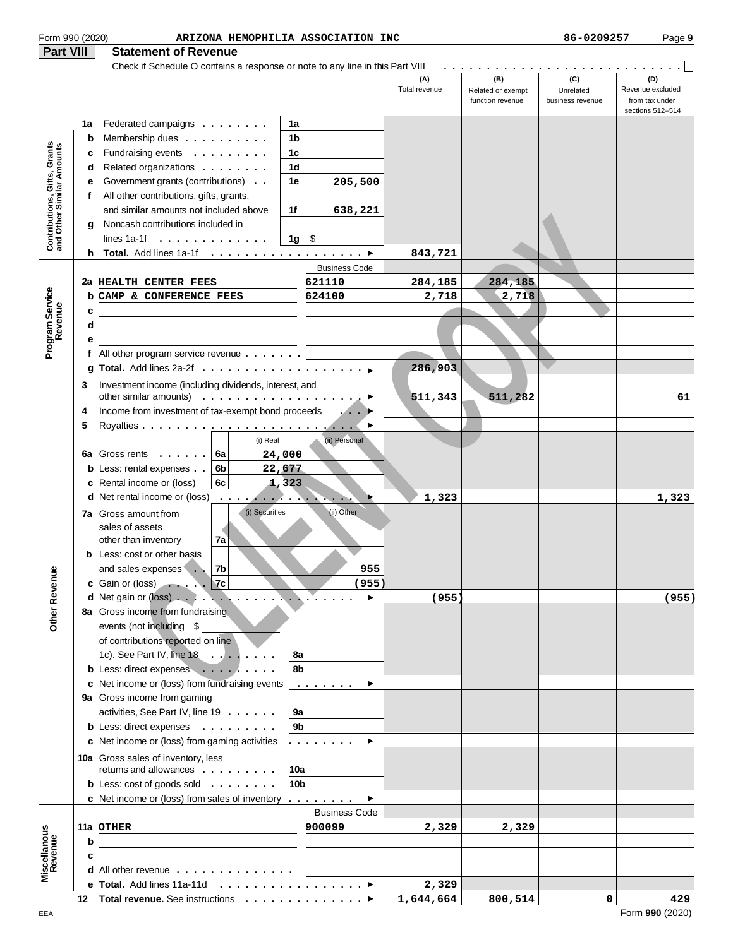| Form 990 (2020)                                           |    | ARIZONA HEMOPHILIA ASSOCIATION INC                                                                                                                      |                       |                      |                                              | 86-0209257                           | Page 9                                                        |
|-----------------------------------------------------------|----|---------------------------------------------------------------------------------------------------------------------------------------------------------|-----------------------|----------------------|----------------------------------------------|--------------------------------------|---------------------------------------------------------------|
| Part VIII                                                 |    | <b>Statement of Revenue</b>                                                                                                                             |                       |                      |                                              |                                      |                                                               |
|                                                           |    | Check if Schedule O contains a response or note to any line in this Part VIII                                                                           |                       | (A)<br>Total revenue | (B)<br>Related or exempt<br>function revenue | (C)<br>Unrelated<br>business revenue | (D)<br>Revenue excluded<br>from tax under<br>sections 512-514 |
|                                                           | 1a | Federated campaigns $\ldots$<br>1a                                                                                                                      |                       |                      |                                              |                                      |                                                               |
|                                                           | b  | Membership dues<br>1b                                                                                                                                   |                       |                      |                                              |                                      |                                                               |
|                                                           | c  | Fundraising events<br>1c                                                                                                                                |                       |                      |                                              |                                      |                                                               |
|                                                           | d  | Related organizations<br>1d                                                                                                                             |                       |                      |                                              |                                      |                                                               |
|                                                           | е  | Government grants (contributions)<br>1e                                                                                                                 | 205,500               |                      |                                              |                                      |                                                               |
|                                                           | f  | All other contributions, gifts, grants,                                                                                                                 |                       |                      |                                              |                                      |                                                               |
|                                                           |    | and similar amounts not included above<br>1f                                                                                                            | 638,221               |                      |                                              |                                      |                                                               |
| Contributions, Gifts, Grants<br>and Other Similar Amounts | g  | Noncash contributions included in                                                                                                                       |                       |                      |                                              |                                      |                                                               |
|                                                           |    | lines $1a-1f \ldots \ldots \ldots$<br>$1g \mid$ \$                                                                                                      |                       |                      |                                              |                                      |                                                               |
|                                                           | h. | Total. Add lines 1a-1f ▶                                                                                                                                |                       | 843,721              |                                              |                                      |                                                               |
|                                                           |    |                                                                                                                                                         | <b>Business Code</b>  |                      |                                              |                                      |                                                               |
|                                                           |    | 2a HEALTH CENTER FEES                                                                                                                                   | 621110                | 284,185              | 284,185                                      |                                      |                                                               |
|                                                           |    | <b>b CAMP &amp; CONFERENCE FEES</b>                                                                                                                     | 624100                | 2,718                | 2,718                                        |                                      |                                                               |
| Program Service<br>Revenue                                | c  |                                                                                                                                                         |                       |                      |                                              |                                      |                                                               |
|                                                           | d  | <u> 1989 - Johann Stoff, deutscher Stoffen und der Stoffen und der Stoffen und der Stoffen und der Stoffen und der</u>                                  |                       |                      |                                              |                                      |                                                               |
|                                                           | е  |                                                                                                                                                         |                       |                      |                                              |                                      |                                                               |
|                                                           |    | f All other program service revenue $\ldots \ldots$                                                                                                     |                       |                      |                                              |                                      |                                                               |
|                                                           |    |                                                                                                                                                         |                       | 286,903              |                                              |                                      |                                                               |
|                                                           | 3  | Investment income (including dividends, interest, and                                                                                                   |                       |                      |                                              |                                      |                                                               |
|                                                           |    | other similar amounts) $\ldots \ldots \ldots \ldots \ldots \ldots$                                                                                      |                       | 511,343              | 511,282                                      |                                      | 61                                                            |
|                                                           | 4  | Income from investment of tax-exempt bond proceeds                                                                                                      |                       |                      |                                              |                                      |                                                               |
|                                                           | 5  |                                                                                                                                                         | ▶                     |                      |                                              |                                      |                                                               |
|                                                           |    | (i) Real                                                                                                                                                | (ii) Personal         |                      |                                              |                                      |                                                               |
|                                                           |    | 6a Gross rents<br>6a<br>24,000<br>22,677<br><b>b</b> Less: rental expenses<br>6b                                                                        |                       |                      |                                              |                                      |                                                               |
|                                                           |    | c Rental income or (loss)<br>1,323<br>6с                                                                                                                |                       |                      |                                              |                                      |                                                               |
|                                                           |    | <b>d</b> Net rental income or (loss)<br>and the state of the state of the state of the state of the state of the state of the state of the state of the | Þ                     | 1,323                |                                              |                                      | 1,323                                                         |
|                                                           |    | (i) Securities                                                                                                                                          | (ii) Other            |                      |                                              |                                      |                                                               |
|                                                           |    | <b>7a</b> Gross amount from<br>sales of assets                                                                                                          |                       |                      |                                              |                                      |                                                               |
|                                                           |    | 7a<br>other than inventory                                                                                                                              |                       |                      |                                              |                                      |                                                               |
|                                                           |    | <b>b</b> Less: cost or other basis                                                                                                                      |                       |                      |                                              |                                      |                                                               |
|                                                           |    | $7\mathrm{b}$<br>and sales expenses                                                                                                                     | 955                   |                      |                                              |                                      |                                                               |
|                                                           |    | c Gain or (loss) $\ldots$ . $\sqrt{7}$                                                                                                                  | (955)                 |                      |                                              |                                      |                                                               |
|                                                           |    | d Net gain or (loss)                                                                                                                                    | ▶<br>المنتبذ والأنول  | (955)                |                                              |                                      | (955)                                                         |
| <b>Other Revenue</b>                                      |    | 8a Gross income from fundraising                                                                                                                        |                       |                      |                                              |                                      |                                                               |
|                                                           |    | events (not including \$                                                                                                                                |                       |                      |                                              |                                      |                                                               |
|                                                           |    | of contributions reported on line                                                                                                                       |                       |                      |                                              |                                      |                                                               |
|                                                           |    | 1c). See Part IV, line $18 \ldots \ldots$<br>8а                                                                                                         |                       |                      |                                              |                                      |                                                               |
|                                                           |    | b Less: direct expenses<br>8 <sub>b</sub>                                                                                                               |                       |                      |                                              |                                      |                                                               |
|                                                           |    | c Net income or (loss) from fundraising events                                                                                                          | .<br>▶                |                      |                                              |                                      |                                                               |
|                                                           |    | 9a Gross income from gaming<br>activities, See Part IV, line 19<br>9a                                                                                   |                       |                      |                                              |                                      |                                                               |
|                                                           |    | 9 <sub>b</sub><br><b>b</b> Less: direct expenses                                                                                                        |                       |                      |                                              |                                      |                                                               |
|                                                           |    | c Net income or (loss) from gaming activities                                                                                                           | .<br>▶                |                      |                                              |                                      |                                                               |
|                                                           |    |                                                                                                                                                         |                       |                      |                                              |                                      |                                                               |
|                                                           |    | 10a Gross sales of inventory, less<br>returns and allowances<br> 10a                                                                                    |                       |                      |                                              |                                      |                                                               |
|                                                           |    | <b>b</b> Less: $cost$ of goods sold $\ldots \ldots \ldots$<br>10bl                                                                                      |                       |                      |                                              |                                      |                                                               |
|                                                           |    | <b>c</b> Net income or (loss) from sales of inventory $\dots \dots$                                                                                     | $\blacktriangleright$ |                      |                                              |                                      |                                                               |
|                                                           |    |                                                                                                                                                         | <b>Business Code</b>  |                      |                                              |                                      |                                                               |
|                                                           |    | 11a OTHER                                                                                                                                               | 900099                | 2,329                | 2,329                                        |                                      |                                                               |
|                                                           | b  |                                                                                                                                                         |                       |                      |                                              |                                      |                                                               |
|                                                           | c  | the contract of the contract of the contract of the contract of the contract of                                                                         |                       |                      |                                              |                                      |                                                               |
| Miscellanous<br>Revenue                                   |    | <b>d</b> All other revenue $\ldots$ , $\ldots$ , $\ldots$ , $\ldots$                                                                                    |                       |                      |                                              |                                      |                                                               |
|                                                           |    | e Total. Add lines 11a-11d ▶                                                                                                                            |                       | 2,329                |                                              |                                      |                                                               |
|                                                           |    | 12 Total revenue. See instructions ▶                                                                                                                    |                       | 1,644,664            | 800,514                                      | 0                                    | 429                                                           |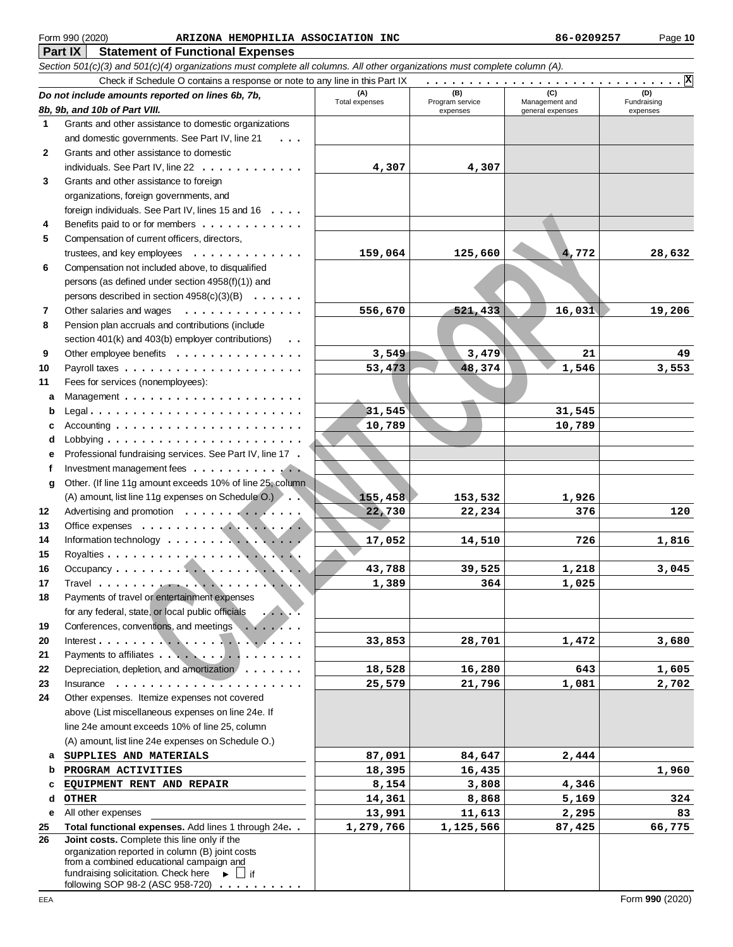### **Part IX Statement of Functional Expenses** Form 990 (2020) Page **10 ARIZONA HEMOPHILIA ASSOCIATION INC 86-0209257**

| Section 501(c)(3) and 501(c)(4) organizations must complete all columns. All other organizations must complete column (A). |                                                                                                                                                                                                                                                                                                                                                                                                                                                                            |                       |                        |                  |                                  |  |  |
|----------------------------------------------------------------------------------------------------------------------------|----------------------------------------------------------------------------------------------------------------------------------------------------------------------------------------------------------------------------------------------------------------------------------------------------------------------------------------------------------------------------------------------------------------------------------------------------------------------------|-----------------------|------------------------|------------------|----------------------------------|--|--|
|                                                                                                                            | Check if Schedule O contains a response or note to any line in this Part IX                                                                                                                                                                                                                                                                                                                                                                                                |                       |                        |                  | $\cdot$ . $\vert$ $\overline{x}$ |  |  |
|                                                                                                                            | Do not include amounts reported on lines 6b, 7b,                                                                                                                                                                                                                                                                                                                                                                                                                           | (A)<br>Total expenses | (B)<br>Program service | Management and   | (D)<br>Fundraising               |  |  |
|                                                                                                                            | 8b, 9b, and 10b of Part VIII.                                                                                                                                                                                                                                                                                                                                                                                                                                              |                       | expenses               | general expenses | expenses                         |  |  |
| 1                                                                                                                          | Grants and other assistance to domestic organizations                                                                                                                                                                                                                                                                                                                                                                                                                      |                       |                        |                  |                                  |  |  |
|                                                                                                                            | and domestic governments. See Part IV, line 21                                                                                                                                                                                                                                                                                                                                                                                                                             |                       |                        |                  |                                  |  |  |
| $\mathbf{2}$                                                                                                               | Grants and other assistance to domestic                                                                                                                                                                                                                                                                                                                                                                                                                                    |                       |                        |                  |                                  |  |  |
|                                                                                                                            | individuals. See Part IV, line 22                                                                                                                                                                                                                                                                                                                                                                                                                                          | 4,307                 | 4,307                  |                  |                                  |  |  |
| 3                                                                                                                          | Grants and other assistance to foreign                                                                                                                                                                                                                                                                                                                                                                                                                                     |                       |                        |                  |                                  |  |  |
|                                                                                                                            | organizations, foreign governments, and                                                                                                                                                                                                                                                                                                                                                                                                                                    |                       |                        |                  |                                  |  |  |
|                                                                                                                            | foreign individuals. See Part IV, lines 15 and 16                                                                                                                                                                                                                                                                                                                                                                                                                          |                       |                        |                  |                                  |  |  |
| 4                                                                                                                          | Benefits paid to or for members                                                                                                                                                                                                                                                                                                                                                                                                                                            |                       |                        |                  |                                  |  |  |
| 5                                                                                                                          | Compensation of current officers, directors,                                                                                                                                                                                                                                                                                                                                                                                                                               |                       |                        |                  |                                  |  |  |
|                                                                                                                            | trustees, and key employees $\dots \dots$                                                                                                                                                                                                                                                                                                                                                                                                                                  | 159,064               | 125,660                | 4,772            | 28,632                           |  |  |
| 6                                                                                                                          | Compensation not included above, to disqualified                                                                                                                                                                                                                                                                                                                                                                                                                           |                       |                        |                  |                                  |  |  |
|                                                                                                                            | persons (as defined under section 4958(f)(1)) and                                                                                                                                                                                                                                                                                                                                                                                                                          |                       |                        |                  |                                  |  |  |
|                                                                                                                            | persons described in section 4958(c)(3)(B)                                                                                                                                                                                                                                                                                                                                                                                                                                 |                       |                        |                  |                                  |  |  |
| 7                                                                                                                          | Other salaries and wages<br>.                                                                                                                                                                                                                                                                                                                                                                                                                                              | 556,670               | 521,433                | 16,031           | 19,206                           |  |  |
| 8                                                                                                                          | Pension plan accruals and contributions (include                                                                                                                                                                                                                                                                                                                                                                                                                           |                       |                        |                  |                                  |  |  |
|                                                                                                                            | section 401(k) and 403(b) employer contributions)<br>$\ddot{\phantom{0}}$                                                                                                                                                                                                                                                                                                                                                                                                  |                       |                        |                  |                                  |  |  |
| 9                                                                                                                          | Other employee benefits                                                                                                                                                                                                                                                                                                                                                                                                                                                    | 3,549                 | 3,479                  | 21               | 49                               |  |  |
| 10                                                                                                                         |                                                                                                                                                                                                                                                                                                                                                                                                                                                                            | 53,473                | 48,374                 | 1,546            | 3,553                            |  |  |
| 11                                                                                                                         | Fees for services (nonemployees):                                                                                                                                                                                                                                                                                                                                                                                                                                          |                       |                        |                  |                                  |  |  |
| a                                                                                                                          |                                                                                                                                                                                                                                                                                                                                                                                                                                                                            |                       |                        |                  |                                  |  |  |
| b                                                                                                                          | Legal                                                                                                                                                                                                                                                                                                                                                                                                                                                                      | 31,545                |                        | 31,545           |                                  |  |  |
| c                                                                                                                          |                                                                                                                                                                                                                                                                                                                                                                                                                                                                            | 10,789                |                        | 10,789           |                                  |  |  |
| d                                                                                                                          |                                                                                                                                                                                                                                                                                                                                                                                                                                                                            |                       |                        |                  |                                  |  |  |
| е                                                                                                                          | Professional fundraising services. See Part IV, line 17.                                                                                                                                                                                                                                                                                                                                                                                                                   |                       |                        |                  |                                  |  |  |
| f                                                                                                                          | Investment management fees                                                                                                                                                                                                                                                                                                                                                                                                                                                 |                       |                        |                  |                                  |  |  |
| g                                                                                                                          | Other. (If line 11g amount exceeds 10% of line 25, column                                                                                                                                                                                                                                                                                                                                                                                                                  |                       |                        |                  |                                  |  |  |
|                                                                                                                            | (A) amount, list line 11g expenses on Schedule O.)                                                                                                                                                                                                                                                                                                                                                                                                                         | 155,458               | 153,532                | 1,926            |                                  |  |  |
| 12                                                                                                                         | Advertising and promotion                                                                                                                                                                                                                                                                                                                                                                                                                                                  | 22,730                | 22,234                 | 376              | 120                              |  |  |
| 13                                                                                                                         |                                                                                                                                                                                                                                                                                                                                                                                                                                                                            |                       |                        |                  |                                  |  |  |
| 14                                                                                                                         |                                                                                                                                                                                                                                                                                                                                                                                                                                                                            | 17,052                | 14,510                 | 726              | 1,816                            |  |  |
| 15                                                                                                                         |                                                                                                                                                                                                                                                                                                                                                                                                                                                                            |                       |                        |                  |                                  |  |  |
| 16                                                                                                                         |                                                                                                                                                                                                                                                                                                                                                                                                                                                                            | 43,788                | 39,525                 | 1,218            | 3,045                            |  |  |
| 17                                                                                                                         |                                                                                                                                                                                                                                                                                                                                                                                                                                                                            | 1,389                 | 364                    | 1,025            |                                  |  |  |
| 18                                                                                                                         | Payments of travel or entertainment expenses                                                                                                                                                                                                                                                                                                                                                                                                                               |                       |                        |                  |                                  |  |  |
|                                                                                                                            | for any federal, state, or local public officials                                                                                                                                                                                                                                                                                                                                                                                                                          |                       |                        |                  |                                  |  |  |
| 19                                                                                                                         | Conferences, conventions, and meetings<br>$\cdots$                                                                                                                                                                                                                                                                                                                                                                                                                         |                       |                        |                  |                                  |  |  |
| 20                                                                                                                         | Interest. $\dots$ .                                                                                                                                                                                                                                                                                                                                                                                                                                                        | 33,853                | 28,701                 | 1,472            | 3,680                            |  |  |
| 21                                                                                                                         | Payments to affiliates                                                                                                                                                                                                                                                                                                                                                                                                                                                     |                       |                        |                  |                                  |  |  |
| 22                                                                                                                         | Depreciation, depletion, and amortization                                                                                                                                                                                                                                                                                                                                                                                                                                  | 18,528                | 16,280                 | 643              | 1,605                            |  |  |
| 23                                                                                                                         | Insurance<br>$\mathcal{L}^{\mathcal{L}}\left( \mathcal{L}^{\mathcal{L}}\left( \mathcal{L}^{\mathcal{L}}\left( \mathcal{L}^{\mathcal{L}}\left( \mathcal{L}^{\mathcal{L}}\right) \mathcal{L}^{\mathcal{L}}\left( \mathcal{L}^{\mathcal{L}}\right) \mathcal{L}^{\mathcal{L}}\right) \right) =\mathcal{L}^{\mathcal{L}}\left( \mathcal{L}^{\mathcal{L}}\left( \mathcal{L}^{\mathcal{L}}\left( \mathcal{L}^{\mathcal{L}}\right) \mathcal{L}^{\mathcal{L}}\left( \mathcal{L}^{\$ | 25,579                | 21,796                 | 1,081            | 2,702                            |  |  |
| 24                                                                                                                         | Other expenses. Itemize expenses not covered                                                                                                                                                                                                                                                                                                                                                                                                                               |                       |                        |                  |                                  |  |  |
|                                                                                                                            | above (List miscellaneous expenses on line 24e. If                                                                                                                                                                                                                                                                                                                                                                                                                         |                       |                        |                  |                                  |  |  |
|                                                                                                                            | line 24e amount exceeds 10% of line 25, column                                                                                                                                                                                                                                                                                                                                                                                                                             |                       |                        |                  |                                  |  |  |
|                                                                                                                            | (A) amount, list line 24e expenses on Schedule O.)                                                                                                                                                                                                                                                                                                                                                                                                                         |                       |                        |                  |                                  |  |  |
| a                                                                                                                          | SUPPLIES AND MATERIALS                                                                                                                                                                                                                                                                                                                                                                                                                                                     | 87,091                | 84,647                 | 2,444            |                                  |  |  |
| b                                                                                                                          | PROGRAM ACTIVITIES                                                                                                                                                                                                                                                                                                                                                                                                                                                         | 18,395                | 16,435                 |                  | 1,960                            |  |  |
| c                                                                                                                          | EQUIPMENT RENT AND REPAIR                                                                                                                                                                                                                                                                                                                                                                                                                                                  | 8,154                 | 3,808                  | 4,346            |                                  |  |  |
| d                                                                                                                          | <b>OTHER</b>                                                                                                                                                                                                                                                                                                                                                                                                                                                               | 14,361                | 8,868                  | 5,169            | 324                              |  |  |
| е                                                                                                                          | All other expenses                                                                                                                                                                                                                                                                                                                                                                                                                                                         | 13,991                | 11,613                 | 2,295            | 83                               |  |  |
| 25                                                                                                                         | Total functional expenses. Add lines 1 through 24e. .                                                                                                                                                                                                                                                                                                                                                                                                                      | 1,279,766             | 1,125,566              | 87,425           | 66,775                           |  |  |
| 26                                                                                                                         | Joint costs. Complete this line only if the                                                                                                                                                                                                                                                                                                                                                                                                                                |                       |                        |                  |                                  |  |  |
|                                                                                                                            | organization reported in column (B) joint costs<br>from a combined educational campaign and                                                                                                                                                                                                                                                                                                                                                                                |                       |                        |                  |                                  |  |  |
|                                                                                                                            | fundraising solicitation. Check here<br>$\blacktriangleright$ $\perp$ if                                                                                                                                                                                                                                                                                                                                                                                                   |                       |                        |                  |                                  |  |  |
|                                                                                                                            | following SOP 98-2 (ASC 958-720)                                                                                                                                                                                                                                                                                                                                                                                                                                           |                       |                        |                  |                                  |  |  |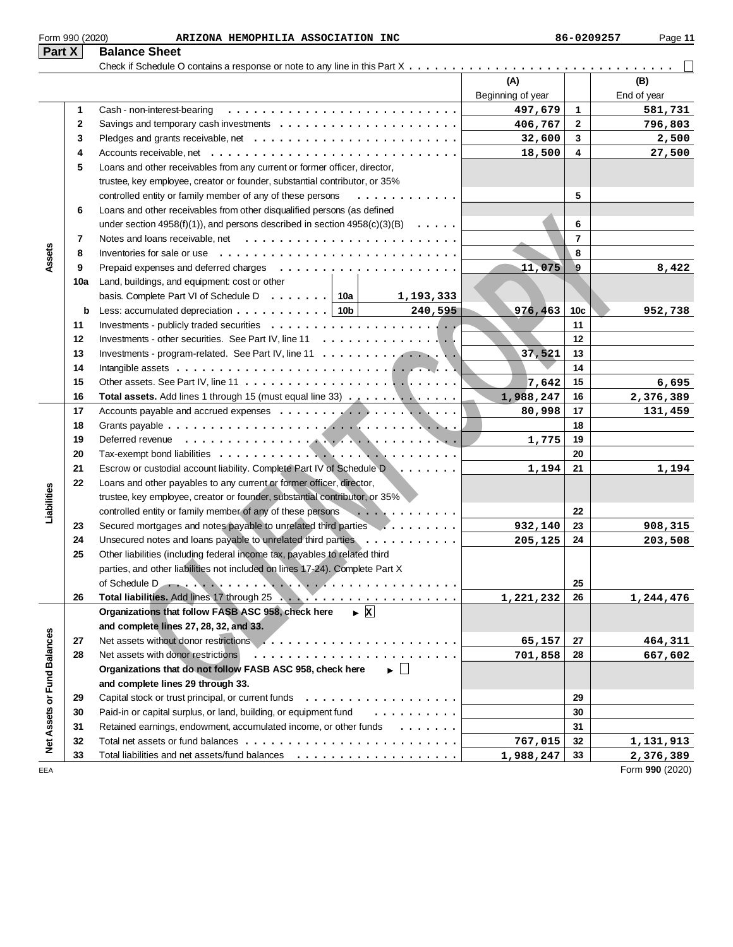|  | Form 990 (2020) |
|--|-----------------|
|  |                 |

| Part X                      |              | <b>Balance Sheet</b>                                                                                                            |                   |                 |                              |
|-----------------------------|--------------|---------------------------------------------------------------------------------------------------------------------------------|-------------------|-----------------|------------------------------|
|                             |              |                                                                                                                                 |                   |                 |                              |
|                             |              |                                                                                                                                 | (A)               |                 | (B)                          |
|                             |              |                                                                                                                                 | Beginning of year |                 | End of year                  |
|                             | 1            | Cash - non-interest-bearing                                                                                                     | 497,679           | 1               | 581,731                      |
|                             | $\mathbf{2}$ | Savings and temporary cash investments $\dots \dots \dots \dots \dots \dots \dots \dots$                                        | 406,767           | 2               | 796,803                      |
|                             | 3            |                                                                                                                                 | 32,600            | 3               | 2,500                        |
|                             | 4            |                                                                                                                                 | 18,500            | 4               | 27,500                       |
|                             | 5            | Loans and other receivables from any current or former officer, director,                                                       |                   |                 |                              |
|                             |              | trustee, key employee, creator or founder, substantial contributor, or 35%                                                      |                   |                 |                              |
|                             |              | controlled entity or family member of any of these persons<br>.                                                                 |                   | 5               |                              |
|                             | 6            | Loans and other receivables from other disqualified persons (as defined                                                         |                   |                 |                              |
|                             |              | under section 4958(f)(1)), and persons described in section 4958(c)(3)(B) $\ldots \ldots$                                       |                   | 6               |                              |
|                             | 7            |                                                                                                                                 |                   | $\overline{7}$  |                              |
| Assets                      | 8            | Inventories for sale or use $\ldots \ldots \ldots \ldots \ldots$                                                                |                   | 8               |                              |
|                             | 9            |                                                                                                                                 | 11,075            | 9               | 8,422                        |
|                             | 10a          | Land, buildings, and equipment: cost or other                                                                                   |                   |                 |                              |
|                             |              | basis. Complete Part VI of Schedule D $\ldots$ , $\ldots$   10a<br>1,193,333                                                    |                   |                 |                              |
|                             | b            | Less: accumulated depreciation $\ldots \ldots \ldots$   10b<br>240,595                                                          | 976,463           | 10 <sub>c</sub> | 952,738                      |
|                             | 11           |                                                                                                                                 |                   | 11              |                              |
|                             | 12           |                                                                                                                                 |                   | 12              |                              |
|                             | 13           |                                                                                                                                 | 37,521            | 13              |                              |
|                             | 14           |                                                                                                                                 |                   | 14              |                              |
|                             | 15           |                                                                                                                                 | 7,642             | 15              | 6,695                        |
|                             | 16           | Total assets. Add lines 1 through 15 (must equal line 33)                                                                       | 1,988,247         | 16              | 2,376,389                    |
|                             | 17           |                                                                                                                                 | 80,998            | 17              | 131,459                      |
|                             | 18           |                                                                                                                                 |                   | 18              |                              |
|                             | 19           |                                                                                                                                 | 1,775             | 19              |                              |
|                             | 20           |                                                                                                                                 |                   | 20              |                              |
|                             | 21           | Escrow or custodial account liability. Complete Part IV of Schedule D                                                           | 1,194             | 21              | 1,194                        |
|                             | 22           | Loans and other payables to any current or former officer, director,                                                            |                   |                 |                              |
|                             |              | trustee, key employee, creator or founder, substantial contributor, or 35%                                                      |                   |                 |                              |
| Liabilities                 |              | controlled entity or family member of any of these persons<br>.                                                                 |                   | 22              |                              |
|                             | 23           | Secured mortgages and notes payable to unrelated third parties                                                                  | 932,140           | 23              | 908,315                      |
|                             | 24           | Unsecured notes and loans payable to unrelated third parties                                                                    | 205,125           | 24              | 203,508                      |
|                             | 25           | Other liabilities (including federal income tax, payables to related third                                                      |                   |                 |                              |
|                             |              | parties, and other liabilities not included on lines 17-24). Complete Part X                                                    |                   |                 |                              |
|                             |              |                                                                                                                                 |                   | 25              |                              |
|                             | 26           | $\triangleright$ X                                                                                                              | 1,221,232         | 26              | 1,244,476                    |
|                             |              | Organizations that follow FASB ASC 958, check here                                                                              |                   |                 |                              |
|                             |              | and complete lines 27, 28, 32, and 33.                                                                                          |                   |                 |                              |
|                             | 27           |                                                                                                                                 | 65,157            | 27              | 464,311                      |
|                             | 28           | Net assets with donor restrictions<br>Organizations that do not follow FASB ASC 958, check here<br>$\blacktriangleright$ $\Box$ | 701,858           | 28              | 667,602                      |
|                             |              |                                                                                                                                 |                   |                 |                              |
|                             |              | and complete lines 29 through 33.                                                                                               |                   | 29              |                              |
|                             | 29<br>30     | Paid-in or capital surplus, or land, building, or equipment fund<br>.                                                           |                   | 30              |                              |
|                             |              |                                                                                                                                 |                   |                 |                              |
| Net Assets or Fund Balances | 31<br>32     | Retained earnings, endowment, accumulated income, or other funds                                                                |                   | 31<br>32        |                              |
|                             | 33           |                                                                                                                                 | 767,015           | 33              | 1,131,913                    |
| EEA                         |              |                                                                                                                                 | 1,988,247         |                 | 2,376,389<br>Form 990 (2020) |
|                             |              |                                                                                                                                 |                   |                 |                              |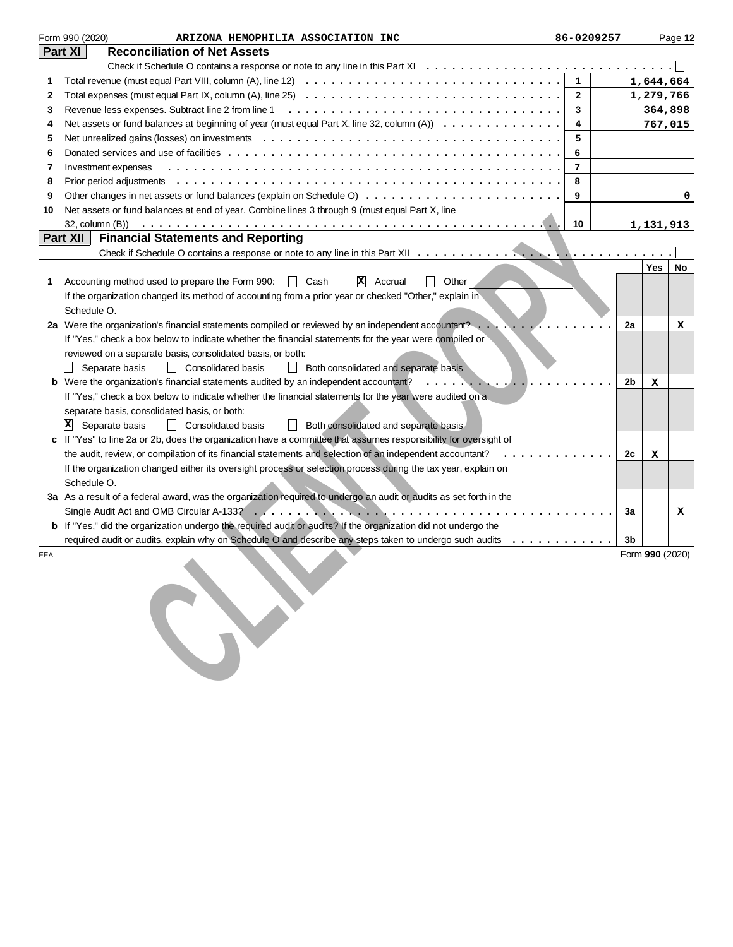|     | Form 990 (2020)<br>ARIZONA HEMOPHILIA ASSOCIATION INC                                                                                                                | 86-0209257     |                 |            | Page 12 |
|-----|----------------------------------------------------------------------------------------------------------------------------------------------------------------------|----------------|-----------------|------------|---------|
|     | Part XI<br><b>Reconciliation of Net Assets</b>                                                                                                                       |                |                 |            |         |
|     | Check if Schedule O contains a response or note to any line in this Part XI $\ldots \ldots \ldots \ldots \ldots \ldots \ldots \ldots \ldots \ldots \ldots$           |                |                 |            |         |
| 1   |                                                                                                                                                                      | $\mathbf{1}$   |                 | 1,644,664  |         |
| 2   |                                                                                                                                                                      | $\overline{2}$ |                 | 1,279,766  |         |
| 3   | Revenue less expenses. Subtract line 2 from line 1                                                                                                                   | 3              |                 | 364,898    |         |
| 4   | Net assets or fund balances at beginning of year (must equal Part X, line 32, column $(A)$ ) $\ldots$                                                                | 4              |                 | 767,015    |         |
| 5   |                                                                                                                                                                      | 5              |                 |            |         |
| 6   |                                                                                                                                                                      | 6              |                 |            |         |
| 7   | Investment expenses                                                                                                                                                  | $\overline{7}$ |                 |            |         |
| 8   |                                                                                                                                                                      | 8              |                 |            |         |
| 9   |                                                                                                                                                                      | 9              |                 |            | 0       |
| 10  | Net assets or fund balances at end of year. Combine lines 3 through 9 (must equal Part X, line                                                                       |                |                 |            |         |
|     |                                                                                                                                                                      | 10             |                 | 1,131,913  |         |
|     | Part XII<br><b>Financial Statements and Reporting</b>                                                                                                                |                |                 |            |         |
|     |                                                                                                                                                                      |                |                 |            |         |
|     |                                                                                                                                                                      |                |                 | <b>Yes</b> | No      |
| 1   | $\Box$ Other<br>$ \mathbf{X} $ Accrual<br>Accounting method used to prepare the Form 990:<br>∣ I Cash                                                                |                |                 |            |         |
|     | If the organization changed its method of accounting from a prior year or checked "Other," explain in                                                                |                |                 |            |         |
|     | Schedule O.                                                                                                                                                          |                |                 |            |         |
|     | 2a Were the organization's financial statements compiled or reviewed by an independent accountant?                                                                   |                | 2a              |            | x       |
|     | If "Yes," check a box below to indicate whether the financial statements for the year were compiled or<br>reviewed on a separate basis, consolidated basis, or both: |                |                 |            |         |
|     | Separate basis<br>  Consolidated basis<br>  Both consolidated and separate basis                                                                                     |                |                 |            |         |
|     | b Were the organization's financial statements audited by an independent accountant?<br>$\sim$ $\sim$ $\sim$ $\sim$ $\sim$                                           |                | 2b              | x          |         |
|     | If "Yes," check a box below to indicate whether the financial statements for the year were audited on a                                                              |                |                 |            |         |
|     | separate basis, consolidated basis, or both:                                                                                                                         |                |                 |            |         |
|     | $ \mathbf{X} $ Separate basis<br>  Consolidated basis<br>  Both consolidated and separate basis                                                                      |                |                 |            |         |
|     | If "Yes" to line 2a or 2b, does the organization have a committee that assumes responsibility for oversight of                                                       |                |                 |            |         |
|     | the audit, review, or compilation of its financial statements and selection of an independent accountant?                                                            |                | 2c              | x          |         |
|     | If the organization changed either its oversight process or selection process during the tax year, explain on                                                        |                |                 |            |         |
|     | Schedule O.                                                                                                                                                          |                |                 |            |         |
|     | 3a As a result of a federal award, was the organization required to undergo an audit or audits as set forth in the                                                   |                |                 |            |         |
|     |                                                                                                                                                                      |                | За              |            | х       |
|     | b If "Yes," did the organization undergo the required audit or audits? If the organization did not undergo the                                                       |                |                 |            |         |
|     | required audit or audits, explain why on Schedule O and describe any steps taken to undergo such audits                                                              |                | 3b              |            |         |
| EEA |                                                                                                                                                                      |                | Form 990 (2020) |            |         |
|     |                                                                                                                                                                      |                |                 |            |         |
|     |                                                                                                                                                                      |                |                 |            |         |
|     |                                                                                                                                                                      |                |                 |            |         |
|     |                                                                                                                                                                      |                |                 |            |         |
|     |                                                                                                                                                                      |                |                 |            |         |
|     |                                                                                                                                                                      |                |                 |            |         |
|     |                                                                                                                                                                      |                |                 |            |         |
|     |                                                                                                                                                                      |                |                 |            |         |
|     |                                                                                                                                                                      |                |                 |            |         |
|     |                                                                                                                                                                      |                |                 |            |         |
|     |                                                                                                                                                                      |                |                 |            |         |
|     |                                                                                                                                                                      |                |                 |            |         |
|     |                                                                                                                                                                      |                |                 |            |         |
|     |                                                                                                                                                                      |                |                 |            |         |
|     |                                                                                                                                                                      |                |                 |            |         |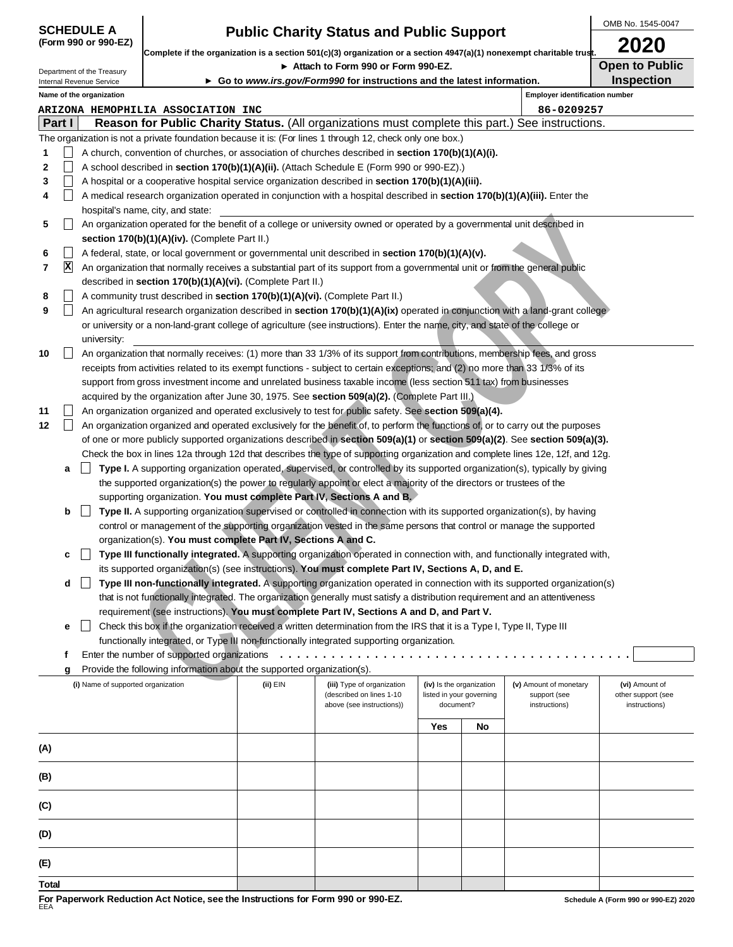|             |                | <b>SCHEDULE A</b>                                      |                                                                              |          | <b>Public Charity Status and Public Support</b>                                                                                                            |                                                      |    |                                        | OMB No. 1545-0047                    |
|-------------|----------------|--------------------------------------------------------|------------------------------------------------------------------------------|----------|------------------------------------------------------------------------------------------------------------------------------------------------------------|------------------------------------------------------|----|----------------------------------------|--------------------------------------|
|             |                | (Form 990 or 990-EZ)                                   |                                                                              |          |                                                                                                                                                            |                                                      |    |                                        | 2020                                 |
|             |                |                                                        |                                                                              |          | Complete if the organization is a section 501(c)(3) organization or a section 4947(a)(1) nonexempt charitable trust.<br>Attach to Form 990 or Form 990-EZ. |                                                      |    |                                        | <b>Open to Public</b>                |
|             |                | Department of the Treasury<br>Internal Revenue Service |                                                                              |          | ► Go to www.irs.gov/Form990 for instructions and the latest information.                                                                                   |                                                      |    |                                        | <b>Inspection</b>                    |
|             |                | Name of the organization                               |                                                                              |          |                                                                                                                                                            |                                                      |    | <b>Employer identification number</b>  |                                      |
|             |                |                                                        | ARIZONA HEMOPHILIA ASSOCIATION INC                                           |          |                                                                                                                                                            |                                                      |    | 86-0209257                             |                                      |
| Part I      |                |                                                        |                                                                              |          | Reason for Public Charity Status. (All organizations must complete this part.) See instructions.                                                           |                                                      |    |                                        |                                      |
|             |                |                                                        |                                                                              |          | The organization is not a private foundation because it is: (For lines 1 through 12, check only one box.)                                                  |                                                      |    |                                        |                                      |
| 1           |                |                                                        |                                                                              |          | A church, convention of churches, or association of churches described in <b>section 170(b)(1)(A)(i).</b>                                                  |                                                      |    |                                        |                                      |
| $\mathbf 2$ |                |                                                        |                                                                              |          | A school described in section 170(b)(1)(A)(ii). (Attach Schedule E (Form 990 or 990-EZ).)                                                                  |                                                      |    |                                        |                                      |
| 3           | $\blacksquare$ |                                                        |                                                                              |          | A hospital or a cooperative hospital service organization described in section 170(b)(1)(A)(iii).                                                          |                                                      |    |                                        |                                      |
| 4           |                |                                                        |                                                                              |          | A medical research organization operated in conjunction with a hospital described in section 170(b)(1)(A)(iii). Enter the                                  |                                                      |    |                                        |                                      |
|             |                |                                                        | hospital's name, city, and state:                                            |          |                                                                                                                                                            |                                                      |    |                                        |                                      |
| 5           |                |                                                        |                                                                              |          | An organization operated for the benefit of a college or university owned or operated by a governmental unit described in                                  |                                                      |    |                                        |                                      |
|             |                |                                                        | section 170(b)(1)(A)(iv). (Complete Part II.)                                |          |                                                                                                                                                            |                                                      |    |                                        |                                      |
| 6           | $\blacksquare$ |                                                        |                                                                              |          | A federal, state, or local government or governmental unit described in section 170(b)(1)(A)(v).                                                           |                                                      |    |                                        |                                      |
| 7           | $\mathbf{x}$   |                                                        |                                                                              |          | An organization that normally receives a substantial part of its support from a governmental unit or from the general public                               |                                                      |    |                                        |                                      |
|             |                |                                                        | described in section 170(b)(1)(A)(vi). (Complete Part II.)                   |          |                                                                                                                                                            |                                                      |    |                                        |                                      |
| 8           | $\blacksquare$ |                                                        | A community trust described in section 170(b)(1)(A)(vi). (Complete Part II.) |          |                                                                                                                                                            |                                                      |    |                                        |                                      |
| 9           | $\blacksquare$ |                                                        |                                                                              |          | An agricultural research organization described in section 170(b)(1)(A)(ix) operated in conjunction with a land-grant college                              |                                                      |    |                                        |                                      |
|             |                |                                                        |                                                                              |          | or university or a non-land-grant college of agriculture (see instructions). Enter the name, city, and state of the college or                             |                                                      |    |                                        |                                      |
| 10          |                | university:                                            |                                                                              |          | An organization that normally receives: (1) more than 33 1/3% of its support from contributions, membership fees, and gross                                |                                                      |    |                                        |                                      |
|             |                |                                                        |                                                                              |          | receipts from activities related to its exempt functions - subject to certain exceptions; and (2) no more than 33 1/3% of its                              |                                                      |    |                                        |                                      |
|             |                |                                                        |                                                                              |          | support from gross investment income and unrelated business taxable income (less section 511 tax) from businesses                                          |                                                      |    |                                        |                                      |
|             |                |                                                        |                                                                              |          | acquired by the organization after June 30, 1975. See section 509(a)(2). (Complete Part III.)                                                              |                                                      |    |                                        |                                      |
| 11          |                |                                                        |                                                                              |          | An organization organized and operated exclusively to test for public safety. See section 509(a)(4).                                                       |                                                      |    |                                        |                                      |
| 12          |                |                                                        |                                                                              |          | An organization organized and operated exclusively for the benefit of, to perform the functions of, or to carry out the purposes                           |                                                      |    |                                        |                                      |
|             |                |                                                        |                                                                              |          | of one or more publicly supported organizations described in section 509(a)(1) or section 509(a)(2). See section 509(a)(3).                                |                                                      |    |                                        |                                      |
|             |                |                                                        |                                                                              |          | Check the box in lines 12a through 12d that describes the type of supporting organization and complete lines 12e, 12f, and 12g.                            |                                                      |    |                                        |                                      |
|             | a              |                                                        |                                                                              |          | Type I. A supporting organization operated, supervised, or controlled by its supported organization(s), typically by giving                                |                                                      |    |                                        |                                      |
|             |                |                                                        |                                                                              |          | the supported organization(s) the power to regularly appoint or elect a majority of the directors or trustees of the                                       |                                                      |    |                                        |                                      |
|             |                |                                                        |                                                                              |          | supporting organization. You must complete Part IV, Sections A and B.                                                                                      |                                                      |    |                                        |                                      |
|             | b              |                                                        |                                                                              |          | Type II. A supporting organization supervised or controlled in connection with its supported organization(s), by having                                    |                                                      |    |                                        |                                      |
|             |                |                                                        |                                                                              |          | control or management of the supporting organization vested in the same persons that control or manage the supported                                       |                                                      |    |                                        |                                      |
|             |                |                                                        | organization(s). You must complete Part IV, Sections A and C.                |          |                                                                                                                                                            |                                                      |    |                                        |                                      |
|             | c              |                                                        |                                                                              |          | Type III functionally integrated. A supporting organization operated in connection with, and functionally integrated with,                                 |                                                      |    |                                        |                                      |
|             |                |                                                        |                                                                              |          | its supported organization(s) (see instructions). You must complete Part IV, Sections A, D, and E.                                                         |                                                      |    |                                        |                                      |
|             | d              |                                                        |                                                                              |          | Type III non-functionally integrated. A supporting organization operated in connection with its supported organization(s)                                  |                                                      |    |                                        |                                      |
|             |                |                                                        |                                                                              |          | that is not functionally integrated. The organization generally must satisfy a distribution requirement and an attentiveness                               |                                                      |    |                                        |                                      |
|             |                |                                                        |                                                                              |          | requirement (see instructions). You must complete Part IV, Sections A and D, and Part V.                                                                   |                                                      |    |                                        |                                      |
|             | е              |                                                        |                                                                              |          | Check this box if the organization received a written determination from the IRS that it is a Type I, Type II, Type III                                    |                                                      |    |                                        |                                      |
|             |                |                                                        |                                                                              |          | functionally integrated, or Type III non-functionally integrated supporting organization.                                                                  |                                                      |    |                                        |                                      |
|             | f              |                                                        | Enter the number of supported organizations                                  |          | . <b>.</b> .                                                                                                                                               |                                                      |    |                                        |                                      |
|             | g              |                                                        | Provide the following information about the supported organization(s).       |          |                                                                                                                                                            |                                                      |    |                                        |                                      |
|             |                | (i) Name of supported organization                     |                                                                              | (ii) EIN | (iii) Type of organization<br>(described on lines 1-10                                                                                                     | (iv) Is the organization<br>listed in your governing |    | (v) Amount of monetary<br>support (see | (vi) Amount of<br>other support (see |
|             |                |                                                        |                                                                              |          | above (see instructions))                                                                                                                                  | document?                                            |    | instructions)                          | instructions)                        |
|             |                |                                                        |                                                                              |          |                                                                                                                                                            | Yes                                                  | No |                                        |                                      |
|             |                |                                                        |                                                                              |          |                                                                                                                                                            |                                                      |    |                                        |                                      |
| (A)         |                |                                                        |                                                                              |          |                                                                                                                                                            |                                                      |    |                                        |                                      |
|             |                |                                                        |                                                                              |          |                                                                                                                                                            |                                                      |    |                                        |                                      |
| (B)         |                |                                                        |                                                                              |          |                                                                                                                                                            |                                                      |    |                                        |                                      |
|             |                |                                                        |                                                                              |          |                                                                                                                                                            |                                                      |    |                                        |                                      |
| (C)         |                |                                                        |                                                                              |          |                                                                                                                                                            |                                                      |    |                                        |                                      |

**(D)**

**(E)**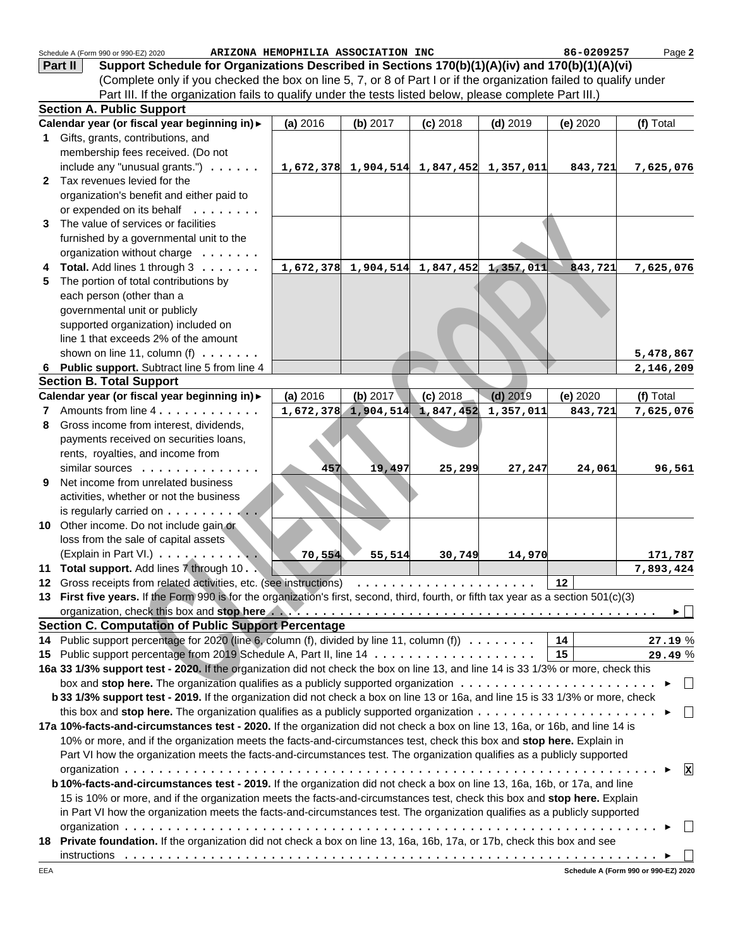|                 | Schedule A (Form 990 or 990-EZ) 2020                                                                                                  | ARIZONA HEMOPHILIA ASSOCIATION INC |                                           |            |            | 86-0209257 | Page 2            |
|-----------------|---------------------------------------------------------------------------------------------------------------------------------------|------------------------------------|-------------------------------------------|------------|------------|------------|-------------------|
|                 | Support Schedule for Organizations Described in Sections 170(b)(1)(A)(iv) and 170(b)(1)(A)(vi)<br>Part II                             |                                    |                                           |            |            |            |                   |
|                 | (Complete only if you checked the box on line 5, 7, or 8 of Part I or if the organization failed to qualify under                     |                                    |                                           |            |            |            |                   |
|                 | Part III. If the organization fails to qualify under the tests listed below, please complete Part III.)                               |                                    |                                           |            |            |            |                   |
|                 | <b>Section A. Public Support</b>                                                                                                      |                                    |                                           |            |            |            |                   |
|                 | Calendar year (or fiscal year beginning in) >                                                                                         | (a) 2016                           | (b) 2017                                  | $(c)$ 2018 | $(d)$ 2019 | (e) 2020   | (f) Total         |
|                 | 1 Gifts, grants, contributions, and                                                                                                   |                                    |                                           |            |            |            |                   |
|                 | membership fees received. (Do not                                                                                                     |                                    |                                           |            |            |            |                   |
|                 | include any "unusual grants.") $\ldots \ldots$                                                                                        |                                    | $1,672,378$ 1,904,514 1,847,452 1,357,011 |            |            | 843,721    | 7,625,076         |
|                 | 2 Tax revenues levied for the                                                                                                         |                                    |                                           |            |            |            |                   |
|                 | organization's benefit and either paid to                                                                                             |                                    |                                           |            |            |            |                   |
|                 | or expended on its behalf                                                                                                             |                                    |                                           |            |            |            |                   |
|                 | 3 The value of services or facilities                                                                                                 |                                    |                                           |            |            |            |                   |
|                 | furnished by a governmental unit to the                                                                                               |                                    |                                           |            |            |            |                   |
|                 | organization without charge                                                                                                           |                                    |                                           |            |            |            |                   |
|                 | Total. Add lines 1 through 3                                                                                                          |                                    | 1,672,378 1,904,514 1,847,452 1,357,011   |            |            | 843,721    | 7,625,076         |
| 5               | The portion of total contributions by                                                                                                 |                                    |                                           |            |            |            |                   |
|                 | each person (other than a                                                                                                             |                                    |                                           |            |            |            |                   |
|                 | governmental unit or publicly                                                                                                         |                                    |                                           |            |            |            |                   |
|                 | supported organization) included on                                                                                                   |                                    |                                           |            |            |            |                   |
|                 | line 1 that exceeds 2% of the amount                                                                                                  |                                    |                                           |            |            |            |                   |
|                 | shown on line 11, column (f) $\ldots \ldots$                                                                                          |                                    |                                           |            |            |            | 5,478,867         |
|                 | 6 Public support. Subtract line 5 from line 4                                                                                         |                                    |                                           |            |            |            | 2,146,209         |
|                 | <b>Section B. Total Support</b>                                                                                                       |                                    |                                           |            |            |            |                   |
|                 | Calendar year (or fiscal year beginning in) >                                                                                         | (a) 2016                           | (b) 2017                                  | $(c)$ 2018 | $(d)$ 2019 | (e) 2020   | (f) Total         |
|                 | 7 Amounts from line 4.                                                                                                                |                                    | $1,672,378$ 1,904,514 1,847,452           |            | 1,357,011  | 843,721    | 7,625,076         |
| 8               | Gross income from interest, dividends,                                                                                                |                                    |                                           |            |            |            |                   |
|                 | payments received on securities loans,                                                                                                |                                    |                                           |            |            |            |                   |
|                 | rents, royalties, and income from                                                                                                     |                                    |                                           |            |            |            |                   |
|                 | similar sources                                                                                                                       | 457                                | 19,497                                    | 25,299     | 27,247     | 24,061     | 96,561            |
| 9               | Net income from unrelated business                                                                                                    |                                    |                                           |            |            |            |                   |
|                 | activities, whether or not the business                                                                                               |                                    |                                           |            |            |            |                   |
|                 | is regularly carried on $\dots$                                                                                                       |                                    |                                           |            |            |            |                   |
|                 | 10 Other income. Do not include gain or                                                                                               |                                    |                                           |            |            |            |                   |
|                 | loss from the sale of capital assets                                                                                                  |                                    |                                           |            |            |            |                   |
|                 | (Explain in Part VI.)                                                                                                                 | 70,554                             | 55,514                                    | 30,749     | 14,970     |            | 171,787           |
|                 | 11 Total support. Add lines 7 through 10.                                                                                             |                                    |                                           |            |            |            | 7,893,424         |
|                 | 13 First five years. If the Form 990 is for the organization's first, second, third, fourth, or fifth tax year as a section 501(c)(3) |                                    |                                           |            |            |            |                   |
|                 |                                                                                                                                       |                                    |                                           |            |            |            | ▶ │ │             |
|                 | <b>Section C. Computation of Public Support Percentage</b>                                                                            |                                    |                                           |            |            |            |                   |
| 14              | Public support percentage for 2020 (line 6, column (f), divided by line 11, column (f) $\ldots \ldots \ldots$                         |                                    |                                           |            |            | 14         | 27.19%            |
| 15 <sub>1</sub> |                                                                                                                                       |                                    |                                           |            |            | 15         | 29.49%            |
|                 | 16a 33 1/3% support test - 2020. If the organization did not check the box on line 13, and line 14 is 33 1/3% or more, check this     |                                    |                                           |            |            |            |                   |
|                 | box and stop here. The organization qualifies as a publicly supported organization $\ldots \ldots \ldots \ldots \ldots \ldots \ldots$ |                                    |                                           |            |            |            | ▶                 |
|                 | b 33 1/3% support test - 2019. If the organization did not check a box on line 13 or 16a, and line 15 is 33 1/3% or more, check       |                                    |                                           |            |            |            |                   |
|                 | this box and stop here. The organization qualifies as a publicly supported organization $\ldots \ldots \ldots \ldots \ldots \ldots$   |                                    |                                           |            |            |            | $\perp$<br>▸      |
|                 | 17a 10%-facts-and-circumstances test - 2020. If the organization did not check a box on line 13, 16a, or 16b, and line 14 is          |                                    |                                           |            |            |            |                   |
|                 | 10% or more, and if the organization meets the facts-and-circumstances test, check this box and stop here. Explain in                 |                                    |                                           |            |            |            |                   |
|                 | Part VI how the organization meets the facts-and-circumstances test. The organization qualifies as a publicly supported               |                                    |                                           |            |            |            |                   |
|                 |                                                                                                                                       |                                    |                                           |            |            |            | $\mathbf{x}$<br>▶ |
|                 | b 10%-facts-and-circumstances test - 2019. If the organization did not check a box on line 13, 16a, 16b, or 17a, and line             |                                    |                                           |            |            |            |                   |
|                 | 15 is 10% or more, and if the organization meets the facts-and-circumstances test, check this box and stop here. Explain              |                                    |                                           |            |            |            |                   |
|                 | in Part VI how the organization meets the facts-and-circumstances test. The organization qualifies as a publicly supported            |                                    |                                           |            |            |            |                   |
|                 |                                                                                                                                       |                                    |                                           |            |            |            |                   |
|                 | 18 Private foundation. If the organization did not check a box on line 13, 16a, 16b, 17a, or 17b, check this box and see              |                                    |                                           |            |            |            |                   |
|                 |                                                                                                                                       |                                    |                                           |            |            |            |                   |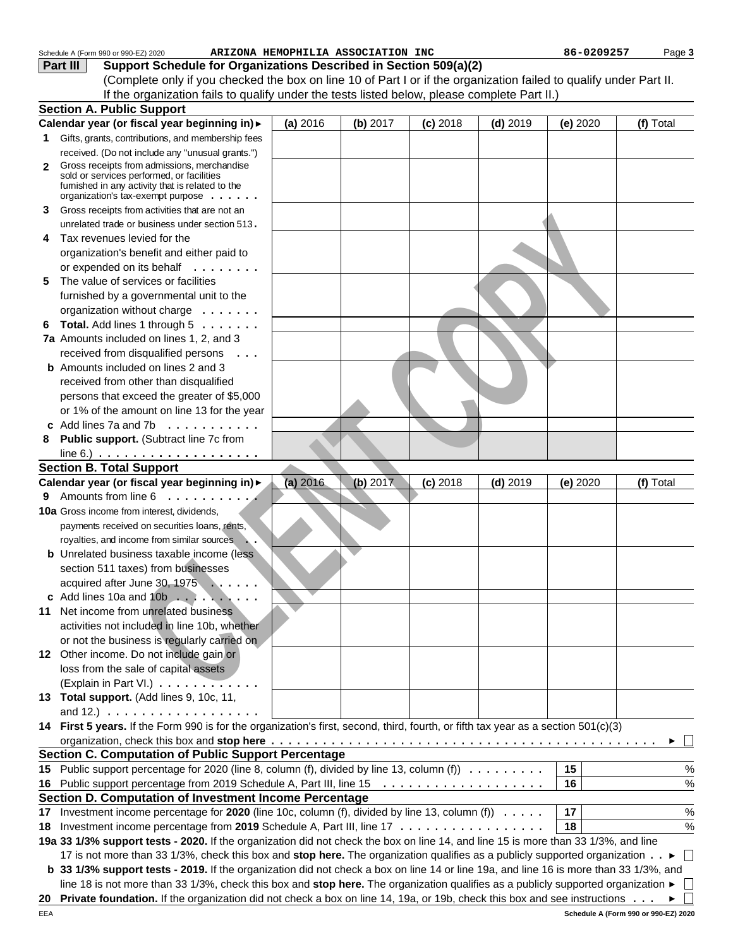|    | Schedule A (Form 990 or 990-EZ) 2020                                                                                                                       | ARIZONA HEMOPHILIA ASSOCIATION INC |          |            |            | 86-0209257 | Page 3    |
|----|------------------------------------------------------------------------------------------------------------------------------------------------------------|------------------------------------|----------|------------|------------|------------|-----------|
|    | Support Schedule for Organizations Described in Section 509(a)(2)<br>Part III                                                                              |                                    |          |            |            |            |           |
|    | (Complete only if you checked the box on line 10 of Part I or if the organization failed to qualify under Part II.                                         |                                    |          |            |            |            |           |
|    | If the organization fails to qualify under the tests listed below, please complete Part II.)                                                               |                                    |          |            |            |            |           |
|    | <b>Section A. Public Support</b>                                                                                                                           |                                    |          |            |            |            |           |
|    | Calendar year (or fiscal year beginning in) >                                                                                                              | (a) 2016                           | (b) 2017 | $(c)$ 2018 | $(d)$ 2019 | (e) 2020   | (f) Total |
| 1. | Gifts, grants, contributions, and membership fees                                                                                                          |                                    |          |            |            |            |           |
|    |                                                                                                                                                            |                                    |          |            |            |            |           |
|    | received. (Do not include any "unusual grants.")                                                                                                           |                                    |          |            |            |            |           |
| 2  | Gross receipts from admissions, merchandise<br>sold or services performed, or facilities                                                                   |                                    |          |            |            |            |           |
|    | fumished in any activity that is related to the                                                                                                            |                                    |          |            |            |            |           |
|    | organization's tax-exempt purpose $\ldots \ldots$                                                                                                          |                                    |          |            |            |            |           |
| 3  | Gross receipts from activities that are not an                                                                                                             |                                    |          |            |            |            |           |
|    | unrelated trade or business under section 513.                                                                                                             |                                    |          |            |            |            |           |
| 4  | Tax revenues levied for the                                                                                                                                |                                    |          |            |            |            |           |
|    | organization's benefit and either paid to                                                                                                                  |                                    |          |            |            |            |           |
|    | or expended on its behalf                                                                                                                                  |                                    |          |            |            |            |           |
| 5. | The value of services or facilities                                                                                                                        |                                    |          |            |            |            |           |
|    | furnished by a governmental unit to the                                                                                                                    |                                    |          |            |            |            |           |
|    | organization without charge                                                                                                                                |                                    |          |            |            |            |           |
| 6  | Total. Add lines 1 through 5                                                                                                                               |                                    |          |            |            |            |           |
|    | 7a Amounts included on lines 1, 2, and 3                                                                                                                   |                                    |          |            |            |            |           |
|    |                                                                                                                                                            |                                    |          |            |            |            |           |
|    | received from disqualified persons<br>$\cdots$<br><b>b</b> Amounts included on lines 2 and 3                                                               |                                    |          |            |            |            |           |
|    |                                                                                                                                                            |                                    |          |            |            |            |           |
|    | received from other than disqualified                                                                                                                      |                                    |          |            |            |            |           |
|    | persons that exceed the greater of \$5,000                                                                                                                 |                                    |          |            |            |            |           |
|    | or 1% of the amount on line 13 for the year                                                                                                                |                                    |          |            |            |            |           |
|    | Add lines 7a and 7b                                                                                                                                        |                                    |          |            |            |            |           |
| 8  | Public support. (Subtract line 7c from                                                                                                                     |                                    |          |            |            |            |           |
|    | line 6.) $\ldots \ldots \ldots \ldots \ldots \ldots$                                                                                                       |                                    |          |            |            |            |           |
|    | <b>Section B. Total Support</b>                                                                                                                            |                                    |          |            |            |            |           |
|    | Calendar year (or fiscal year beginning in) >                                                                                                              | (a) 2016                           | (b) 2017 | $(c)$ 2018 | $(d)$ 2019 | (e) 2020   | (f) Total |
|    | 9 Amounts from line 6                                                                                                                                      |                                    |          |            |            |            |           |
|    | 10a Gross income from interest, dividends,                                                                                                                 |                                    |          |            |            |            |           |
|    | payments received on securities loans, rents,                                                                                                              |                                    |          |            |            |            |           |
|    | royalties, and income from similar sources                                                                                                                 |                                    |          |            |            |            |           |
|    | <b>b</b> Unrelated business taxable income (less                                                                                                           |                                    |          |            |            |            |           |
|    | section 511 taxes) from businesses                                                                                                                         |                                    |          |            |            |            |           |
|    | acquired after June 30, 1975                                                                                                                               |                                    |          |            |            |            |           |
|    |                                                                                                                                                            |                                    |          |            |            |            |           |
|    | 11 Net income from unrelated business                                                                                                                      |                                    |          |            |            |            |           |
|    |                                                                                                                                                            |                                    |          |            |            |            |           |
|    | activities not included in line 10b, whether                                                                                                               |                                    |          |            |            |            |           |
|    | or not the business is regularly carried on                                                                                                                |                                    |          |            |            |            |           |
|    | 12 Other income. Do not include gain or                                                                                                                    |                                    |          |            |            |            |           |
|    | loss from the sale of capital assets                                                                                                                       |                                    |          |            |            |            |           |
|    | (Explain in Part VI.)                                                                                                                                      |                                    |          |            |            |            |           |
|    | 13 Total support. (Add lines 9, 10c, 11,                                                                                                                   |                                    |          |            |            |            |           |
|    | and 12.) $\ldots \ldots \ldots \ldots \ldots$                                                                                                              |                                    |          |            |            |            |           |
|    | 14 First 5 years. If the Form 990 is for the organization's first, second, third, fourth, or fifth tax year as a section 501(c)(3)                         |                                    |          |            |            |            |           |
|    |                                                                                                                                                            |                                    |          |            |            |            |           |
|    | <b>Section C. Computation of Public Support Percentage</b>                                                                                                 |                                    |          |            |            |            |           |
|    | 15 Public support percentage for 2020 (line 8, column (f), divided by line 13, column (f))                                                                 |                                    |          |            |            | 15         | %         |
|    |                                                                                                                                                            |                                    |          |            |            | 16         | %         |
|    | Section D. Computation of Investment Income Percentage                                                                                                     |                                    |          |            |            |            |           |
|    |                                                                                                                                                            |                                    |          |            |            | 17         | %         |
|    | 17 Investment income percentage for 2020 (line 10c, column (f), divided by line 13, column (f)                                                             |                                    |          |            |            |            |           |
| 18 | Investment income percentage from 2019 Schedule A, Part III, line 17                                                                                       |                                    |          |            |            | 18         | %         |
|    | 19a 33 1/3% support tests - 2020. If the organization did not check the box on line 14, and line 15 is more than 33 1/3%, and line                         |                                    |          |            |            |            |           |
|    | 17 is not more than 33 1/3%, check this box and stop here. The organization qualifies as a publicly supported organization ►                               |                                    |          |            |            |            |           |
|    | b 33 1/3% support tests - 2019. If the organization did not check a box on line 14 or line 19a, and line 16 is more than 33 1/3%, and                      |                                    |          |            |            |            |           |
|    | line 18 is not more than 33 1/3%, check this box and stop here. The organization qualifies as a publicly supported organization $\blacktriangleright \Box$ |                                    |          |            |            |            |           |
| 20 | <b>Private foundation.</b> If the organization did not check a box on line 14, 19a, or 19b, check this box and see instructions $\ldots \bullet \Box$      |                                    |          |            |            |            |           |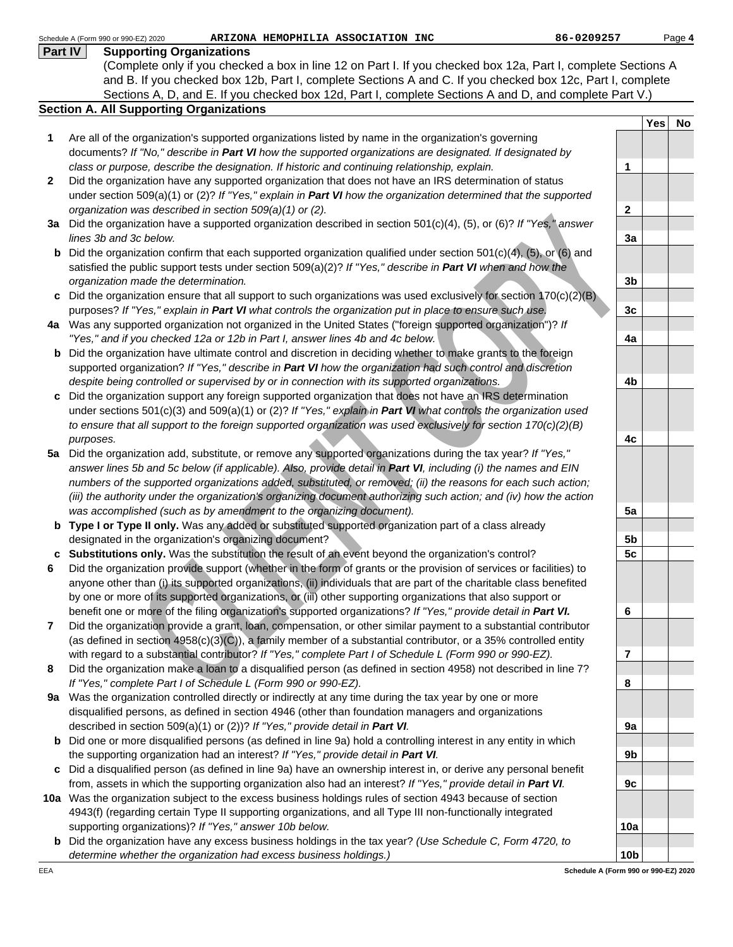|         | 86-0209257<br>Schedule A (Form 990 or 990-EZ) 2020<br>ARIZONA HEMOPHILIA ASSOCIATION INC                                                                                                                                        |                 |     | Page 4 |
|---------|---------------------------------------------------------------------------------------------------------------------------------------------------------------------------------------------------------------------------------|-----------------|-----|--------|
| Part IV | <b>Supporting Organizations</b>                                                                                                                                                                                                 |                 |     |        |
|         | (Complete only if you checked a box in line 12 on Part I. If you checked box 12a, Part I, complete Sections A                                                                                                                   |                 |     |        |
|         | and B. If you checked box 12b, Part I, complete Sections A and C. If you checked box 12c, Part I, complete                                                                                                                      |                 |     |        |
|         | Sections A, D, and E. If you checked box 12d, Part I, complete Sections A and D, and complete Part V.)                                                                                                                          |                 |     |        |
|         | <b>Section A. All Supporting Organizations</b>                                                                                                                                                                                  |                 |     |        |
|         |                                                                                                                                                                                                                                 |                 | Yes | No     |
| 1       | Are all of the organization's supported organizations listed by name in the organization's governing                                                                                                                            |                 |     |        |
|         | documents? If "No," describe in Part VI how the supported organizations are designated. If designated by                                                                                                                        |                 |     |        |
|         | class or purpose, describe the designation. If historic and continuing relationship, explain.                                                                                                                                   | $\mathbf{1}$    |     |        |
| 2       | Did the organization have any supported organization that does not have an IRS determination of status                                                                                                                          |                 |     |        |
|         | under section 509(a)(1) or (2)? If "Yes," explain in <b>Part VI</b> how the organization determined that the supported                                                                                                          |                 |     |        |
|         | organization was described in section 509(a)(1) or (2).                                                                                                                                                                         | $\mathbf{2}$    |     |        |
|         | 3a Did the organization have a supported organization described in section 501(c)(4), (5), or (6)? If "Yes," answer                                                                                                             |                 |     |        |
|         | lines 3b and 3c below.                                                                                                                                                                                                          | 3a              |     |        |
| b       | Did the organization confirm that each supported organization qualified under section 501(c)(4), (5), or (6) and                                                                                                                |                 |     |        |
|         | satisfied the public support tests under section $509(a)(2)?$ If "Yes," describe in Part VI when and how the                                                                                                                    |                 |     |        |
|         | organization made the determination.                                                                                                                                                                                            | 3 <sub>b</sub>  |     |        |
|         | c Did the organization ensure that all support to such organizations was used exclusively for section $170(c)(2)(B)$                                                                                                            |                 |     |        |
|         | purposes? If "Yes," explain in Part VI what controls the organization put in place to ensure such use.                                                                                                                          | 3 <sub>c</sub>  |     |        |
|         | 4a Was any supported organization not organized in the United States ("foreign supported organization")? If                                                                                                                     |                 |     |        |
|         | "Yes," and if you checked 12a or 12b in Part I, answer lines 4b and 4c below.                                                                                                                                                   | 4a              |     |        |
| b       | Did the organization have ultimate control and discretion in deciding whether to make grants to the foreign                                                                                                                     |                 |     |        |
|         | supported organization? If "Yes," describe in Part VI how the organization had such control and discretion                                                                                                                      |                 |     |        |
|         | despite being controlled or supervised by or in connection with its supported organizations.                                                                                                                                    | 4b              |     |        |
| c       | Did the organization support any foreign supported organization that does not have an IRS determination                                                                                                                         |                 |     |        |
|         | under sections 501(c)(3) and 509(a)(1) or (2)? If "Yes," explain in Part VI what controls the organization used                                                                                                                 |                 |     |        |
|         | to ensure that all support to the foreign supported organization was used exclusively for section 170(c)(2)(B)                                                                                                                  |                 |     |        |
|         | purposes.                                                                                                                                                                                                                       | 4c              |     |        |
|         | 5a Did the organization add, substitute, or remove any supported organizations during the tax year? If "Yes,"                                                                                                                   |                 |     |        |
|         | answer lines 5b and 5c below (if applicable). Also, provide detail in Part VI, including (i) the names and EIN<br>numbers of the supported organizations added, substituted, or removed; (ii) the reasons for each such action; |                 |     |        |
|         | (iii) the authority under the organization's organizing document authorizing such action; and (iv) how the action                                                                                                               |                 |     |        |
|         | was accomplished (such as by amendment to the organizing document).                                                                                                                                                             | 5a              |     |        |
|         | <b>b</b> Type I or Type II only. Was any added or substituted supported organization part of a class already                                                                                                                    |                 |     |        |
|         | designated in the organization's organizing document?                                                                                                                                                                           | 5 <sub>b</sub>  |     |        |
|         | c Substitutions only. Was the substitution the result of an event beyond the organization's control?                                                                                                                            | 5 <sub>c</sub>  |     |        |
|         | Did the organization provide support (whether in the form of grants or the provision of services or facilities) to                                                                                                              |                 |     |        |
|         | anyone other than (i) its supported organizations, (ii) individuals that are part of the charitable class benefited                                                                                                             |                 |     |        |
|         | by one or more of its supported organizations, or (iii) other supporting organizations that also support or                                                                                                                     |                 |     |        |
|         | benefit one or more of the filing organization's supported organizations? If "Yes," provide detail in Part VI.                                                                                                                  | 6               |     |        |
| 7       | Did the organization provide a grant, loan, compensation, or other similar payment to a substantial contributor                                                                                                                 |                 |     |        |
|         | (as defined in section 4958(c)(3)(C)), a family member of a substantial contributor, or a 35% controlled entity                                                                                                                 |                 |     |        |
|         | with regard to a substantial contributor? If "Yes," complete Part I of Schedule L (Form 990 or 990-EZ).                                                                                                                         | $\overline{7}$  |     |        |
| 8       | Did the organization make a loan to a disqualified person (as defined in section 4958) not described in line 7?                                                                                                                 |                 |     |        |
|         | If "Yes," complete Part I of Schedule L (Form 990 or 990-EZ).                                                                                                                                                                   | 8               |     |        |
| 9а      | Was the organization controlled directly or indirectly at any time during the tax year by one or more                                                                                                                           |                 |     |        |
|         | disqualified persons, as defined in section 4946 (other than foundation managers and organizations                                                                                                                              |                 |     |        |
|         | described in section 509(a)(1) or (2))? If "Yes," provide detail in Part VI.                                                                                                                                                    | 9a              |     |        |
|         | <b>b</b> Did one or more disqualified persons (as defined in line 9a) hold a controlling interest in any entity in which                                                                                                        |                 |     |        |
|         | the supporting organization had an interest? If "Yes," provide detail in Part VI.                                                                                                                                               | 9b              |     |        |
|         | c Did a disqualified person (as defined in line 9a) have an ownership interest in, or derive any personal benefit                                                                                                               |                 |     |        |
|         | from, assets in which the supporting organization also had an interest? If "Yes," provide detail in Part VI.                                                                                                                    | 9c              |     |        |
|         | 10a Was the organization subject to the excess business holdings rules of section 4943 because of section                                                                                                                       |                 |     |        |
|         | 4943(f) (regarding certain Type II supporting organizations, and all Type III non-functionally integrated                                                                                                                       |                 |     |        |
|         | supporting organizations)? If "Yes," answer 10b below.                                                                                                                                                                          | 10a             |     |        |
|         | <b>b</b> Did the organization have any excess business holdings in the tax year? (Use Schedule C, Form 4720, to                                                                                                                 |                 |     |        |
|         | determine whether the organization had excess business holdings.)                                                                                                                                                               | 10 <sub>b</sub> |     |        |

**Schedule A (Form 990 or 990-EZ) 2020**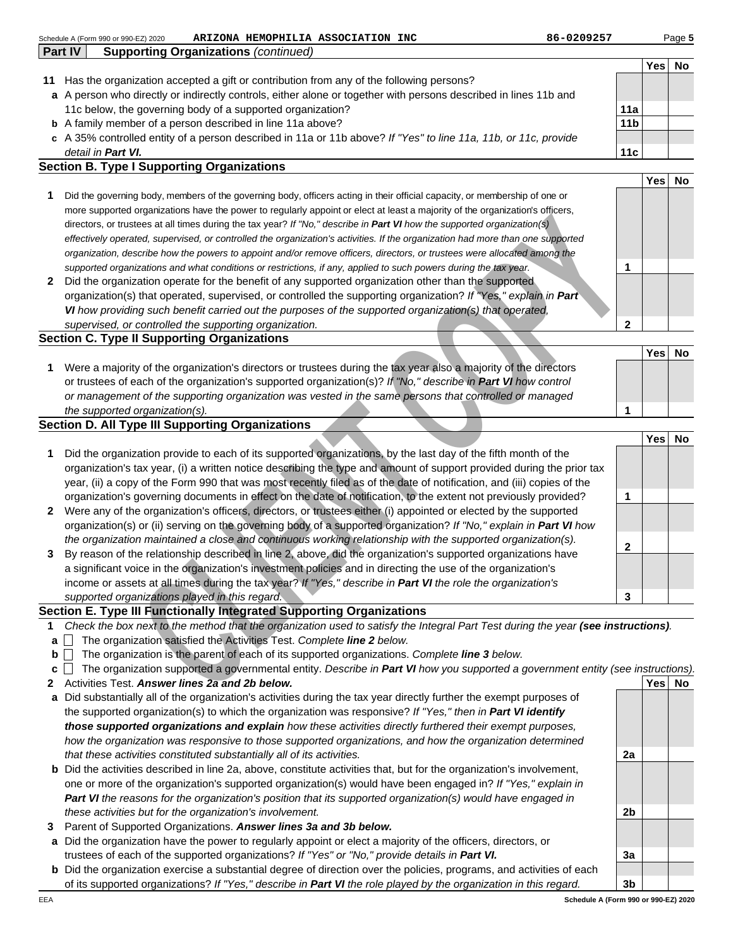|   | 86-0209257<br>Schedule A (Form 990 or 990-EZ) 2020<br>ARIZONA HEMOPHILIA ASSOCIATION INC                                                                                                                       |                 |        | Page 5 |
|---|----------------------------------------------------------------------------------------------------------------------------------------------------------------------------------------------------------------|-----------------|--------|--------|
|   | <b>Supporting Organizations (continued)</b><br>Part IV                                                                                                                                                         |                 |        |        |
|   |                                                                                                                                                                                                                |                 | Yes    | No     |
|   | 11 Has the organization accepted a gift or contribution from any of the following persons?<br>a A person who directly or indirectly controls, either alone or together with persons described in lines 11b and |                 |        |        |
|   | 11c below, the governing body of a supported organization?                                                                                                                                                     | 11a             |        |        |
|   | <b>b</b> A family member of a person described in line 11a above?                                                                                                                                              | 11 <sub>b</sub> |        |        |
|   | c A 35% controlled entity of a person described in 11a or 11b above? If "Yes" to line 11a, 11b, or 11c, provide                                                                                                |                 |        |        |
|   | detail in Part VI.                                                                                                                                                                                             | 11c             |        |        |
|   | <b>Section B. Type I Supporting Organizations</b>                                                                                                                                                              |                 |        |        |
|   |                                                                                                                                                                                                                |                 | Yes    | No     |
| 1 | Did the governing body, members of the governing body, officers acting in their official capacity, or membership of one or                                                                                     |                 |        |        |
|   | more supported organizations have the power to regularly appoint or elect at least a majority of the organization's officers,                                                                                  |                 |        |        |
|   | directors, or trustees at all times during the tax year? If "No," describe in Part VI how the supported organization(s)                                                                                        |                 |        |        |
|   | effectively operated, supervised, or controlled the organization's activities. If the organization had more than one supported                                                                                 |                 |        |        |
|   | organization, describe how the powers to appoint and/or remove officers, directors, or trustees were allocated among the                                                                                       |                 |        |        |
|   | supported organizations and what conditions or restrictions, if any, applied to such powers during the tax year.                                                                                               | 1               |        |        |
| 2 | Did the organization operate for the benefit of any supported organization other than the supported                                                                                                            |                 |        |        |
|   | organization(s) that operated, supervised, or controlled the supporting organization? If "Yes," explain in Part                                                                                                |                 |        |        |
|   | VI how providing such benefit carried out the purposes of the supported organization(s) that operated,                                                                                                         |                 |        |        |
|   | supervised, or controlled the supporting organization.                                                                                                                                                         | $\mathbf{2}$    |        |        |
|   | <b>Section C. Type II Supporting Organizations</b>                                                                                                                                                             |                 |        |        |
|   |                                                                                                                                                                                                                |                 | Yes    | No     |
| 1 | Were a majority of the organization's directors or trustees during the tax year also a majority of the directors                                                                                               |                 |        |        |
|   | or trustees of each of the organization's supported organization(s)? If "No," describe in Part VI how control                                                                                                  |                 |        |        |
|   | or management of the supporting organization was vested in the same persons that controlled or managed                                                                                                         | 1               |        |        |
|   | the supported organization(s).<br><b>Section D. All Type III Supporting Organizations</b>                                                                                                                      |                 |        |        |
|   |                                                                                                                                                                                                                |                 | Yes    | No     |
| 1 | Did the organization provide to each of its supported organizations, by the last day of the fifth month of the                                                                                                 |                 |        |        |
|   | organization's tax year, (i) a written notice describing the type and amount of support provided during the prior tax                                                                                          |                 |        |        |
|   | year, (ii) a copy of the Form 990 that was most recently filed as of the date of notification, and (iii) copies of the                                                                                         |                 |        |        |
|   | organization's governing documents in effect on the date of notification, to the extent not previously provided?                                                                                               | 1               |        |        |
| 2 | Were any of the organization's officers, directors, or trustees either (i) appointed or elected by the supported                                                                                               |                 |        |        |
|   | organization(s) or (ii) serving on the governing body of a supported organization? If "No," explain in Part VI how                                                                                             |                 |        |        |
|   | the organization maintained a close and continuous working relationship with the supported organization(s).                                                                                                    |                 |        |        |
| 3 | By reason of the relationship described in line 2, above, did the organization's supported organizations have                                                                                                  | $\mathbf{2}$    |        |        |
|   | a significant voice in the organization's investment policies and in directing the use of the organization's                                                                                                   |                 |        |        |
|   | income or assets at all times during the tax year? If "Yes," describe in Part VI the role the organization's                                                                                                   |                 |        |        |
|   | supported organizations played in this regard.                                                                                                                                                                 | 3               |        |        |
|   | Section E. Type III Functionally Integrated Supporting Organizations                                                                                                                                           |                 |        |        |
| 1 | Check the box next to the method that the organization used to satisfy the Integral Part Test during the year (see instructions).                                                                              |                 |        |        |
| a | The organization satisfied the Activities Test. Complete line 2 below.                                                                                                                                         |                 |        |        |
| b | The organization is the parent of each of its supported organizations. Complete line 3 below.                                                                                                                  |                 |        |        |
| c | The organization supported a governmental entity. Describe in Part VI how you supported a government entity (see instructions).                                                                                |                 |        |        |
| 2 | Activities Test. Answer lines 2a and 2b below.                                                                                                                                                                 |                 | Yes No |        |
| a | Did substantially all of the organization's activities during the tax year directly further the exempt purposes of                                                                                             |                 |        |        |
|   | the supported organization(s) to which the organization was responsive? If "Yes," then in Part VI identify                                                                                                     |                 |        |        |
|   | those supported organizations and explain how these activities directly furthered their exempt purposes,                                                                                                       |                 |        |        |
|   | how the organization was responsive to those supported organizations, and how the organization determined                                                                                                      |                 |        |        |
|   | that these activities constituted substantially all of its activities.                                                                                                                                         | 2a              |        |        |
|   | <b>b</b> Did the activities described in line 2a, above, constitute activities that, but for the organization's involvement,                                                                                   |                 |        |        |

|                                                                                                                        |  | טוו נכשו |
|------------------------------------------------------------------------------------------------------------------------|--|----------|
| Did the organization provide to each of its supported organizations, by the last day of the fifth month of the         |  |          |
| organization's tax year, (i) a written notice describing the type and amount of support provided during the prior tax  |  |          |
| year, (ii) a copy of the Form 990 that was most recently filed as of the date of notification, and (iii) copies of the |  |          |
| organization's governing documents in effect on the date of notification, to the extent not previously provided?       |  |          |
| 2 Were any of the organization's officers, directors, or trustees either (i) appointed or elected by the supported     |  |          |
| organization(s) or (ii) serving on the governing body of a supported organization? If "No," explain in Part VI how     |  |          |
| the organization maintained a close and continuous working relationship with the supported organization(s).            |  |          |
| 3 By reason of the relationship described in line 2, above, did the organization's supported organizations have        |  |          |
| a significant voice in the organization's investment policies and in directing the use of the organization's           |  |          |

## **Section E. Type III Functionally Integrated Supporting Organizations**

- **1** Check the box next to the method that the organization used to satisfy the Integral Part Test during the year **(see instructions)**.
- **a** The organization satisfied the Activities Test. Complete **line 2** below.
- **b The organization is the parent of each of its supported organizations. Complete line 3 below.**
- **c** The organization supported a governmental entity. Describe in **Part VI** how you supported a government entity (see instructions).
- **2 Yes No** Activities Test. **Answer lines 2a and 2b below.**
- **a** Did substantially all of the organization's activities during the tax year directly further the exempt purposes of the supported organization(s) to which the organization was responsive? If "Yes," then in **Part VI identify those supported organizations and explain** how these activities directly furthered their exempt purposes, how the organization was responsive to those supported organizations, and how the organization determined that these activities constituted substantially all of its activities.
- **b** Did the activities described in line 2a, above, constitute activities that, but for the organization's involvement, one or more of the organization's supported organization(s) would have been engaged in? If "Yes," explain in **Part VI** the reasons for the organization's position that its supported organization(s) would have engaged in these activities but for the organization's involvement.
- **3** Parent of Supported Organizations. **Answer lines 3a and 3b below.**
- **a** Did the organization have the power to regularly appoint or elect a majority of the officers, directors, or trustees of each of the supported organizations? If "Yes" or "No," provide details in **Part VI.**
- **b** Did the organization exercise a substantial degree of direction over the policies, programs, and activities of each of its supported organizations? If "Yes," describe in **Part VI** the role played by the organization in this regard.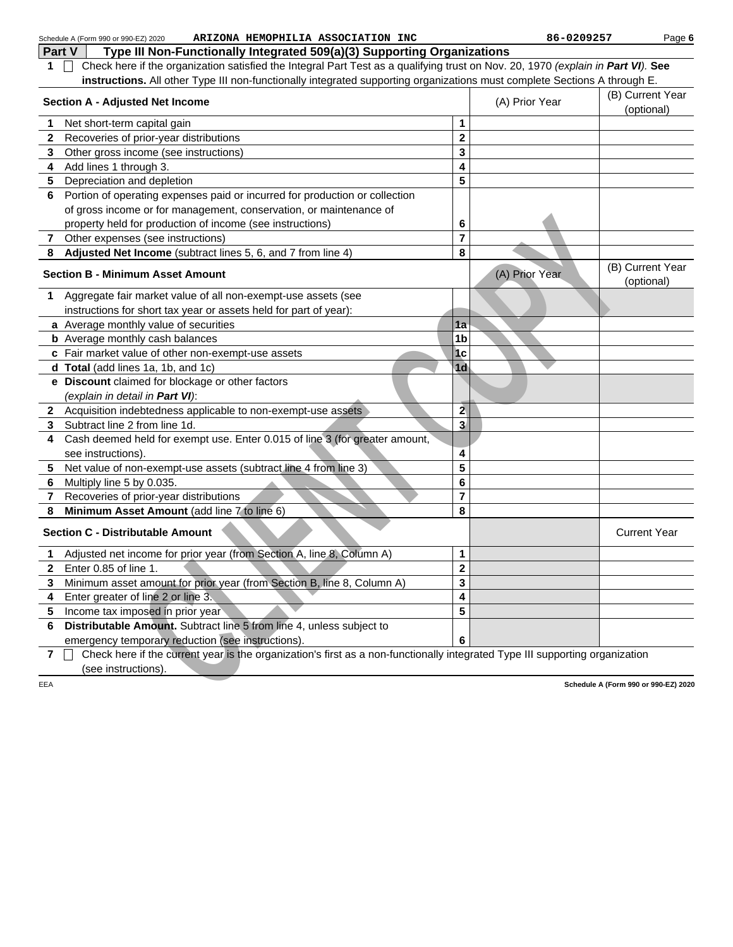| Part V         | Type III Non-Functionally Integrated 509(a)(3) Supporting Organizations                                                          |                         |                |                                      |
|----------------|----------------------------------------------------------------------------------------------------------------------------------|-------------------------|----------------|--------------------------------------|
|                |                                                                                                                                  |                         |                |                                      |
| 1              | Check here if the organization satisfied the Integral Part Test as a qualifying trust on Nov. 20, 1970 (explain in Part VI). See |                         |                |                                      |
|                | instructions. All other Type III non-functionally integrated supporting organizations must complete Sections A through E.        |                         |                |                                      |
|                | <b>Section A - Adjusted Net Income</b>                                                                                           |                         | (A) Prior Year | (B) Current Year<br>(optional)       |
| 1              | Net short-term capital gain                                                                                                      | 1                       |                |                                      |
| 2              | Recoveries of prior-year distributions                                                                                           | $\mathbf 2$             |                |                                      |
| 3              | Other gross income (see instructions)                                                                                            | 3                       |                |                                      |
| 4              | Add lines 1 through 3.                                                                                                           | 4                       |                |                                      |
| 5              | Depreciation and depletion                                                                                                       | 5                       |                |                                      |
| 6              | Portion of operating expenses paid or incurred for production or collection                                                      |                         |                |                                      |
|                | of gross income or for management, conservation, or maintenance of                                                               |                         |                |                                      |
|                | property held for production of income (see instructions)                                                                        | 6                       |                |                                      |
| 7              | Other expenses (see instructions)                                                                                                | 7                       |                |                                      |
| 8              | Adjusted Net Income (subtract lines 5, 6, and 7 from line 4)                                                                     | 8                       |                |                                      |
|                | <b>Section B - Minimum Asset Amount</b>                                                                                          |                         | (A) Prior Year | (B) Current Year<br>(optional)       |
| 1              | Aggregate fair market value of all non-exempt-use assets (see                                                                    |                         |                |                                      |
|                | instructions for short tax year or assets held for part of year):                                                                |                         |                |                                      |
|                | a Average monthly value of securities                                                                                            | 1a                      |                |                                      |
|                | <b>b</b> Average monthly cash balances                                                                                           | 1 <sub>b</sub>          |                |                                      |
|                | c Fair market value of other non-exempt-use assets                                                                               | 1 <sub>c</sub>          |                |                                      |
|                | d Total (add lines 1a, 1b, and 1c)                                                                                               | 1 <sub>d</sub>          |                |                                      |
|                | e Discount claimed for blockage or other factors                                                                                 |                         |                |                                      |
|                | (explain in detail in Part VI):                                                                                                  |                         |                |                                      |
|                | 2 Acquisition indebtedness applicable to non-exempt-use assets                                                                   | $\overline{2}$          |                |                                      |
| 3              | Subtract line 2 from line 1d.                                                                                                    | 3                       |                |                                      |
| 4              | Cash deemed held for exempt use. Enter 0.015 of line 3 (for greater amount,                                                      |                         |                |                                      |
|                | see instructions).                                                                                                               | 4                       |                |                                      |
| 5              | Net value of non-exempt-use assets (subtract line 4 from line 3)                                                                 | 5                       |                |                                      |
| 6              | Multiply line 5 by 0.035.                                                                                                        | 6                       |                |                                      |
| 7              | Recoveries of prior-year distributions                                                                                           | $\overline{7}$          |                |                                      |
| 8              | Minimum Asset Amount (add line 7 to line 6)                                                                                      | 8                       |                |                                      |
|                | <b>Section C - Distributable Amount</b>                                                                                          |                         |                | <b>Current Year</b>                  |
| 1              | Adjusted net income for prior year (from Section A, line 8, Column A)                                                            | 1                       |                |                                      |
| 2              | Enter 0.85 of line 1.                                                                                                            | $\overline{\mathbf{c}}$ |                |                                      |
| 3              | Minimum asset amount for prior year (from Section B, line 8, Column A)                                                           | 3                       |                |                                      |
| 4              | Enter greater of line 2 or line 3.                                                                                               | 4                       |                |                                      |
| 5              | Income tax imposed in prior year                                                                                                 | 5                       |                |                                      |
| 6              | Distributable Amount. Subtract line 5 from line 4, unless subject to                                                             |                         |                |                                      |
|                | emergency temporary reduction (see instructions).                                                                                | 6                       |                |                                      |
| $\overline{7}$ | Check here if the current year is the organization's first as a non-functionally integrated Type III supporting organization     |                         |                |                                      |
|                | (see instructions).                                                                                                              |                         |                |                                      |
| EEA            |                                                                                                                                  |                         |                | Schedule A (Form 990 or 990-EZ) 2020 |
|                |                                                                                                                                  |                         |                |                                      |
|                |                                                                                                                                  |                         |                |                                      |
|                |                                                                                                                                  |                         |                |                                      |
|                |                                                                                                                                  |                         |                |                                      |
|                |                                                                                                                                  |                         |                |                                      |
|                |                                                                                                                                  |                         |                |                                      |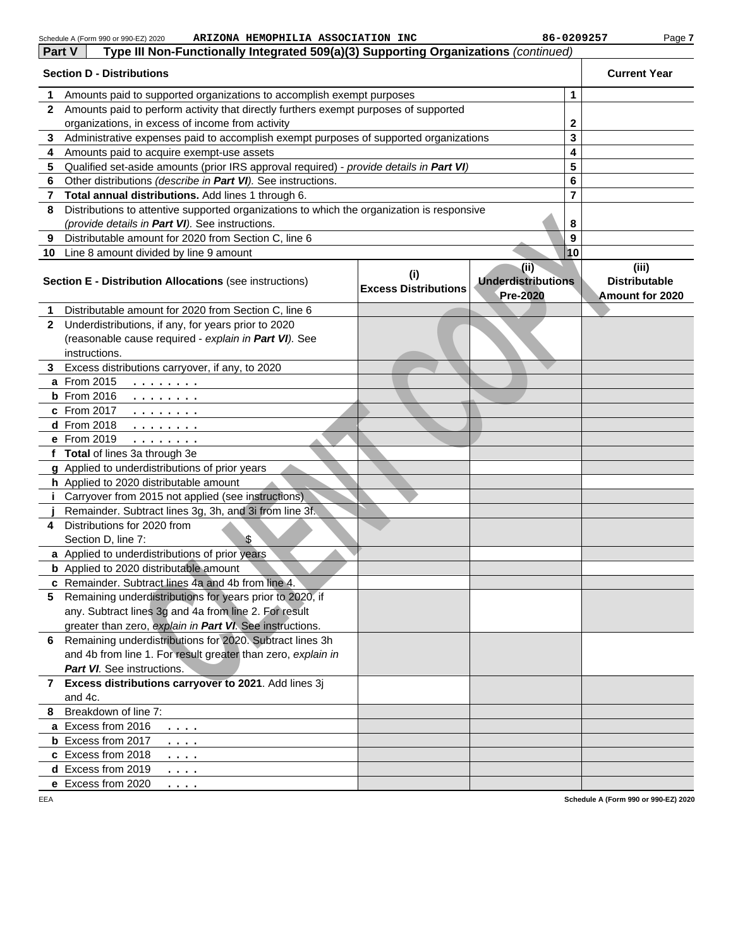|              | ARIZONA HEMOPHILIA ASSOCIATION INC<br>Schedule A (Form 990 or 990-EZ) 2020                 |                                    | 86-0209257                                            | Page 7                                                  |
|--------------|--------------------------------------------------------------------------------------------|------------------------------------|-------------------------------------------------------|---------------------------------------------------------|
| Part V       | Type III Non-Functionally Integrated 509(a)(3) Supporting Organizations (continued)        |                                    |                                                       |                                                         |
|              | <b>Section D - Distributions</b>                                                           |                                    |                                                       | <b>Current Year</b>                                     |
| 1            | Amounts paid to supported organizations to accomplish exempt purposes                      |                                    | 1                                                     |                                                         |
| $\mathbf{2}$ | Amounts paid to perform activity that directly furthers exempt purposes of supported       |                                    |                                                       |                                                         |
|              | organizations, in excess of income from activity                                           |                                    | $\mathbf 2$                                           |                                                         |
| 3            | Administrative expenses paid to accomplish exempt purposes of supported organizations      |                                    | 3                                                     |                                                         |
| 4            | Amounts paid to acquire exempt-use assets                                                  |                                    | 4                                                     |                                                         |
| 5            | Qualified set-aside amounts (prior IRS approval required) - provide details in Part VI)    |                                    | 5                                                     |                                                         |
| 6            | Other distributions (describe in Part VI). See instructions.                               |                                    | 6                                                     |                                                         |
| 7            | Total annual distributions. Add lines 1 through 6.                                         |                                    | $\overline{\mathbf{r}}$                               |                                                         |
| 8            | Distributions to attentive supported organizations to which the organization is responsive |                                    |                                                       |                                                         |
|              | (provide details in Part VI). See instructions.                                            |                                    | 8                                                     |                                                         |
| 9            | Distributable amount for 2020 from Section C, line 6                                       |                                    | 9                                                     |                                                         |
| 10           | Line 8 amount divided by line 9 amount                                                     |                                    | 10                                                    |                                                         |
|              | <b>Section E - Distribution Allocations (see instructions)</b>                             | (i)<br><b>Excess Distributions</b> | (iii)<br><b>Underdistributions</b><br><b>Pre-2020</b> | (iii)<br><b>Distributable</b><br><b>Amount for 2020</b> |
| 1            | Distributable amount for 2020 from Section C, line 6                                       |                                    |                                                       |                                                         |
| $\mathbf{2}$ | Underdistributions, if any, for years prior to 2020                                        |                                    |                                                       |                                                         |
|              | (reasonable cause required - explain in Part VI). See                                      |                                    |                                                       |                                                         |
|              | instructions.                                                                              |                                    |                                                       |                                                         |
| 3.           | Excess distributions carryover, if any, to 2020                                            |                                    |                                                       |                                                         |
|              | a From 2015<br>.                                                                           |                                    |                                                       |                                                         |
|              | <b>b</b> From 2016<br>.                                                                    |                                    |                                                       |                                                         |
|              | c From 2017<br>.                                                                           |                                    |                                                       |                                                         |
|              | d From 2018<br>.                                                                           |                                    |                                                       |                                                         |
|              | e From 2019<br>.                                                                           |                                    |                                                       |                                                         |
|              | f Total of lines 3a through 3e                                                             |                                    |                                                       |                                                         |
|              | g Applied to underdistributions of prior years<br>h Applied to 2020 distributable amount   |                                    |                                                       |                                                         |
|              | <i>i</i> Carryover from 2015 not applied (see instructions)                                |                                    |                                                       |                                                         |
|              | Remainder. Subtract lines 3g, 3h, and 3i from line 3f.                                     |                                    |                                                       |                                                         |
| 4            | Distributions for 2020 from                                                                |                                    |                                                       |                                                         |
|              | \$<br>Section D, line 7:                                                                   |                                    |                                                       |                                                         |
|              | a Applied to underdistributions of prior years                                             |                                    |                                                       |                                                         |
|              | <b>b</b> Applied to 2020 distributable amount                                              |                                    |                                                       |                                                         |
|              | c Remainder. Subtract lines 4a and 4b from line 4.                                         |                                    |                                                       |                                                         |
|              | 5 Remaining underdistributions for years prior to 2020, if                                 |                                    |                                                       |                                                         |
|              | any. Subtract lines 3g and 4a from line 2. For result                                      |                                    |                                                       |                                                         |
|              | greater than zero, explain in Part VI. See instructions.                                   |                                    |                                                       |                                                         |
| 6.           | Remaining underdistributions for 2020. Subtract lines 3h                                   |                                    |                                                       |                                                         |
|              | and 4b from line 1. For result greater than zero, explain in                               |                                    |                                                       |                                                         |
|              | <b>Part VI.</b> See instructions.                                                          |                                    |                                                       |                                                         |
|              | 7 Excess distributions carryover to 2021. Add lines 3j                                     |                                    |                                                       |                                                         |
|              | and 4c.                                                                                    |                                    |                                                       |                                                         |
| 8            | Breakdown of line 7:                                                                       |                                    |                                                       |                                                         |
|              | a Excess from 2016<br>.                                                                    |                                    |                                                       |                                                         |
|              | <b>b</b> Excess from 2017<br>$\cdots$<br>c Excess from 2018                                |                                    |                                                       |                                                         |
|              | $\cdots$<br>d Excess from 2019                                                             |                                    |                                                       |                                                         |
|              | .<br>e Excess from 2020                                                                    |                                    |                                                       |                                                         |
| FFA          | .                                                                                          |                                    |                                                       | Schedule A (Form 990 or 990-F7) 2020                    |

EEA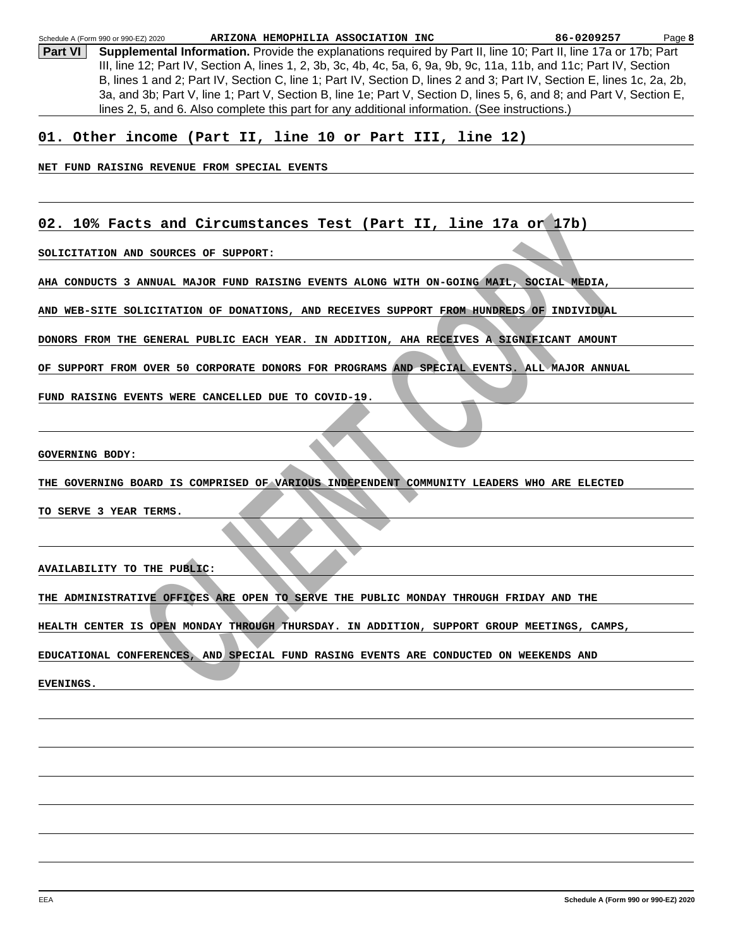NOTE AND SOURCES OF SUPPORT.<br>
AND SOURCES OF SUPPORT.<br>
3 ANNUAL MAJOR FUND RAISING EVENTS ALONG WITH ON-GOING MAIL, SOCIAL REDIA,<br>
SOLICITATION OF DOMATIONS, AND SECEIVES SUPPORT FROM HUNDERDS OF INDIVIDUAL<br>
HE GENERAL FUN **Part VI** Supplemental Information. Provide the explanations required by Part II, line 10; Part II, line 17a or 17b; Part III, line 12; Part IV, Section A, lines 1, 2, 3b, 3c, 4b, 4c, 5a, 6, 9a, 9b, 9c, 11a, 11b, and 11c; Part IV, Section B, lines 1 and 2; Part IV, Section C, line 1; Part IV, Section D, lines 2 and 3; Part IV, Section E, lines 1c, 2a, 2b, 3a, and 3b; Part V, line 1; Part V, Section B, line 1e; Part V, Section D, lines 5, 6, and 8; and Part V, Section E, lines 2, 5, and 6. Also complete this part for any additional information. (See instructions.) Page **8** Schedule A (Form 990 or 990-EZ) 2020 **ARIZONA HEMOPHILIA ASSOCIATION INC 86-0209257 01. Other income (Part II, line 10 or Part III, line 12) NET FUND RAISING REVENUE FROM SPECIAL EVENTS 02. 10% Facts and Circumstances Test (Part II, line 17a or 17b) SOLICITATION AND SOURCES OF SUPPORT: AHA CONDUCTS 3 ANNUAL MAJOR FUND RAISING EVENTS ALONG WITH ON-GOING MAIL, SOCIAL MEDIA, AND WEB-SITE SOLICITATION OF DONATIONS, AND RECEIVES SUPPORT FROM HUNDREDS OF INDIVIDUAL DONORS FROM THE GENERAL PUBLIC EACH YEAR. IN ADDITION, AHA RECEIVES A SIGNIFICANT AMOUNT OF SUPPORT FROM OVER 50 CORPORATE DONORS FOR PROGRAMS AND SPECIAL EVENTS. ALL MAJOR ANNUAL FUND RAISING EVENTS WERE CANCELLED DUE TO COVID-19. GOVERNING BODY: THE GOVERNING BOARD IS COMPRISED OF VARIOUS INDEPENDENT COMMUNITY LEADERS WHO ARE ELECTED TO SERVE 3 YEAR TERMS. AVAILABILITY TO THE PUBLIC: THE ADMINISTRATIVE OFFICES ARE OPEN TO SERVE THE PUBLIC MONDAY THROUGH FRIDAY AND THE HEALTH CENTER IS OPEN MONDAY THROUGH THURSDAY. IN ADDITION, SUPPORT GROUP MEETINGS, CAMPS, EDUCATIONAL CONFERENCES, AND SPECIAL FUND RASING EVENTS ARE CONDUCTED ON WEEKENDS AND EVENINGS.**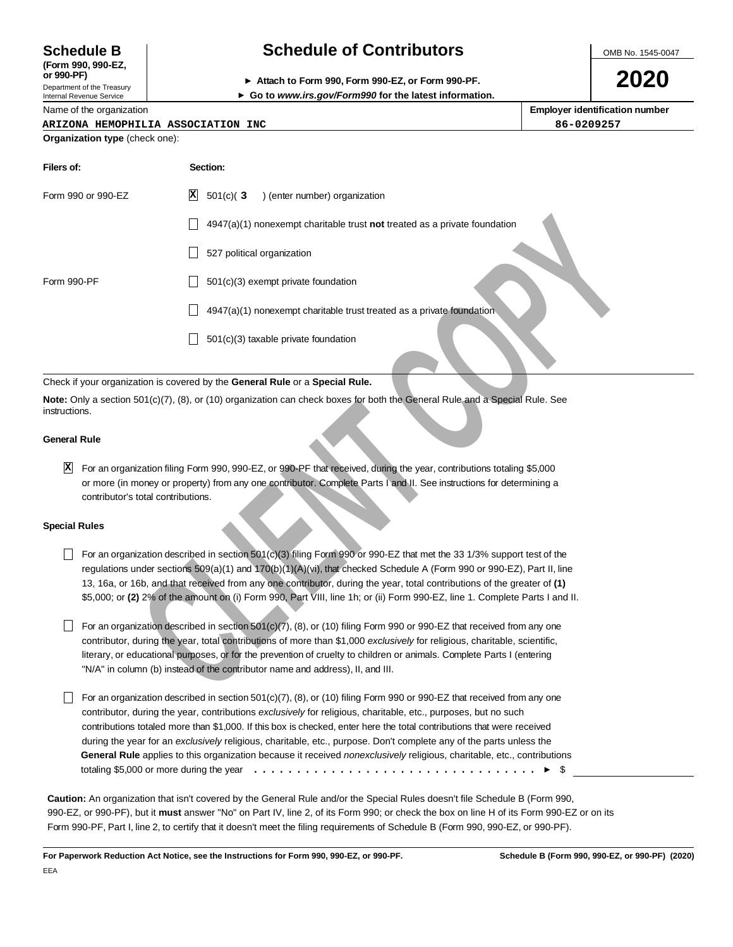**(Form 990, 990-EZ,**

Department of the Treasury Internal Revenue Service

Name of the organization

# **Schedule B Schedule of Contributors**

OMB No. 1545-0047

**2020**

**or 990-PF) Attach to Form 990, Form 990-EZ, or Form 990-PF.**

**Go to www.irs.gov/Form990 for the latest information.**

**Employer identification number ARIZONA HEMOPHILIA ASSOCIATION INC 86-0209257**

# **Organization type** (check one):

| Filers of:                                            | Section:                                                                                                                                                                                                                                                                                                                                                                                                                                                                                                                                                                                                                                                                                                                                                                                                                                                                                  |
|-------------------------------------------------------|-------------------------------------------------------------------------------------------------------------------------------------------------------------------------------------------------------------------------------------------------------------------------------------------------------------------------------------------------------------------------------------------------------------------------------------------------------------------------------------------------------------------------------------------------------------------------------------------------------------------------------------------------------------------------------------------------------------------------------------------------------------------------------------------------------------------------------------------------------------------------------------------|
| Form 990 or 990-EZ                                    | $\vert x \vert$<br>$501(c)$ (3<br>) (enter number) organization                                                                                                                                                                                                                                                                                                                                                                                                                                                                                                                                                                                                                                                                                                                                                                                                                           |
|                                                       | $4947(a)(1)$ nonexempt charitable trust not treated as a private foundation                                                                                                                                                                                                                                                                                                                                                                                                                                                                                                                                                                                                                                                                                                                                                                                                               |
|                                                       | 527 political organization                                                                                                                                                                                                                                                                                                                                                                                                                                                                                                                                                                                                                                                                                                                                                                                                                                                                |
| Form 990-PF                                           | 501(c)(3) exempt private foundation                                                                                                                                                                                                                                                                                                                                                                                                                                                                                                                                                                                                                                                                                                                                                                                                                                                       |
|                                                       | 4947(a)(1) nonexempt charitable trust treated as a private foundation                                                                                                                                                                                                                                                                                                                                                                                                                                                                                                                                                                                                                                                                                                                                                                                                                     |
|                                                       | 501(c)(3) taxable private foundation                                                                                                                                                                                                                                                                                                                                                                                                                                                                                                                                                                                                                                                                                                                                                                                                                                                      |
|                                                       | Check if your organization is covered by the General Rule or a Special Rule.                                                                                                                                                                                                                                                                                                                                                                                                                                                                                                                                                                                                                                                                                                                                                                                                              |
| instructions.                                         | Note: Only a section 501(c)(7), (8), or (10) organization can check boxes for both the General Rule and a Special Rule. See                                                                                                                                                                                                                                                                                                                                                                                                                                                                                                                                                                                                                                                                                                                                                               |
| <b>General Rule</b>                                   |                                                                                                                                                                                                                                                                                                                                                                                                                                                                                                                                                                                                                                                                                                                                                                                                                                                                                           |
| $\vert x \vert$<br>contributor's total contributions. | For an organization filing Form 990, 990-EZ, or 990-PF that received, during the year, contributions totaling \$5,000<br>or more (in money or property) from any one contributor. Complete Parts I and II. See instructions for determining a                                                                                                                                                                                                                                                                                                                                                                                                                                                                                                                                                                                                                                             |
| <b>Special Rules</b>                                  |                                                                                                                                                                                                                                                                                                                                                                                                                                                                                                                                                                                                                                                                                                                                                                                                                                                                                           |
|                                                       | For an organization described in section 501(c)(3) filing Form 990 or 990-EZ that met the 33 1/3% support test of the<br>regulations under sections 509(a)(1) and 170(b)(1)(A)(vi), that checked Schedule A (Form 990 or 990-EZ), Part II, line<br>13, 16a, or 16b, and that received from any one contributor, during the year, total contributions of the greater of (1)<br>\$5,000; or (2) 2% of the amount on (i) Form 990, Part VIII, line 1h; or (ii) Form 990-EZ, line 1. Complete Parts I and II.<br>For an organization described in section 501(c)(7), (8), or (10) filing Form 990 or 990-EZ that received from any one<br>contributor, during the year, total contributions of more than \$1,000 exclusively for religious, charitable, scientific,<br>literary, or educational purposes, or for the prevention of cruelty to children or animals. Complete Parts I (entering |
|                                                       | "N/A" in column (b) instead of the contributor name and address), II, and III.<br>For an organization described in section 501(c)(7), (8), or (10) filing Form 990 or 990-EZ that received from any one                                                                                                                                                                                                                                                                                                                                                                                                                                                                                                                                                                                                                                                                                   |
|                                                       | contributor, during the year, contributions exclusively for religious, charitable, etc., purposes, but no such<br>contributions totaled more than \$1,000. If this box is checked, enter here the total contributions that were received<br>during the year for an exclusively religious, charitable, etc., purpose. Don't complete any of the parts unless the<br>General Rule applies to this organization because it received nonexclusively religious, charitable, etc., contributions                                                                                                                                                                                                                                                                                                                                                                                                |
|                                                       | $\blacktriangleright$ s                                                                                                                                                                                                                                                                                                                                                                                                                                                                                                                                                                                                                                                                                                                                                                                                                                                                   |

### Check if your organization is covered by the **General Rule** or a **Special Rule.**

### **General Rule**

### **Special Rules**

- For an organization described in section  $501(c)(3)$  filing Form 990 or 990-EZ that met the 33 1/3% support test of the regulations under sections 509(a)(1) and 170(b)(1)(A)(vi), that checked Schedule A (Form 990 or 990-EZ), Part II, line 13, 16a, or 16b, and that received from any one contributor, during the year, total contributions of the greater of **(1)** \$5,000; or **(2)** 2% of the amount on (i) Form 990, Part VIII, line 1h; or (ii) Form 990-EZ, line 1. Complete Parts I and II.
- $\Box$  For an organization described in section 501(c)(7), (8), or (10) filing Form 990 or 990-EZ that received from any one contributor, during the year, total contributions of more than \$1,000 exclusively for religious, charitable, scientific, literary, or educational purposes, or for the prevention of cruelty to children or animals. Complete Parts I (entering "N/A" in column (b) instead of the contributor name and address), II, and III.
- For an organization described in section 501(c)(7),  $(8)$ , or (10) filing Form 990 or 990-EZ that received from any one contributor, during the year, contributions exclusively for religious, charitable, etc., purposes, but no such contributions totaled more than \$1,000. If this box is checked, enter here the total contributions that were received during the year for an exclusively religious, charitable, etc., purpose. Don't complete any of the parts unless the **General Rule** applies to this organization because it received nonexclusively religious, charitable, etc., contributions totaling \$5,000 or more during the year \$ .................................

**Caution:** An organization that isn't covered by the General Rule and/or the Special Rules doesn't file Schedule B (Form 990, 990-EZ, or 990-PF), but it **must** answer "No" on Part IV, line 2, of its Form 990; or check the box on line H of its Form 990-EZ or on its Form 990-PF, Part I, line 2, to certify that it doesn't meet the filing requirements of Schedule B (Form 990, 990-EZ, or 990-PF).

**For Paperwork Reduction Act Notice, see the Instructions for Form 990, 990-EZ, or 990-PF. Schedule B (Form 990, 990-EZ, or 990-PF) (2020)**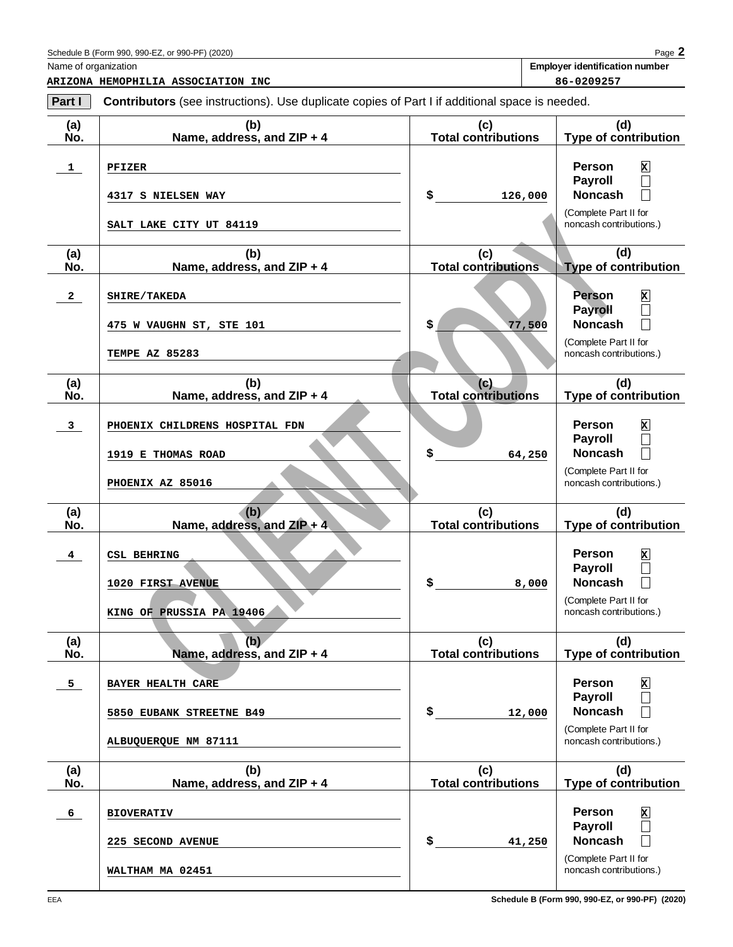**ARIZONA HEMOPHILIA ASSOCIATION INC 86-0209257**

Name of organization **Employer identification number**

| Part I                  | <b>Contributors</b> (see instructions). Use duplicate copies of Part I if additional space is needed. |                                   |                                                                                                                                                     |
|-------------------------|-------------------------------------------------------------------------------------------------------|-----------------------------------|-----------------------------------------------------------------------------------------------------------------------------------------------------|
| (a)<br>No.              | (b)<br>Name, address, and ZIP + 4                                                                     | (c)<br><b>Total contributions</b> | (d)<br><b>Type of contribution</b>                                                                                                                  |
| $\mathbf{1}$            | PFIZER<br>4317 S NIELSEN WAY                                                                          | \$<br>126,000                     | <b>Person</b><br>$\mathbf{x}$<br><b>Payroll</b><br>$\Box$<br><b>Noncash</b><br>$\Box$<br>(Complete Part II for                                      |
|                         | SALT LAKE CITY UT 84119                                                                               |                                   | noncash contributions.)                                                                                                                             |
| (a)<br>No.              | (b)<br>Name, address, and ZIP + 4                                                                     | (c)<br><b>Total contributions</b> | (d)<br><b>Type of contribution</b>                                                                                                                  |
| $\mathbf{2}$            | SHIRE/TAKEDA<br>475 W VAUGHN ST, STE 101                                                              | \$<br>77,500                      | x<br>Person<br><b>Payroll</b><br>$\Box$<br><b>Noncash</b><br>$\Box$<br>(Complete Part II for                                                        |
| (a)<br>No.              | <b>TEMPE AZ 85283</b><br>(b)<br>Name, address, and ZIP + 4                                            | (c)<br><b>Total contributions</b> | noncash contributions.)<br>(d)<br><b>Type of contribution</b>                                                                                       |
| $\mathbf{3}$            | PHOENIX CHILDRENS HOSPITAL FDN<br>1919 E THOMAS ROAD                                                  | \$<br>64,250                      | <b>Person</b><br>x<br><b>Payroll</b><br>$\Box$<br><b>Noncash</b><br>П                                                                               |
|                         | PHOENIX AZ 85016                                                                                      |                                   | (Complete Part II for<br>noncash contributions.)                                                                                                    |
| (a)<br>No.              | (b)<br>Name, address, and ZIP + 4                                                                     | (c)<br><b>Total contributions</b> | (d)<br><b>Type of contribution</b>                                                                                                                  |
| $\overline{\mathbf{4}}$ | <b>CSL BEHRING</b><br>1020 FIRST AVENUE<br>KING OF PRUSSIA PA 19406                                   | \$<br>8,000                       | <b>Person</b><br>x<br><b>Payroll</b><br>$\Box$<br><b>Noncash</b><br>$\Box$<br>(Complete Part II for<br>noncash contributions.)                      |
| (a)<br>No.              | (b)<br>Name, address, and ZIP + 4                                                                     | (c)<br><b>Total contributions</b> | (d)<br><b>Type of contribution</b>                                                                                                                  |
| 5 <sub>1</sub>          | <b>BAYER HEALTH CARE</b><br>5850 EUBANK STREETNE B49<br>ALBUQUERQUE NM 87111                          | \$<br>12,000                      | <b>Person</b><br>x<br><b>Payroll</b><br>$\Box$<br><b>Noncash</b><br>$\mathcal{L}$<br>(Complete Part II for<br>noncash contributions.)               |
| (a)<br>No.              | (b)<br>Name, address, and ZIP + 4                                                                     | (c)<br><b>Total contributions</b> | (d)<br><b>Type of contribution</b>                                                                                                                  |
| 6                       | <b>BIOVERATIV</b><br>225 SECOND AVENUE                                                                | \$<br>41,250                      | <b>Person</b><br>$\mathbf x$<br><b>Payroll</b><br>$\Box$<br><b>Noncash</b><br>$\vert \ \ \vert$<br>(Complete Part II for<br>noncash contributions.) |
|                         | WALTHAM MA 02451                                                                                      |                                   |                                                                                                                                                     |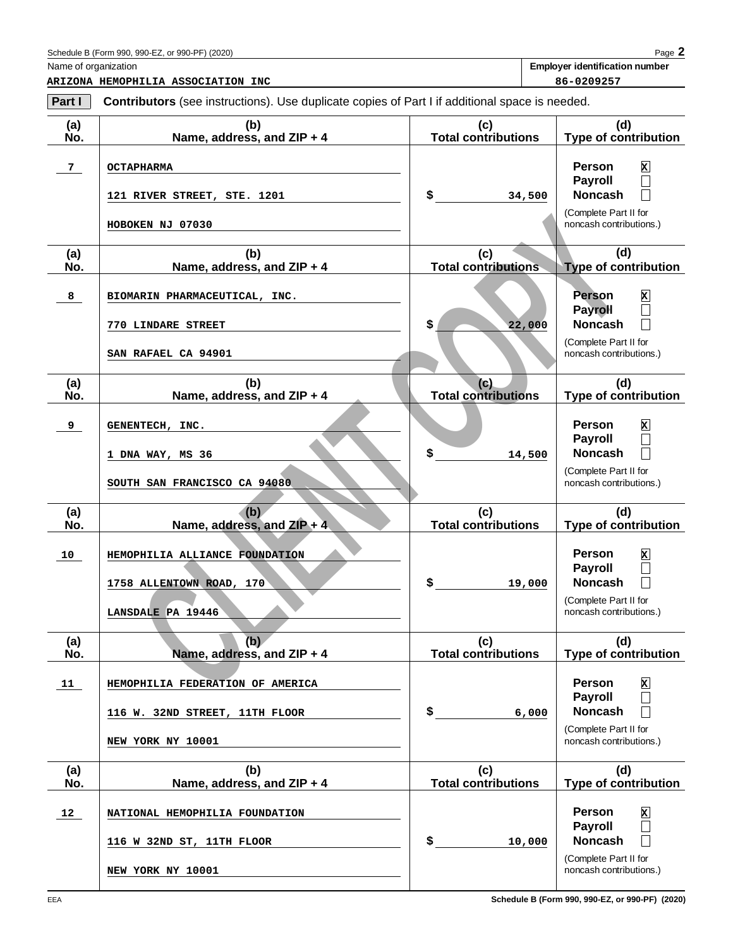Name of organization **Employer identification number**

| Part I     | <b>Contributors</b> (see instructions). Use duplicate copies of Part I if additional space is needed. |                                   |                                                                                                                   |
|------------|-------------------------------------------------------------------------------------------------------|-----------------------------------|-------------------------------------------------------------------------------------------------------------------|
| (a)<br>No. | (b)<br>Name, address, and ZIP + 4                                                                     | (c)<br><b>Total contributions</b> | (d)<br><b>Type of contribution</b>                                                                                |
| 7          | <b>OCTAPHARMA</b>                                                                                     |                                   | <b>Person</b><br>$\mathbf{x}$<br>Payroll<br>$\Box$                                                                |
|            | 121 RIVER STREET, STE. 1201<br>HOBOKEN NJ 07030                                                       | \$<br>34,500                      | <b>Noncash</b><br>$\overline{\phantom{a}}$<br>(Complete Part II for<br>noncash contributions.)                    |
|            |                                                                                                       |                                   |                                                                                                                   |
| (a)<br>No. | (b)<br>Name, address, and ZIP + 4                                                                     | (c)<br><b>Total contributions</b> | (d)<br><b>Type of contribution</b>                                                                                |
| 8          | BIOMARIN PHARMACEUTICAL, INC.                                                                         |                                   | Person<br>$\mathbf{x}$<br><b>Payroll</b><br>$\Box$                                                                |
|            | 770 LINDARE STREET                                                                                    | \$<br>22,000                      | <b>Noncash</b><br>$\Box$                                                                                          |
|            | SAN RAFAEL CA 94901                                                                                   |                                   | (Complete Part II for<br>noncash contributions.)                                                                  |
| (a)<br>No. | (b)<br>Name, address, and ZIP + 4                                                                     | (c)<br><b>Total contributions</b> | (d)<br>Type of contribution                                                                                       |
| 9          | GENENTECH, INC.                                                                                       |                                   | Person<br>x                                                                                                       |
|            | 1 DNA WAY, MS 36                                                                                      | \$<br>14,500                      | <b>Payroll</b><br>$\Box$<br><b>Noncash</b><br>$\Box$                                                              |
|            | SOUTH SAN FRANCISCO CA 94080                                                                          |                                   | (Complete Part II for<br>noncash contributions.)                                                                  |
|            |                                                                                                       |                                   |                                                                                                                   |
| (a)<br>No. | (b)<br>Name, address, and ZIP + 4.                                                                    | (c)<br><b>Total contributions</b> | (d)<br>Type of contribution                                                                                       |
| 10         | HEMOPHILIA ALLIANCE FOUNDATION<br>1758 ALLENTOWN ROAD, 170                                            | \$<br>19,000                      | <b>Person</b><br>x<br><b>Payroll</b><br><b>Noncash</b><br>$\Box$                                                  |
|            | LANSDALE PA 19446                                                                                     |                                   | (Complete Part II for<br>noncash contributions.)                                                                  |
| (a)<br>No. | (b)<br>Name, address, and ZIP + 4                                                                     | (c)<br><b>Total contributions</b> | (d)<br><b>Type of contribution</b>                                                                                |
| 11         | HEMOPHILIA FEDERATION OF AMERICA                                                                      |                                   | <b>Person</b><br>$\mathbf{x}$                                                                                     |
|            | 116 W. 32ND STREET, 11TH FLOOR                                                                        | \$<br>6,000                       | <b>Payroll</b><br><b>Noncash</b><br>$\overline{\phantom{a}}$                                                      |
|            | NEW YORK NY 10001                                                                                     |                                   | (Complete Part II for<br>noncash contributions.)                                                                  |
| (a)<br>No. | (b)<br>Name, address, and ZIP + 4                                                                     | (c)<br><b>Total contributions</b> | (d)<br><b>Type of contribution</b>                                                                                |
| 12         | NATIONAL HEMOPHILIA FOUNDATION                                                                        |                                   | Person<br>$\mathbf{x}$                                                                                            |
|            | 116 W 32ND ST, 11TH FLOOR                                                                             | \$<br>10,000                      | <b>Payroll</b><br>$\overline{\phantom{a}}$<br><b>Noncash</b><br>$\overline{\phantom{a}}$<br>(Complete Part II for |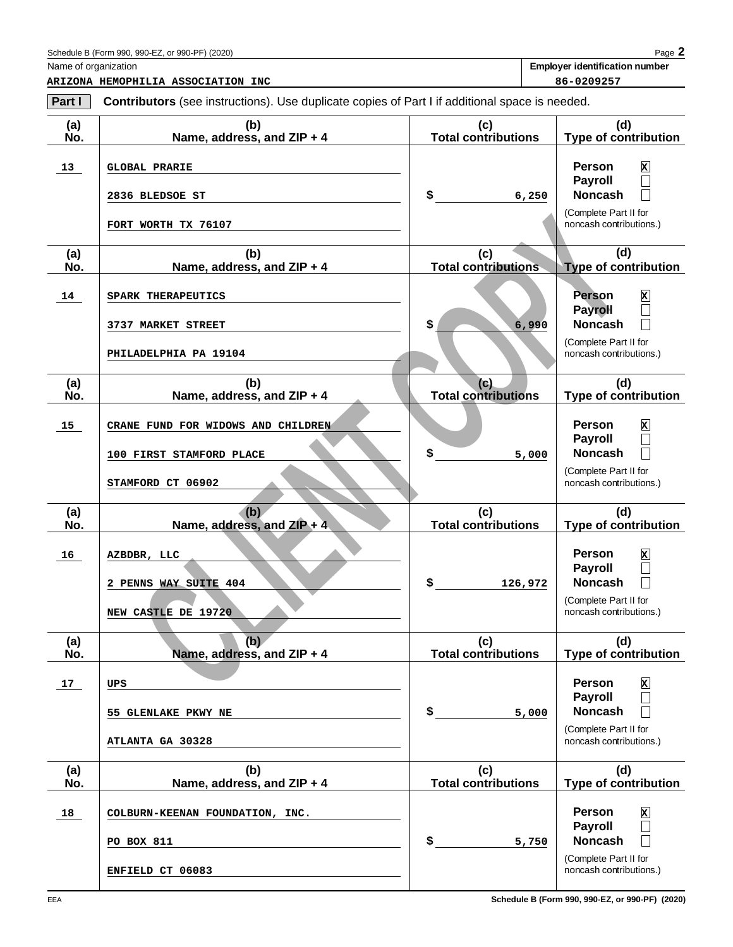EEA

Name of organization **Employer identification number**

| Part I     | <b>Contributors</b> (see instructions). Use duplicate copies of Part I if additional space is needed. |                                   |                                                  |
|------------|-------------------------------------------------------------------------------------------------------|-----------------------------------|--------------------------------------------------|
| (a)<br>No. | (b)<br>Name, address, and ZIP + 4                                                                     | (c)<br><b>Total contributions</b> | (d)<br><b>Type of contribution</b>               |
| 13         | <b>GLOBAL PRARIE</b>                                                                                  |                                   | $\mathbf{x}$<br><b>Person</b><br><b>Payroll</b>  |
|            | 2836 BLEDSOE ST                                                                                       | \$<br>6,250                       | <b>Noncash</b><br>(Complete Part II for          |
|            | FORT WORTH TX 76107                                                                                   |                                   | noncash contributions.)                          |
| (a)<br>No. | (b)<br>Name, address, and ZIP + 4                                                                     | (c)<br><b>Total contributions</b> | (d)<br><b>Type of contribution</b>               |
| 14         | SPARK THERAPEUTICS                                                                                    |                                   | $\mathbf x$<br><b>Person</b><br><b>Payroll</b>   |
|            | 3737 MARKET STREET                                                                                    | \$<br>6,990                       | <b>Noncash</b><br>(Complete Part II for          |
|            | PHILADELPHIA PA 19104                                                                                 |                                   | noncash contributions.)                          |
| (a)<br>No. | (b)<br>Name, address, and ZIP + 4                                                                     | (c)<br><b>Total contributions</b> | (d)<br><b>Type of contribution</b>               |
| 15         | CRANE FUND FOR WIDOWS AND CHILDREN                                                                    |                                   | $\mathbf x$<br><b>Person</b><br><b>Payroll</b>   |
|            | 100 FIRST STAMFORD PLACE                                                                              | \$<br>5,000                       | <b>Noncash</b>                                   |
|            | STAMFORD CT 06902                                                                                     |                                   | (Complete Part II for<br>noncash contributions.) |
| (a)<br>No. | (b)<br>Name, address, and ZIP + 4                                                                     | (c)<br><b>Total contributions</b> | (d)<br><b>Type of contribution</b>               |
| 16         | AZBDBR, LLC                                                                                           |                                   | $\mathbf{x}$<br><b>Person</b>                    |
|            | 2 PENNS WAY SUITE 404                                                                                 | \$<br>126,972                     | <b>Payroll</b><br><b>Noncash</b>                 |
|            | NEW CASTLE DE 19720                                                                                   |                                   | (Complete Part II for<br>noncash contributions.) |
| (a)<br>No. | (b)<br>Name, address, and ZIP + 4                                                                     | (c)<br><b>Total contributions</b> | (d)<br><b>Type of contribution</b>               |
| 17         | UPS                                                                                                   |                                   | $\mathbf{x}$<br><b>Person</b>                    |
|            | 55 GLENLAKE PKWY NE                                                                                   | \$<br>5,000                       | <b>Payroll</b><br><b>Noncash</b>                 |
|            | ATLANTA GA 30328                                                                                      |                                   | (Complete Part II for<br>noncash contributions.) |
| (a)<br>No. | (b)<br>Name, address, and ZIP + 4                                                                     | (c)<br><b>Total contributions</b> | (d)<br><b>Type of contribution</b>               |
| 18         | COLBURN-KEENAN FOUNDATION, INC.                                                                       |                                   | $\mathbf{x}$<br>Person<br><b>Payroll</b>         |
|            | PO BOX 811                                                                                            | \$<br>5,750                       | <b>Noncash</b>                                   |
|            |                                                                                                       |                                   | (Complete Part II for                            |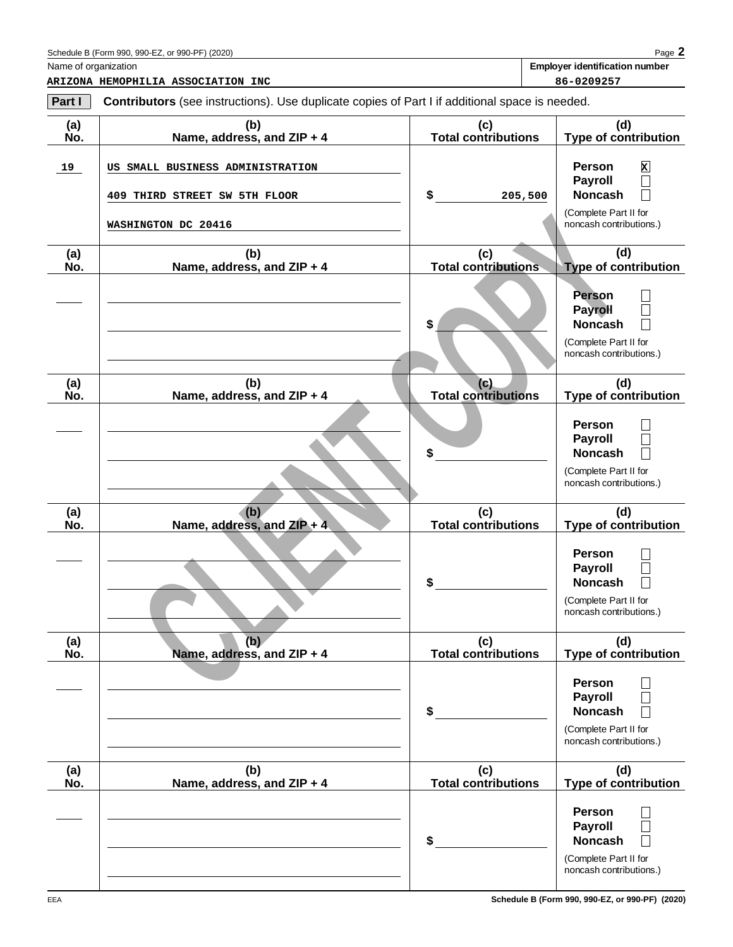| Schedule B (Form 990, 990-EZ,<br>or 990-PF)<br>(2020)<br>. 01 | Page |
|---------------------------------------------------------------|------|
|---------------------------------------------------------------|------|

Name of organization **Employer identification number**

| Part I     | <b>Contributors</b> (see instructions). Use duplicate copies of Part I if additional space is needed. |                                   |                                                                                              |
|------------|-------------------------------------------------------------------------------------------------------|-----------------------------------|----------------------------------------------------------------------------------------------|
| (a)<br>No. | (b)<br>Name, address, and ZIP + 4                                                                     | (c)<br>Total contributions        | (d)<br><b>Type of contribution</b>                                                           |
| 19         | US SMALL BUSINESS ADMINISTRATION<br>409 THIRD STREET SW 5TH FLOOR                                     | \$<br>205,500                     | <b>Person</b><br>x<br><b>Payroll</b><br>$\Box$<br><b>Noncash</b><br>$\overline{\phantom{a}}$ |
|            | WASHINGTON DC 20416                                                                                   |                                   | (Complete Part II for<br>noncash contributions.)                                             |
| (a)<br>No. | (b)<br>Name, address, and ZIP + 4                                                                     | (c)<br><b>Total contributions</b> | (d)<br><b>Type of contribution</b>                                                           |
|            |                                                                                                       | \$                                | <b>Person</b><br><b>Payroll</b><br><b>Noncash</b><br>(Complete Part II for                   |
| (a)<br>No. | (b)<br>Name, address, and ZIP + 4                                                                     | (c)<br><b>Total contributions</b> | noncash contributions.)<br>(d)<br><b>Type of contribution</b>                                |
|            |                                                                                                       | \$                                | <b>Person</b><br><b>Payroll</b><br><b>Noncash</b>                                            |
|            |                                                                                                       |                                   | (Complete Part II for<br>noncash contributions.)                                             |
| (a)<br>No. | (b)<br>Name, address, and ZIP + 4                                                                     | (c)<br><b>Total contributions</b> | (d)<br><b>Type of contribution</b>                                                           |
|            |                                                                                                       | \$                                | <b>Person</b><br><b>Payroll</b><br><b>Noncash</b><br>$\overline{\phantom{a}}$                |
|            |                                                                                                       |                                   | (Complete Part II for<br>noncash contributions.)                                             |
| (a)<br>No. | (b)<br>Name, address, and ZIP + 4                                                                     | (c)<br><b>Total contributions</b> | (d)<br><b>Type of contribution</b>                                                           |
|            |                                                                                                       | \$                                | Person<br><b>Payroll</b><br><b>Noncash</b>                                                   |
|            |                                                                                                       |                                   | (Complete Part II for<br>noncash contributions.)                                             |
| (a)<br>No. | (b)<br>Name, address, and ZIP + 4                                                                     | (c)<br><b>Total contributions</b> | (d)<br>Type of contribution                                                                  |
|            |                                                                                                       | \$                                | <b>Person</b><br><b>Payroll</b><br><b>Noncash</b>                                            |
|            |                                                                                                       |                                   | (Complete Part II for<br>noncash contributions.)                                             |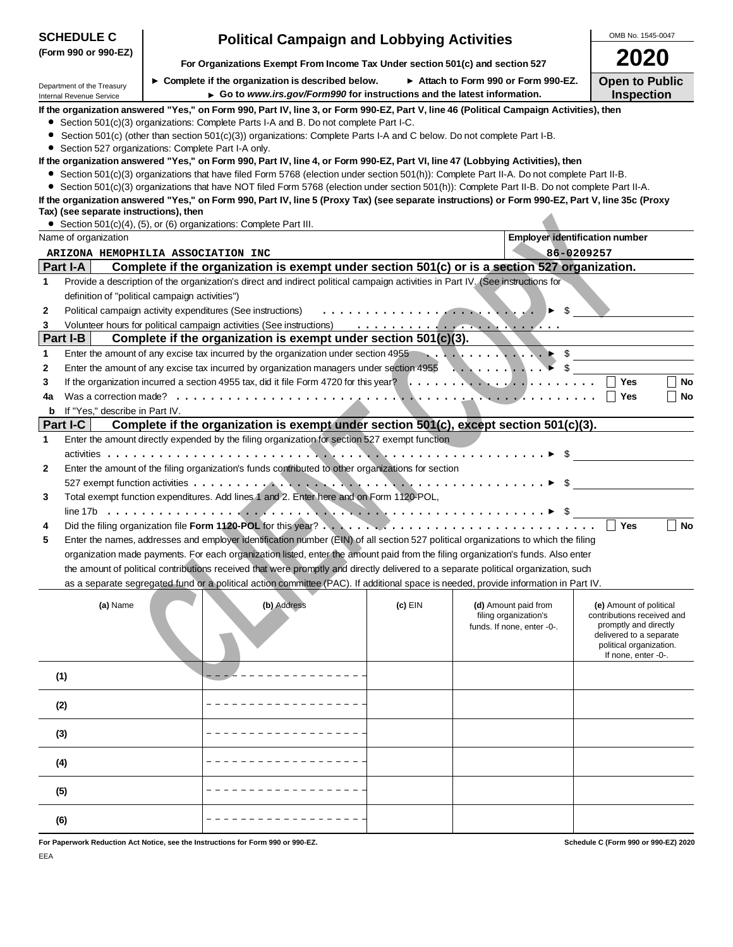| <b>SCHEDULE C</b>                                      | <b>Political Campaign and Lobbying Activities</b>                                                                                                                                                                                                                             |         |                                               | OMB No. 1545-0047                                     |
|--------------------------------------------------------|-------------------------------------------------------------------------------------------------------------------------------------------------------------------------------------------------------------------------------------------------------------------------------|---------|-----------------------------------------------|-------------------------------------------------------|
| (Form 990 or 990-EZ)                                   |                                                                                                                                                                                                                                                                               |         |                                               | 2020                                                  |
|                                                        | For Organizations Exempt From Income Tax Under section 501(c) and section 527                                                                                                                                                                                                 |         |                                               |                                                       |
| Department of the Treasury<br>Internal Revenue Service | $\triangleright$ Complete if the organization is described below.<br>Go to www.irs.gov/Form990 for instructions and the latest information.                                                                                                                                   |         | Attach to Form 990 or Form 990-EZ.            | <b>Open to Public</b><br><b>Inspection</b>            |
|                                                        | If the organization answered "Yes," on Form 990, Part IV, line 3, or Form 990-EZ, Part V, line 46 (Political Campaign Activities), then                                                                                                                                       |         |                                               |                                                       |
|                                                        | Section 501(c)(3) organizations: Complete Parts I-A and B. Do not complete Part I-C.                                                                                                                                                                                          |         |                                               |                                                       |
| ۰                                                      | Section 501(c) (other than section 501(c)(3)) organizations: Complete Parts I-A and C below. Do not complete Part I-B.                                                                                                                                                        |         |                                               |                                                       |
| Section 527 organizations: Complete Part I-A only.     |                                                                                                                                                                                                                                                                               |         |                                               |                                                       |
|                                                        | If the organization answered "Yes," on Form 990, Part IV, line 4, or Form 990-EZ, Part VI, line 47 (Lobbying Activities), then<br>• Section 501(c)(3) organizations that have filed Form 5768 (election under section 501(h)): Complete Part II-A. Do not complete Part II-B. |         |                                               |                                                       |
|                                                        | • Section 501(c)(3) organizations that have NOT filed Form 5768 (election under section 501(h)): Complete Part II-B. Do not complete Part II-A.                                                                                                                               |         |                                               |                                                       |
|                                                        | If the organization answered "Yes," on Form 990, Part IV, line 5 (Proxy Tax) (see separate instructions) or Form 990-EZ, Part V, line 35c (Proxy                                                                                                                              |         |                                               |                                                       |
| Tax) (see separate instructions), then                 |                                                                                                                                                                                                                                                                               |         |                                               |                                                       |
| Name of organization                                   | • Section 501(c)(4), (5), or (6) organizations: Complete Part III.                                                                                                                                                                                                            |         | <b>Employer identification number</b>         |                                                       |
| ARIZONA HEMOPHILIA ASSOCIATION INC                     |                                                                                                                                                                                                                                                                               |         | 86-0209257                                    |                                                       |
| Part I-A                                               | Complete if the organization is exempt under section 501(c) or is a section 527 organization.                                                                                                                                                                                 |         |                                               |                                                       |
| 1                                                      | Provide a description of the organization's direct and indirect political campaign activities in Part IV. (See instructions for                                                                                                                                               |         |                                               |                                                       |
| definition of "political campaign activities")         |                                                                                                                                                                                                                                                                               |         |                                               |                                                       |
| 2                                                      | Political campaign activity expenditures (See instructions)                                                                                                                                                                                                                   |         |                                               |                                                       |
| 3                                                      |                                                                                                                                                                                                                                                                               |         |                                               |                                                       |
| Part I-B                                               | Complete if the organization is exempt under section $501(c)(3)$ .                                                                                                                                                                                                            |         |                                               |                                                       |
| 1                                                      | Enter the amount of any excise tax incurred by the organization under section 4955                                                                                                                                                                                            |         |                                               |                                                       |
| 2                                                      | Enter the amount of any excise tax incurred by organization managers under section 4955 $\ldots \ldots \ldots$                                                                                                                                                                |         |                                               |                                                       |
| 3                                                      |                                                                                                                                                                                                                                                                               |         |                                               | Yes<br><b>No</b><br><b>No</b><br>∣∣ Yes               |
| 4a<br>If "Yes," describe in Part IV.<br>b              |                                                                                                                                                                                                                                                                               |         |                                               |                                                       |
| Part I-C                                               | Complete if the organization is exempt under section 501(c), except section 501(c)(3).                                                                                                                                                                                        |         |                                               |                                                       |
| 1                                                      | Enter the amount directly expended by the filing organization for section 527 exempt function                                                                                                                                                                                 |         |                                               |                                                       |
|                                                        |                                                                                                                                                                                                                                                                               |         |                                               |                                                       |
| 2                                                      | Enter the amount of the filing organization's funds contributed to other organizations for section                                                                                                                                                                            |         |                                               |                                                       |
|                                                        | 527 exempt function activities $\ldots \ldots \ldots$                                                                                                                                                                                                                         |         |                                               |                                                       |
| 3                                                      | Total exempt function expenditures. Add lines 1 and 2. Enter here and on Form 1120-POL,                                                                                                                                                                                       |         |                                               |                                                       |
|                                                        |                                                                                                                                                                                                                                                                               |         |                                               |                                                       |
| 4                                                      |                                                                                                                                                                                                                                                                               |         |                                               | $\Box$ Yes<br><b>No</b>                               |
| 5                                                      | Enter the names, addresses and employer identification number (EIN) of all section 527 political organizations to which the filing<br>organization made payments. For each organization listed, enter the amount paid from the filing organization's funds. Also enter        |         |                                               |                                                       |
|                                                        | the amount of political contributions received that were promptly and directly delivered to a separate political organization, such                                                                                                                                           |         |                                               |                                                       |
|                                                        | as a separate segregated fund or a political action committee (PAC). If additional space is needed, provide information in Part IV.                                                                                                                                           |         |                                               |                                                       |
|                                                        |                                                                                                                                                                                                                                                                               |         |                                               |                                                       |
| (a) Name                                               | (b) Address                                                                                                                                                                                                                                                                   | (c) EIN | (d) Amount paid from<br>filing organization's | (e) Amount of political<br>contributions received and |
|                                                        |                                                                                                                                                                                                                                                                               |         | funds. If none, enter -0-.                    | promptly and directly                                 |
|                                                        |                                                                                                                                                                                                                                                                               |         |                                               | delivered to a separate<br>political organization.    |
|                                                        |                                                                                                                                                                                                                                                                               |         |                                               | If none, enter -0-.                                   |
| (1)                                                    |                                                                                                                                                                                                                                                                               |         |                                               |                                                       |
|                                                        |                                                                                                                                                                                                                                                                               |         |                                               |                                                       |
| (2)                                                    |                                                                                                                                                                                                                                                                               |         |                                               |                                                       |
|                                                        |                                                                                                                                                                                                                                                                               |         |                                               |                                                       |
| (3)                                                    |                                                                                                                                                                                                                                                                               |         |                                               |                                                       |
|                                                        |                                                                                                                                                                                                                                                                               |         |                                               |                                                       |
| (4)                                                    |                                                                                                                                                                                                                                                                               |         |                                               |                                                       |
|                                                        |                                                                                                                                                                                                                                                                               |         |                                               |                                                       |
| (5)                                                    |                                                                                                                                                                                                                                                                               |         |                                               |                                                       |
| (6)                                                    |                                                                                                                                                                                                                                                                               |         |                                               |                                                       |
|                                                        |                                                                                                                                                                                                                                                                               |         |                                               |                                                       |
|                                                        | For Paperwork Reduction Act Notice, see the Instructions for Form 990 or 990-EZ.                                                                                                                                                                                              |         |                                               | Schedule C (Form 990 or 990-EZ) 2020                  |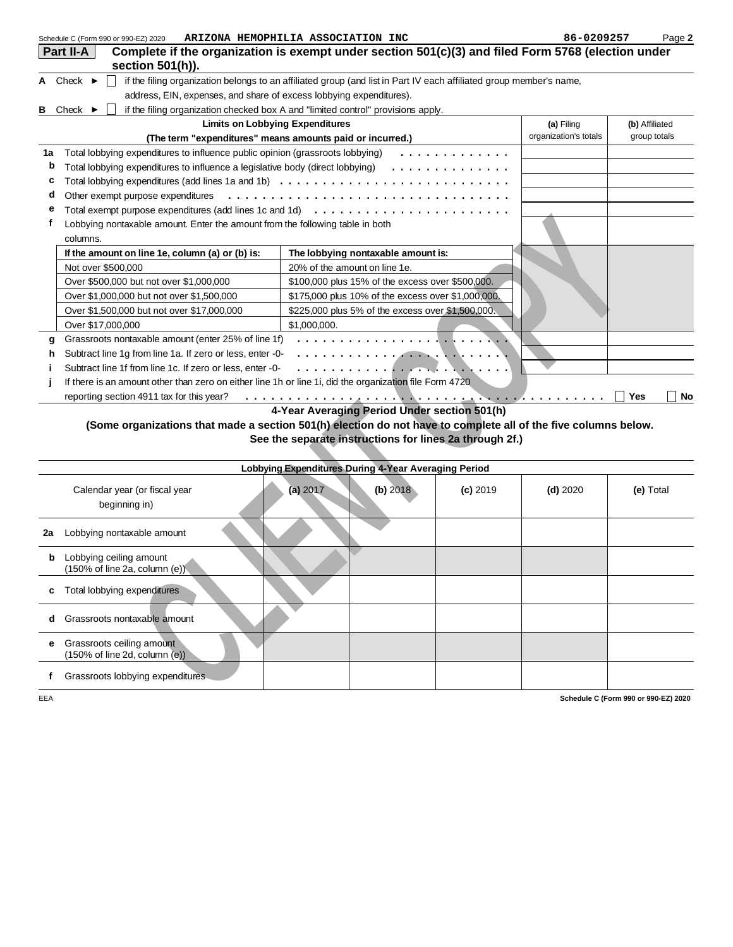|    | Schedule C (Form 990 or 990-EZ) 2020                                                                    | ARIZONA HEMOPHILIA ASSOCIATION INC                                                                                        | 86-0209257            | Page 2                  |
|----|---------------------------------------------------------------------------------------------------------|---------------------------------------------------------------------------------------------------------------------------|-----------------------|-------------------------|
|    | Part II-A                                                                                               | Complete if the organization is exempt under section $501(c)(3)$ and filed Form 5768 (election under                      |                       |                         |
|    | section 501(h)).                                                                                        |                                                                                                                           |                       |                         |
|    | A Check $\blacktriangleright$                                                                           | if the filing organization belongs to an affiliated group (and list in Part IV each affiliated group member's name,       |                       |                         |
|    | address, EIN, expenses, and share of excess lobbying expenditures).                                     |                                                                                                                           |                       |                         |
|    | <b>B</b> Check $\blacktriangleright$                                                                    | if the filing organization checked box A and "limited control" provisions apply.                                          |                       |                         |
|    |                                                                                                         | <b>Limits on Lobbying Expenditures</b>                                                                                    | (a) Filing            | (b) Affiliated          |
|    |                                                                                                         | (The term "expenditures" means amounts paid or incurred.)                                                                 | organization's totals | group totals            |
| 1a | Total lobbying expenditures to influence public opinion (grassroots lobbying)                           | .                                                                                                                         |                       |                         |
| b  | Total lobbying expenditures to influence a legislative body (direct lobbying)                           | .                                                                                                                         |                       |                         |
| c  |                                                                                                         | Total lobbying expenditures (add lines 1a and 1b) $\ldots \ldots \ldots \ldots \ldots \ldots \ldots \ldots \ldots \ldots$ |                       |                         |
| a  |                                                                                                         | Other exempt purpose expenditures $\ldots \ldots \ldots \ldots \ldots \ldots \ldots \ldots \ldots \ldots \ldots \ldots$   |                       |                         |
|    |                                                                                                         | Total exempt purpose expenditures (add lines 1c and 1d) $\ldots \ldots \ldots \ldots \ldots \ldots \ldots \ldots$         |                       |                         |
|    | Lobbying nontaxable amount. Enter the amount from the following table in both                           |                                                                                                                           |                       |                         |
|    | columns.                                                                                                |                                                                                                                           |                       |                         |
|    | If the amount on line 1e, column (a) or (b) is:                                                         | The lobbying nontaxable amount is:                                                                                        |                       |                         |
|    | Not over \$500,000                                                                                      | 20% of the amount on line 1e.                                                                                             |                       |                         |
|    | Over \$500,000 but not over \$1,000,000                                                                 | \$100,000 plus 15% of the excess over \$500,000.                                                                          |                       |                         |
|    | Over \$1,000,000 but not over \$1,500,000                                                               | \$175,000 plus 10% of the excess over \$1,000,000.                                                                        |                       |                         |
|    | Over \$1,500,000 but not over \$17,000,000                                                              | \$225,000 plus 5% of the excess over \$1,500,000.                                                                         |                       |                         |
|    | Over \$17,000,000                                                                                       | \$1,000,000.                                                                                                              |                       |                         |
| a  | Grassroots nontaxable amount (enter 25% of line 1f)                                                     |                                                                                                                           |                       |                         |
| h  | Subtract line 1g from line 1a. If zero or less, enter -0-                                               |                                                                                                                           |                       |                         |
|    | Subtract line 1f from line 1c. If zero or less, enter -0-                                               |                                                                                                                           |                       |                         |
|    | If there is an amount other than zero on either line 1h or line 1i, did the organization file Form 4720 |                                                                                                                           |                       |                         |
|    | reporting section 4911 tax for this year?                                                               |                                                                                                                           |                       | <b>Yes</b><br><b>No</b> |
|    |                                                                                                         |                                                                                                                           |                       |                         |

|     | Total exempt purpose experiditures (add lines TC and Td)                                                       |                                                      |                                                    |                                                         |            |                                      |
|-----|----------------------------------------------------------------------------------------------------------------|------------------------------------------------------|----------------------------------------------------|---------------------------------------------------------|------------|--------------------------------------|
| f   | Lobbying nontaxable amount. Enter the amount from the following table in both                                  |                                                      |                                                    |                                                         |            |                                      |
|     | columns.                                                                                                       |                                                      |                                                    |                                                         |            |                                      |
|     | If the amount on line 1e, column (a) or (b) is:                                                                |                                                      | The lobbying nontaxable amount is:                 |                                                         |            |                                      |
|     | Not over \$500,000                                                                                             | 20% of the amount on line 1e.                        |                                                    |                                                         |            |                                      |
|     | Over \$500,000 but not over \$1,000,000                                                                        |                                                      | \$100,000 plus 15% of the excess over \$500,000.   |                                                         |            |                                      |
|     | Over \$1,000,000 but not over \$1,500,000                                                                      |                                                      | \$175,000 plus 10% of the excess over \$1,000,000. |                                                         |            |                                      |
|     | Over \$1,500,000 but not over \$17,000,000                                                                     |                                                      | \$225,000 plus 5% of the excess over \$1,500,000.  |                                                         |            |                                      |
|     | Over \$17,000,000                                                                                              | \$1,000,000.                                         |                                                    |                                                         |            |                                      |
| a   | Grassroots nontaxable amount (enter 25% of line 1f)                                                            |                                                      | .                                                  |                                                         |            |                                      |
| h   | Subtract line 1g from line 1a. If zero or less, enter -0-                                                      |                                                      |                                                    |                                                         |            |                                      |
| j   | Subtract line 1f from line 1c. If zero or less, enter -0-                                                      |                                                      |                                                    |                                                         |            |                                      |
|     | If there is an amount other than zero on either line 1h or line 1i, did the organization file Form 4720        |                                                      |                                                    |                                                         |            |                                      |
|     | reporting section 4911 tax for this year?                                                                      |                                                      |                                                    |                                                         |            | <b>Yes</b><br>No                     |
|     |                                                                                                                | 4-Year Averaging Period Under section 501(h)         |                                                    |                                                         |            |                                      |
|     | (Some organizations that made a section 501(h) election do not have to complete all of the five columns below. |                                                      |                                                    |                                                         |            |                                      |
|     |                                                                                                                |                                                      |                                                    | See the separate instructions for lines 2a through 2f.) |            |                                      |
|     |                                                                                                                |                                                      |                                                    |                                                         |            |                                      |
|     |                                                                                                                | Lobbying Expenditures During 4-Year Averaging Period |                                                    |                                                         |            |                                      |
|     |                                                                                                                |                                                      |                                                    |                                                         |            |                                      |
|     | Calendar year (or fiscal year                                                                                  | (a) 2017                                             | (b) 2018                                           | $(c)$ 2019                                              | $(d)$ 2020 | (e) Total                            |
|     | beginning in)                                                                                                  |                                                      |                                                    |                                                         |            |                                      |
|     |                                                                                                                |                                                      |                                                    |                                                         |            |                                      |
| 2a  | Lobbying nontaxable amount                                                                                     |                                                      |                                                    |                                                         |            |                                      |
| b   | Lobbying ceiling amount                                                                                        |                                                      |                                                    |                                                         |            |                                      |
|     | $(150\% \text{ of line } 2a, \text{ column } (e)).$                                                            |                                                      |                                                    |                                                         |            |                                      |
|     |                                                                                                                |                                                      |                                                    |                                                         |            |                                      |
| c   | Total lobbying expenditures                                                                                    |                                                      |                                                    |                                                         |            |                                      |
|     |                                                                                                                |                                                      |                                                    |                                                         |            |                                      |
| d   | Grassroots nontaxable amount                                                                                   |                                                      |                                                    |                                                         |            |                                      |
| е   | Grassroots ceiling amount                                                                                      |                                                      |                                                    |                                                         |            |                                      |
|     | $(150\% \text{ of line } 2d, \text{column } (e))$                                                              |                                                      |                                                    |                                                         |            |                                      |
|     |                                                                                                                |                                                      |                                                    |                                                         |            |                                      |
| f   | Grassroots lobbying expenditures                                                                               |                                                      |                                                    |                                                         |            |                                      |
| EEA |                                                                                                                |                                                      |                                                    |                                                         |            | Schedule C (Form 990 or 990-EZ) 2020 |
|     |                                                                                                                |                                                      |                                                    |                                                         |            |                                      |
|     |                                                                                                                |                                                      |                                                    |                                                         |            |                                      |
|     |                                                                                                                |                                                      |                                                    |                                                         |            |                                      |
|     |                                                                                                                |                                                      |                                                    |                                                         |            |                                      |
|     |                                                                                                                |                                                      |                                                    |                                                         |            |                                      |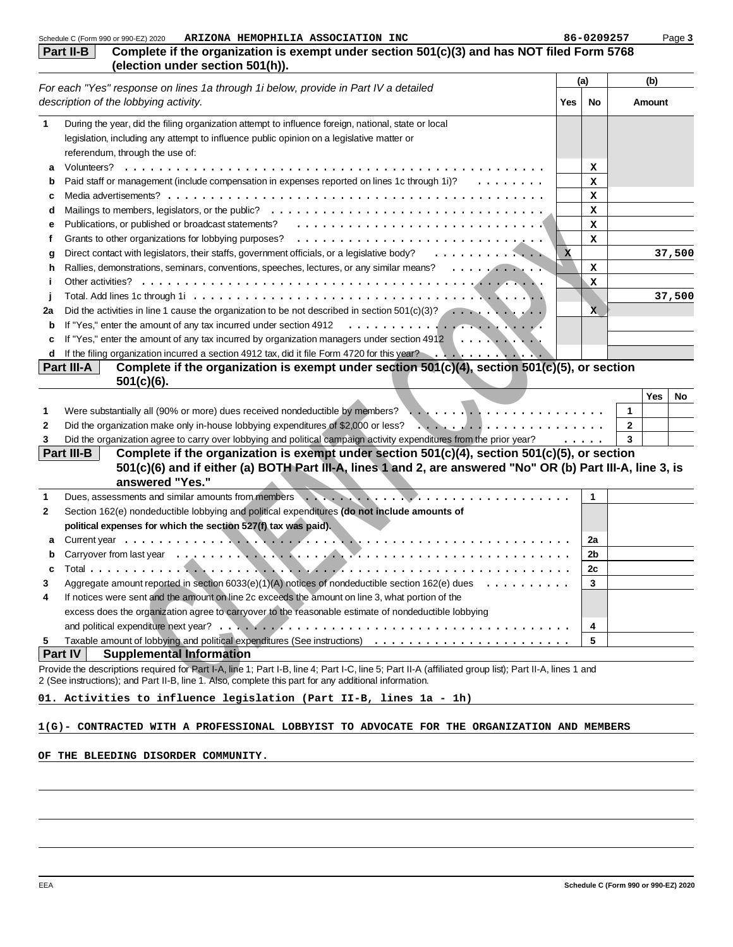| Complete if the organization is exempt under section 501(c)(3) and has NOT filed Form 5768<br>(election under section 501(h)).<br>(b)<br>(a)<br><b>Yes</b><br>No<br>Amount<br>During the year, did the filing organization attempt to influence foreign, national, state or local<br>legislation, including any attempt to influence public opinion on a legislative matter or<br>referendum, through the use of:<br>х<br>a<br>Paid staff or management (include compensation in expenses reported on lines 1c through 1i)?<br>x<br>$\cdots$<br>b<br>x<br>c<br>x<br>d<br>Publications, or published or broadcast statements? Fig. of the content of the content of the content of the content of the content of the content of the content of the content of the content of the content of the content<br>x<br>е<br>Grants to other organizations for lobbying purposes?<br>x<br>f<br>Direct contact with legislators, their staffs, government officials, or a legislative body?<br>$\mathbf{x}$<br>37,500<br>g<br>Rallies, demonstrations, seminars, conventions, speeches, lectures, or any similar means?<br>x<br>h<br>X<br>Ť<br>37,500<br>Did the activities in line 1 cause the organization to be not described in section $501(c)(3)? \ldots \ldots$<br>2a<br>X.<br>b<br>If "Yes," enter the amount of any tax incurred by organization managers under section 4912 \<br>d<br>Complete if the organization is exempt under section $501(c)(4)$ , section $501(c)(5)$ , or section<br>Part III-A<br>$501(c)(6)$ .<br>Yes<br>No<br>Were substantially all (90% or more) dues received nondeductible by members?<br>1<br>1<br>Did the organization make only in-house lobbying expenditures of \$2,000 or less?<br>$\overline{2}$<br>2<br>Did the organization agree to carry over lobbying and political campaign activity expenditures from the prior year?<br>3<br>3<br>$\cdots$<br>Part III-B<br>Complete if the organization is exempt under section $501(c)(4)$ , section $501(c)(5)$ , or section<br>501(c)(6) and if either (a) BOTH Part III-A, lines 1 and 2, are answered "No" OR (b) Part III-A, line 3, is<br>answered "Yes."<br>Dues, assessments and similar amounts from members<br>$\mathbf{1}$<br>1<br>Section 162(e) nondeductible lobbying and political expenditures (do not include amounts of<br>2<br>political expenses for which the section 527(f) tax was paid).<br>2a<br>Carryover from last year enterprise to the control of the control of the control of the control of the control of the control of the control of the control of the control of the control of the control of the control of the<br>2 <sub>b</sub><br>2c<br>Aggregate amount reported in section 6033(e)(1)(A) notices of nondeductible section 162(e) dues $\dots \dots \dots$<br>3<br>3<br>If notices were sent and the amount on line 2c exceeds the amount on line 3, what portion of the<br>4<br>excess does the organization agree to carryover to the reasonable estimate of nondeductible lobbying<br>4<br>5<br>5<br><b>Part IV</b><br><b>Supplemental Information</b><br>Provide the descriptions required for Part I-A, line 1; Part I-B, line 4; Part I-C, line 5; Part II-A (affiliated group list); Part II-A, lines 1 and<br>2 (See instructions); and Part II-B, line 1. Also, complete this part for any additional information.<br>1(G)- CONTRACTED WITH A PROFESSIONAL LOBBYIST TO ADVOCATE FOR THE ORGANIZATION AND MEMBERS | ARIZONA HEMOPHILIA ASSOCIATION INC<br>Schedule C (Form 990 or 990-EZ) 2020          | 86-0209257 | Page 3 |
|--------------------------------------------------------------------------------------------------------------------------------------------------------------------------------------------------------------------------------------------------------------------------------------------------------------------------------------------------------------------------------------------------------------------------------------------------------------------------------------------------------------------------------------------------------------------------------------------------------------------------------------------------------------------------------------------------------------------------------------------------------------------------------------------------------------------------------------------------------------------------------------------------------------------------------------------------------------------------------------------------------------------------------------------------------------------------------------------------------------------------------------------------------------------------------------------------------------------------------------------------------------------------------------------------------------------------------------------------------------------------------------------------------------------------------------------------------------------------------------------------------------------------------------------------------------------------------------------------------------------------------------------------------------------------------------------------------------------------------------------------------------------------------------------------------------------------------------------------------------------------------------------------------------------------------------------------------------------------------------------------------------------------------------------------------------------------------------------------------------------------------------------------------------------------------------------------------------------------------------------------------------------------------------------------------------------------------------------------------------------------------------------------------------------------------------------------------------------------------------------------------------------------------------------------------------------------------------------------------------------------------------------------------------------------------------------------------------------------------------------------------------------------------------------------------------------------------------------------------------------------------------------------------------------------------------------------------------------------------------------------------------------------------------------------------------------------------------------------------------------------------------------------------------------------------------------------------------------------------------------------------------------------------------------------------------------------------------------------------------------------------------------------------------------------------------------------------|-------------------------------------------------------------------------------------|------------|--------|
|                                                                                                                                                                                                                                                                                                                                                                                                                                                                                                                                                                                                                                                                                                                                                                                                                                                                                                                                                                                                                                                                                                                                                                                                                                                                                                                                                                                                                                                                                                                                                                                                                                                                                                                                                                                                                                                                                                                                                                                                                                                                                                                                                                                                                                                                                                                                                                                                                                                                                                                                                                                                                                                                                                                                                                                                                                                                                                                                                                                                                                                                                                                                                                                                                                                                                                                                                                                                                                                        | Part II-B                                                                           |            |        |
|                                                                                                                                                                                                                                                                                                                                                                                                                                                                                                                                                                                                                                                                                                                                                                                                                                                                                                                                                                                                                                                                                                                                                                                                                                                                                                                                                                                                                                                                                                                                                                                                                                                                                                                                                                                                                                                                                                                                                                                                                                                                                                                                                                                                                                                                                                                                                                                                                                                                                                                                                                                                                                                                                                                                                                                                                                                                                                                                                                                                                                                                                                                                                                                                                                                                                                                                                                                                                                                        |                                                                                     |            |        |
|                                                                                                                                                                                                                                                                                                                                                                                                                                                                                                                                                                                                                                                                                                                                                                                                                                                                                                                                                                                                                                                                                                                                                                                                                                                                                                                                                                                                                                                                                                                                                                                                                                                                                                                                                                                                                                                                                                                                                                                                                                                                                                                                                                                                                                                                                                                                                                                                                                                                                                                                                                                                                                                                                                                                                                                                                                                                                                                                                                                                                                                                                                                                                                                                                                                                                                                                                                                                                                                        | For each "Yes" response on lines 1a through 1i below, provide in Part IV a detailed |            |        |
|                                                                                                                                                                                                                                                                                                                                                                                                                                                                                                                                                                                                                                                                                                                                                                                                                                                                                                                                                                                                                                                                                                                                                                                                                                                                                                                                                                                                                                                                                                                                                                                                                                                                                                                                                                                                                                                                                                                                                                                                                                                                                                                                                                                                                                                                                                                                                                                                                                                                                                                                                                                                                                                                                                                                                                                                                                                                                                                                                                                                                                                                                                                                                                                                                                                                                                                                                                                                                                                        | description of the lobbying activity.                                               |            |        |
|                                                                                                                                                                                                                                                                                                                                                                                                                                                                                                                                                                                                                                                                                                                                                                                                                                                                                                                                                                                                                                                                                                                                                                                                                                                                                                                                                                                                                                                                                                                                                                                                                                                                                                                                                                                                                                                                                                                                                                                                                                                                                                                                                                                                                                                                                                                                                                                                                                                                                                                                                                                                                                                                                                                                                                                                                                                                                                                                                                                                                                                                                                                                                                                                                                                                                                                                                                                                                                                        |                                                                                     |            |        |
|                                                                                                                                                                                                                                                                                                                                                                                                                                                                                                                                                                                                                                                                                                                                                                                                                                                                                                                                                                                                                                                                                                                                                                                                                                                                                                                                                                                                                                                                                                                                                                                                                                                                                                                                                                                                                                                                                                                                                                                                                                                                                                                                                                                                                                                                                                                                                                                                                                                                                                                                                                                                                                                                                                                                                                                                                                                                                                                                                                                                                                                                                                                                                                                                                                                                                                                                                                                                                                                        |                                                                                     |            |        |
|                                                                                                                                                                                                                                                                                                                                                                                                                                                                                                                                                                                                                                                                                                                                                                                                                                                                                                                                                                                                                                                                                                                                                                                                                                                                                                                                                                                                                                                                                                                                                                                                                                                                                                                                                                                                                                                                                                                                                                                                                                                                                                                                                                                                                                                                                                                                                                                                                                                                                                                                                                                                                                                                                                                                                                                                                                                                                                                                                                                                                                                                                                                                                                                                                                                                                                                                                                                                                                                        |                                                                                     |            |        |
|                                                                                                                                                                                                                                                                                                                                                                                                                                                                                                                                                                                                                                                                                                                                                                                                                                                                                                                                                                                                                                                                                                                                                                                                                                                                                                                                                                                                                                                                                                                                                                                                                                                                                                                                                                                                                                                                                                                                                                                                                                                                                                                                                                                                                                                                                                                                                                                                                                                                                                                                                                                                                                                                                                                                                                                                                                                                                                                                                                                                                                                                                                                                                                                                                                                                                                                                                                                                                                                        |                                                                                     |            |        |
|                                                                                                                                                                                                                                                                                                                                                                                                                                                                                                                                                                                                                                                                                                                                                                                                                                                                                                                                                                                                                                                                                                                                                                                                                                                                                                                                                                                                                                                                                                                                                                                                                                                                                                                                                                                                                                                                                                                                                                                                                                                                                                                                                                                                                                                                                                                                                                                                                                                                                                                                                                                                                                                                                                                                                                                                                                                                                                                                                                                                                                                                                                                                                                                                                                                                                                                                                                                                                                                        |                                                                                     |            |        |
|                                                                                                                                                                                                                                                                                                                                                                                                                                                                                                                                                                                                                                                                                                                                                                                                                                                                                                                                                                                                                                                                                                                                                                                                                                                                                                                                                                                                                                                                                                                                                                                                                                                                                                                                                                                                                                                                                                                                                                                                                                                                                                                                                                                                                                                                                                                                                                                                                                                                                                                                                                                                                                                                                                                                                                                                                                                                                                                                                                                                                                                                                                                                                                                                                                                                                                                                                                                                                                                        |                                                                                     |            |        |
|                                                                                                                                                                                                                                                                                                                                                                                                                                                                                                                                                                                                                                                                                                                                                                                                                                                                                                                                                                                                                                                                                                                                                                                                                                                                                                                                                                                                                                                                                                                                                                                                                                                                                                                                                                                                                                                                                                                                                                                                                                                                                                                                                                                                                                                                                                                                                                                                                                                                                                                                                                                                                                                                                                                                                                                                                                                                                                                                                                                                                                                                                                                                                                                                                                                                                                                                                                                                                                                        |                                                                                     |            |        |
|                                                                                                                                                                                                                                                                                                                                                                                                                                                                                                                                                                                                                                                                                                                                                                                                                                                                                                                                                                                                                                                                                                                                                                                                                                                                                                                                                                                                                                                                                                                                                                                                                                                                                                                                                                                                                                                                                                                                                                                                                                                                                                                                                                                                                                                                                                                                                                                                                                                                                                                                                                                                                                                                                                                                                                                                                                                                                                                                                                                                                                                                                                                                                                                                                                                                                                                                                                                                                                                        |                                                                                     |            |        |
|                                                                                                                                                                                                                                                                                                                                                                                                                                                                                                                                                                                                                                                                                                                                                                                                                                                                                                                                                                                                                                                                                                                                                                                                                                                                                                                                                                                                                                                                                                                                                                                                                                                                                                                                                                                                                                                                                                                                                                                                                                                                                                                                                                                                                                                                                                                                                                                                                                                                                                                                                                                                                                                                                                                                                                                                                                                                                                                                                                                                                                                                                                                                                                                                                                                                                                                                                                                                                                                        |                                                                                     |            |        |
|                                                                                                                                                                                                                                                                                                                                                                                                                                                                                                                                                                                                                                                                                                                                                                                                                                                                                                                                                                                                                                                                                                                                                                                                                                                                                                                                                                                                                                                                                                                                                                                                                                                                                                                                                                                                                                                                                                                                                                                                                                                                                                                                                                                                                                                                                                                                                                                                                                                                                                                                                                                                                                                                                                                                                                                                                                                                                                                                                                                                                                                                                                                                                                                                                                                                                                                                                                                                                                                        |                                                                                     |            |        |
|                                                                                                                                                                                                                                                                                                                                                                                                                                                                                                                                                                                                                                                                                                                                                                                                                                                                                                                                                                                                                                                                                                                                                                                                                                                                                                                                                                                                                                                                                                                                                                                                                                                                                                                                                                                                                                                                                                                                                                                                                                                                                                                                                                                                                                                                                                                                                                                                                                                                                                                                                                                                                                                                                                                                                                                                                                                                                                                                                                                                                                                                                                                                                                                                                                                                                                                                                                                                                                                        |                                                                                     |            |        |
|                                                                                                                                                                                                                                                                                                                                                                                                                                                                                                                                                                                                                                                                                                                                                                                                                                                                                                                                                                                                                                                                                                                                                                                                                                                                                                                                                                                                                                                                                                                                                                                                                                                                                                                                                                                                                                                                                                                                                                                                                                                                                                                                                                                                                                                                                                                                                                                                                                                                                                                                                                                                                                                                                                                                                                                                                                                                                                                                                                                                                                                                                                                                                                                                                                                                                                                                                                                                                                                        |                                                                                     |            |        |
|                                                                                                                                                                                                                                                                                                                                                                                                                                                                                                                                                                                                                                                                                                                                                                                                                                                                                                                                                                                                                                                                                                                                                                                                                                                                                                                                                                                                                                                                                                                                                                                                                                                                                                                                                                                                                                                                                                                                                                                                                                                                                                                                                                                                                                                                                                                                                                                                                                                                                                                                                                                                                                                                                                                                                                                                                                                                                                                                                                                                                                                                                                                                                                                                                                                                                                                                                                                                                                                        |                                                                                     |            |        |
|                                                                                                                                                                                                                                                                                                                                                                                                                                                                                                                                                                                                                                                                                                                                                                                                                                                                                                                                                                                                                                                                                                                                                                                                                                                                                                                                                                                                                                                                                                                                                                                                                                                                                                                                                                                                                                                                                                                                                                                                                                                                                                                                                                                                                                                                                                                                                                                                                                                                                                                                                                                                                                                                                                                                                                                                                                                                                                                                                                                                                                                                                                                                                                                                                                                                                                                                                                                                                                                        |                                                                                     |            |        |
|                                                                                                                                                                                                                                                                                                                                                                                                                                                                                                                                                                                                                                                                                                                                                                                                                                                                                                                                                                                                                                                                                                                                                                                                                                                                                                                                                                                                                                                                                                                                                                                                                                                                                                                                                                                                                                                                                                                                                                                                                                                                                                                                                                                                                                                                                                                                                                                                                                                                                                                                                                                                                                                                                                                                                                                                                                                                                                                                                                                                                                                                                                                                                                                                                                                                                                                                                                                                                                                        |                                                                                     |            |        |
|                                                                                                                                                                                                                                                                                                                                                                                                                                                                                                                                                                                                                                                                                                                                                                                                                                                                                                                                                                                                                                                                                                                                                                                                                                                                                                                                                                                                                                                                                                                                                                                                                                                                                                                                                                                                                                                                                                                                                                                                                                                                                                                                                                                                                                                                                                                                                                                                                                                                                                                                                                                                                                                                                                                                                                                                                                                                                                                                                                                                                                                                                                                                                                                                                                                                                                                                                                                                                                                        |                                                                                     |            |        |
|                                                                                                                                                                                                                                                                                                                                                                                                                                                                                                                                                                                                                                                                                                                                                                                                                                                                                                                                                                                                                                                                                                                                                                                                                                                                                                                                                                                                                                                                                                                                                                                                                                                                                                                                                                                                                                                                                                                                                                                                                                                                                                                                                                                                                                                                                                                                                                                                                                                                                                                                                                                                                                                                                                                                                                                                                                                                                                                                                                                                                                                                                                                                                                                                                                                                                                                                                                                                                                                        |                                                                                     |            |        |
|                                                                                                                                                                                                                                                                                                                                                                                                                                                                                                                                                                                                                                                                                                                                                                                                                                                                                                                                                                                                                                                                                                                                                                                                                                                                                                                                                                                                                                                                                                                                                                                                                                                                                                                                                                                                                                                                                                                                                                                                                                                                                                                                                                                                                                                                                                                                                                                                                                                                                                                                                                                                                                                                                                                                                                                                                                                                                                                                                                                                                                                                                                                                                                                                                                                                                                                                                                                                                                                        |                                                                                     |            |        |
|                                                                                                                                                                                                                                                                                                                                                                                                                                                                                                                                                                                                                                                                                                                                                                                                                                                                                                                                                                                                                                                                                                                                                                                                                                                                                                                                                                                                                                                                                                                                                                                                                                                                                                                                                                                                                                                                                                                                                                                                                                                                                                                                                                                                                                                                                                                                                                                                                                                                                                                                                                                                                                                                                                                                                                                                                                                                                                                                                                                                                                                                                                                                                                                                                                                                                                                                                                                                                                                        |                                                                                     |            |        |
|                                                                                                                                                                                                                                                                                                                                                                                                                                                                                                                                                                                                                                                                                                                                                                                                                                                                                                                                                                                                                                                                                                                                                                                                                                                                                                                                                                                                                                                                                                                                                                                                                                                                                                                                                                                                                                                                                                                                                                                                                                                                                                                                                                                                                                                                                                                                                                                                                                                                                                                                                                                                                                                                                                                                                                                                                                                                                                                                                                                                                                                                                                                                                                                                                                                                                                                                                                                                                                                        |                                                                                     |            |        |
|                                                                                                                                                                                                                                                                                                                                                                                                                                                                                                                                                                                                                                                                                                                                                                                                                                                                                                                                                                                                                                                                                                                                                                                                                                                                                                                                                                                                                                                                                                                                                                                                                                                                                                                                                                                                                                                                                                                                                                                                                                                                                                                                                                                                                                                                                                                                                                                                                                                                                                                                                                                                                                                                                                                                                                                                                                                                                                                                                                                                                                                                                                                                                                                                                                                                                                                                                                                                                                                        |                                                                                     |            |        |
|                                                                                                                                                                                                                                                                                                                                                                                                                                                                                                                                                                                                                                                                                                                                                                                                                                                                                                                                                                                                                                                                                                                                                                                                                                                                                                                                                                                                                                                                                                                                                                                                                                                                                                                                                                                                                                                                                                                                                                                                                                                                                                                                                                                                                                                                                                                                                                                                                                                                                                                                                                                                                                                                                                                                                                                                                                                                                                                                                                                                                                                                                                                                                                                                                                                                                                                                                                                                                                                        |                                                                                     |            |        |
|                                                                                                                                                                                                                                                                                                                                                                                                                                                                                                                                                                                                                                                                                                                                                                                                                                                                                                                                                                                                                                                                                                                                                                                                                                                                                                                                                                                                                                                                                                                                                                                                                                                                                                                                                                                                                                                                                                                                                                                                                                                                                                                                                                                                                                                                                                                                                                                                                                                                                                                                                                                                                                                                                                                                                                                                                                                                                                                                                                                                                                                                                                                                                                                                                                                                                                                                                                                                                                                        |                                                                                     |            |        |
|                                                                                                                                                                                                                                                                                                                                                                                                                                                                                                                                                                                                                                                                                                                                                                                                                                                                                                                                                                                                                                                                                                                                                                                                                                                                                                                                                                                                                                                                                                                                                                                                                                                                                                                                                                                                                                                                                                                                                                                                                                                                                                                                                                                                                                                                                                                                                                                                                                                                                                                                                                                                                                                                                                                                                                                                                                                                                                                                                                                                                                                                                                                                                                                                                                                                                                                                                                                                                                                        |                                                                                     |            |        |
|                                                                                                                                                                                                                                                                                                                                                                                                                                                                                                                                                                                                                                                                                                                                                                                                                                                                                                                                                                                                                                                                                                                                                                                                                                                                                                                                                                                                                                                                                                                                                                                                                                                                                                                                                                                                                                                                                                                                                                                                                                                                                                                                                                                                                                                                                                                                                                                                                                                                                                                                                                                                                                                                                                                                                                                                                                                                                                                                                                                                                                                                                                                                                                                                                                                                                                                                                                                                                                                        |                                                                                     |            |        |
|                                                                                                                                                                                                                                                                                                                                                                                                                                                                                                                                                                                                                                                                                                                                                                                                                                                                                                                                                                                                                                                                                                                                                                                                                                                                                                                                                                                                                                                                                                                                                                                                                                                                                                                                                                                                                                                                                                                                                                                                                                                                                                                                                                                                                                                                                                                                                                                                                                                                                                                                                                                                                                                                                                                                                                                                                                                                                                                                                                                                                                                                                                                                                                                                                                                                                                                                                                                                                                                        |                                                                                     |            |        |
|                                                                                                                                                                                                                                                                                                                                                                                                                                                                                                                                                                                                                                                                                                                                                                                                                                                                                                                                                                                                                                                                                                                                                                                                                                                                                                                                                                                                                                                                                                                                                                                                                                                                                                                                                                                                                                                                                                                                                                                                                                                                                                                                                                                                                                                                                                                                                                                                                                                                                                                                                                                                                                                                                                                                                                                                                                                                                                                                                                                                                                                                                                                                                                                                                                                                                                                                                                                                                                                        |                                                                                     |            |        |
|                                                                                                                                                                                                                                                                                                                                                                                                                                                                                                                                                                                                                                                                                                                                                                                                                                                                                                                                                                                                                                                                                                                                                                                                                                                                                                                                                                                                                                                                                                                                                                                                                                                                                                                                                                                                                                                                                                                                                                                                                                                                                                                                                                                                                                                                                                                                                                                                                                                                                                                                                                                                                                                                                                                                                                                                                                                                                                                                                                                                                                                                                                                                                                                                                                                                                                                                                                                                                                                        |                                                                                     |            |        |
|                                                                                                                                                                                                                                                                                                                                                                                                                                                                                                                                                                                                                                                                                                                                                                                                                                                                                                                                                                                                                                                                                                                                                                                                                                                                                                                                                                                                                                                                                                                                                                                                                                                                                                                                                                                                                                                                                                                                                                                                                                                                                                                                                                                                                                                                                                                                                                                                                                                                                                                                                                                                                                                                                                                                                                                                                                                                                                                                                                                                                                                                                                                                                                                                                                                                                                                                                                                                                                                        |                                                                                     |            |        |
|                                                                                                                                                                                                                                                                                                                                                                                                                                                                                                                                                                                                                                                                                                                                                                                                                                                                                                                                                                                                                                                                                                                                                                                                                                                                                                                                                                                                                                                                                                                                                                                                                                                                                                                                                                                                                                                                                                                                                                                                                                                                                                                                                                                                                                                                                                                                                                                                                                                                                                                                                                                                                                                                                                                                                                                                                                                                                                                                                                                                                                                                                                                                                                                                                                                                                                                                                                                                                                                        |                                                                                     |            |        |
|                                                                                                                                                                                                                                                                                                                                                                                                                                                                                                                                                                                                                                                                                                                                                                                                                                                                                                                                                                                                                                                                                                                                                                                                                                                                                                                                                                                                                                                                                                                                                                                                                                                                                                                                                                                                                                                                                                                                                                                                                                                                                                                                                                                                                                                                                                                                                                                                                                                                                                                                                                                                                                                                                                                                                                                                                                                                                                                                                                                                                                                                                                                                                                                                                                                                                                                                                                                                                                                        |                                                                                     |            |        |
|                                                                                                                                                                                                                                                                                                                                                                                                                                                                                                                                                                                                                                                                                                                                                                                                                                                                                                                                                                                                                                                                                                                                                                                                                                                                                                                                                                                                                                                                                                                                                                                                                                                                                                                                                                                                                                                                                                                                                                                                                                                                                                                                                                                                                                                                                                                                                                                                                                                                                                                                                                                                                                                                                                                                                                                                                                                                                                                                                                                                                                                                                                                                                                                                                                                                                                                                                                                                                                                        |                                                                                     |            |        |
|                                                                                                                                                                                                                                                                                                                                                                                                                                                                                                                                                                                                                                                                                                                                                                                                                                                                                                                                                                                                                                                                                                                                                                                                                                                                                                                                                                                                                                                                                                                                                                                                                                                                                                                                                                                                                                                                                                                                                                                                                                                                                                                                                                                                                                                                                                                                                                                                                                                                                                                                                                                                                                                                                                                                                                                                                                                                                                                                                                                                                                                                                                                                                                                                                                                                                                                                                                                                                                                        |                                                                                     |            |        |
|                                                                                                                                                                                                                                                                                                                                                                                                                                                                                                                                                                                                                                                                                                                                                                                                                                                                                                                                                                                                                                                                                                                                                                                                                                                                                                                                                                                                                                                                                                                                                                                                                                                                                                                                                                                                                                                                                                                                                                                                                                                                                                                                                                                                                                                                                                                                                                                                                                                                                                                                                                                                                                                                                                                                                                                                                                                                                                                                                                                                                                                                                                                                                                                                                                                                                                                                                                                                                                                        |                                                                                     |            |        |
|                                                                                                                                                                                                                                                                                                                                                                                                                                                                                                                                                                                                                                                                                                                                                                                                                                                                                                                                                                                                                                                                                                                                                                                                                                                                                                                                                                                                                                                                                                                                                                                                                                                                                                                                                                                                                                                                                                                                                                                                                                                                                                                                                                                                                                                                                                                                                                                                                                                                                                                                                                                                                                                                                                                                                                                                                                                                                                                                                                                                                                                                                                                                                                                                                                                                                                                                                                                                                                                        |                                                                                     |            |        |
|                                                                                                                                                                                                                                                                                                                                                                                                                                                                                                                                                                                                                                                                                                                                                                                                                                                                                                                                                                                                                                                                                                                                                                                                                                                                                                                                                                                                                                                                                                                                                                                                                                                                                                                                                                                                                                                                                                                                                                                                                                                                                                                                                                                                                                                                                                                                                                                                                                                                                                                                                                                                                                                                                                                                                                                                                                                                                                                                                                                                                                                                                                                                                                                                                                                                                                                                                                                                                                                        |                                                                                     |            |        |
|                                                                                                                                                                                                                                                                                                                                                                                                                                                                                                                                                                                                                                                                                                                                                                                                                                                                                                                                                                                                                                                                                                                                                                                                                                                                                                                                                                                                                                                                                                                                                                                                                                                                                                                                                                                                                                                                                                                                                                                                                                                                                                                                                                                                                                                                                                                                                                                                                                                                                                                                                                                                                                                                                                                                                                                                                                                                                                                                                                                                                                                                                                                                                                                                                                                                                                                                                                                                                                                        |                                                                                     |            |        |
|                                                                                                                                                                                                                                                                                                                                                                                                                                                                                                                                                                                                                                                                                                                                                                                                                                                                                                                                                                                                                                                                                                                                                                                                                                                                                                                                                                                                                                                                                                                                                                                                                                                                                                                                                                                                                                                                                                                                                                                                                                                                                                                                                                                                                                                                                                                                                                                                                                                                                                                                                                                                                                                                                                                                                                                                                                                                                                                                                                                                                                                                                                                                                                                                                                                                                                                                                                                                                                                        |                                                                                     |            |        |
|                                                                                                                                                                                                                                                                                                                                                                                                                                                                                                                                                                                                                                                                                                                                                                                                                                                                                                                                                                                                                                                                                                                                                                                                                                                                                                                                                                                                                                                                                                                                                                                                                                                                                                                                                                                                                                                                                                                                                                                                                                                                                                                                                                                                                                                                                                                                                                                                                                                                                                                                                                                                                                                                                                                                                                                                                                                                                                                                                                                                                                                                                                                                                                                                                                                                                                                                                                                                                                                        |                                                                                     |            |        |
|                                                                                                                                                                                                                                                                                                                                                                                                                                                                                                                                                                                                                                                                                                                                                                                                                                                                                                                                                                                                                                                                                                                                                                                                                                                                                                                                                                                                                                                                                                                                                                                                                                                                                                                                                                                                                                                                                                                                                                                                                                                                                                                                                                                                                                                                                                                                                                                                                                                                                                                                                                                                                                                                                                                                                                                                                                                                                                                                                                                                                                                                                                                                                                                                                                                                                                                                                                                                                                                        |                                                                                     |            |        |
|                                                                                                                                                                                                                                                                                                                                                                                                                                                                                                                                                                                                                                                                                                                                                                                                                                                                                                                                                                                                                                                                                                                                                                                                                                                                                                                                                                                                                                                                                                                                                                                                                                                                                                                                                                                                                                                                                                                                                                                                                                                                                                                                                                                                                                                                                                                                                                                                                                                                                                                                                                                                                                                                                                                                                                                                                                                                                                                                                                                                                                                                                                                                                                                                                                                                                                                                                                                                                                                        | 01. Activities to influence legislation (Part II-B, lines 1a - 1h)                  |            |        |
|                                                                                                                                                                                                                                                                                                                                                                                                                                                                                                                                                                                                                                                                                                                                                                                                                                                                                                                                                                                                                                                                                                                                                                                                                                                                                                                                                                                                                                                                                                                                                                                                                                                                                                                                                                                                                                                                                                                                                                                                                                                                                                                                                                                                                                                                                                                                                                                                                                                                                                                                                                                                                                                                                                                                                                                                                                                                                                                                                                                                                                                                                                                                                                                                                                                                                                                                                                                                                                                        |                                                                                     |            |        |
|                                                                                                                                                                                                                                                                                                                                                                                                                                                                                                                                                                                                                                                                                                                                                                                                                                                                                                                                                                                                                                                                                                                                                                                                                                                                                                                                                                                                                                                                                                                                                                                                                                                                                                                                                                                                                                                                                                                                                                                                                                                                                                                                                                                                                                                                                                                                                                                                                                                                                                                                                                                                                                                                                                                                                                                                                                                                                                                                                                                                                                                                                                                                                                                                                                                                                                                                                                                                                                                        | OF THE BLEEDING DISORDER COMMUNITY.                                                 |            |        |
|                                                                                                                                                                                                                                                                                                                                                                                                                                                                                                                                                                                                                                                                                                                                                                                                                                                                                                                                                                                                                                                                                                                                                                                                                                                                                                                                                                                                                                                                                                                                                                                                                                                                                                                                                                                                                                                                                                                                                                                                                                                                                                                                                                                                                                                                                                                                                                                                                                                                                                                                                                                                                                                                                                                                                                                                                                                                                                                                                                                                                                                                                                                                                                                                                                                                                                                                                                                                                                                        |                                                                                     |            |        |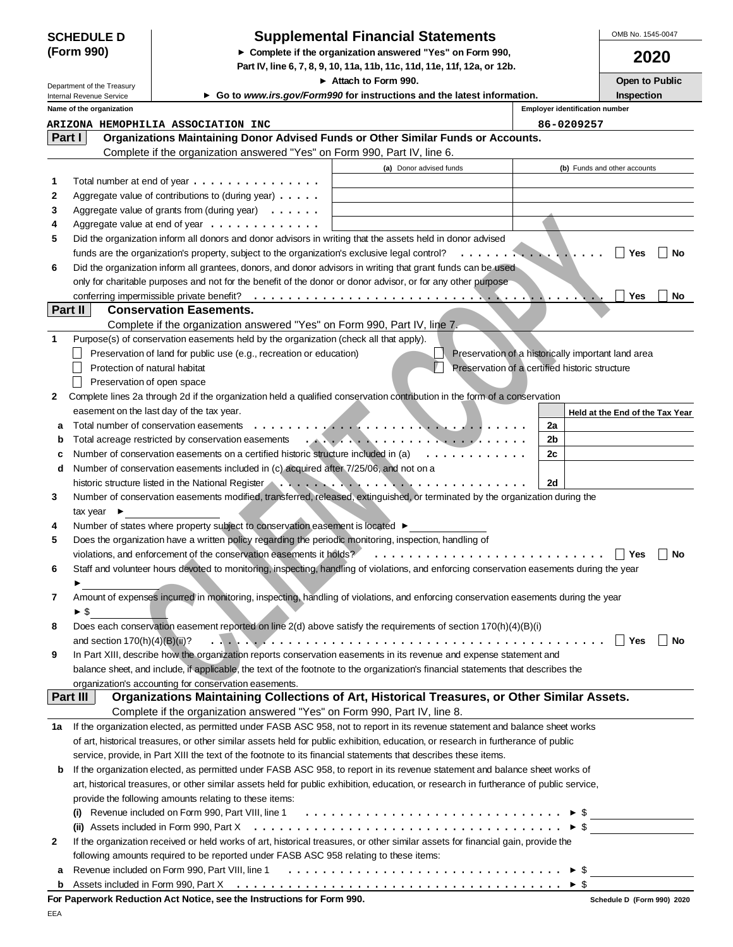|            | <b>SCHEDULE D</b> |
|------------|-------------------|
| (Form 990) |                   |

# **SCHEDULE D Supplemental Financial Statements**

OMB No. 1545-0047

|                                                                          | SCHEDULE D                      |                                                                                                                                                                                                                                                                                                                                        | Supplemental Financial Statements                                                                                                                                                                                                  |                                                    |                          | UMD INU. 1040-0047              |  |  |
|--------------------------------------------------------------------------|---------------------------------|----------------------------------------------------------------------------------------------------------------------------------------------------------------------------------------------------------------------------------------------------------------------------------------------------------------------------------------|------------------------------------------------------------------------------------------------------------------------------------------------------------------------------------------------------------------------------------|----------------------------------------------------|--------------------------|---------------------------------|--|--|
| (Form 990)<br>► Complete if the organization answered "Yes" on Form 990, |                                 |                                                                                                                                                                                                                                                                                                                                        |                                                                                                                                                                                                                                    |                                                    |                          | 2020                            |  |  |
|                                                                          |                                 |                                                                                                                                                                                                                                                                                                                                        | Part IV, line 6, 7, 8, 9, 10, 11a, 11b, 11c, 11d, 11e, 11f, 12a, or 12b.                                                                                                                                                           |                                                    |                          |                                 |  |  |
|                                                                          | Department of the Treasury      |                                                                                                                                                                                                                                                                                                                                        | Attach to Form 990.                                                                                                                                                                                                                |                                                    |                          | Open to Public                  |  |  |
|                                                                          | Internal Revenue Service        |                                                                                                                                                                                                                                                                                                                                        | ► Go to www.irs.gov/Form990 for instructions and the latest information.                                                                                                                                                           |                                                    |                          | <b>Inspection</b>               |  |  |
|                                                                          | Name of the organization        |                                                                                                                                                                                                                                                                                                                                        |                                                                                                                                                                                                                                    | <b>Employer identification number</b>              |                          |                                 |  |  |
|                                                                          |                                 | ARIZONA HEMOPHILIA ASSOCIATION INC                                                                                                                                                                                                                                                                                                     |                                                                                                                                                                                                                                    |                                                    | 86-0209257               |                                 |  |  |
|                                                                          | Part I                          | Organizations Maintaining Donor Advised Funds or Other Similar Funds or Accounts.                                                                                                                                                                                                                                                      |                                                                                                                                                                                                                                    |                                                    |                          |                                 |  |  |
|                                                                          |                                 | Complete if the organization answered "Yes" on Form 990, Part IV, line 6.                                                                                                                                                                                                                                                              |                                                                                                                                                                                                                                    |                                                    |                          |                                 |  |  |
|                                                                          |                                 |                                                                                                                                                                                                                                                                                                                                        | (a) Donor advised funds                                                                                                                                                                                                            |                                                    |                          | (b) Funds and other accounts    |  |  |
| 1                                                                        |                                 | Total number at end of year $\dots \dots \dots \dots \dots$                                                                                                                                                                                                                                                                            |                                                                                                                                                                                                                                    |                                                    |                          |                                 |  |  |
| 2                                                                        |                                 | Aggregate value of contributions to (during year) $\ldots$ .                                                                                                                                                                                                                                                                           |                                                                                                                                                                                                                                    |                                                    |                          |                                 |  |  |
| 3                                                                        |                                 | Aggregate value of grants from (during year) $\ldots \ldots$                                                                                                                                                                                                                                                                           |                                                                                                                                                                                                                                    |                                                    |                          |                                 |  |  |
| 4                                                                        |                                 | Aggregate value at end of year $\dots \dots \dots \dots$                                                                                                                                                                                                                                                                               |                                                                                                                                                                                                                                    |                                                    |                          |                                 |  |  |
| 5                                                                        |                                 | Did the organization inform all donors and donor advisors in writing that the assets held in donor advised                                                                                                                                                                                                                             |                                                                                                                                                                                                                                    |                                                    |                          |                                 |  |  |
|                                                                          |                                 |                                                                                                                                                                                                                                                                                                                                        |                                                                                                                                                                                                                                    |                                                    |                          | No<br>Yes                       |  |  |
| 6                                                                        |                                 | Did the organization inform all grantees, donors, and donor advisors in writing that grant funds can be used                                                                                                                                                                                                                           |                                                                                                                                                                                                                                    |                                                    |                          |                                 |  |  |
|                                                                          |                                 | only for charitable purposes and not for the benefit of the donor or donor advisor, or for any other purpose                                                                                                                                                                                                                           |                                                                                                                                                                                                                                    |                                                    |                          |                                 |  |  |
|                                                                          |                                 |                                                                                                                                                                                                                                                                                                                                        |                                                                                                                                                                                                                                    |                                                    |                          | No<br>Yes                       |  |  |
|                                                                          | Part II                         | <b>Conservation Easements.</b>                                                                                                                                                                                                                                                                                                         |                                                                                                                                                                                                                                    |                                                    |                          |                                 |  |  |
|                                                                          |                                 | Complete if the organization answered "Yes" on Form 990, Part IV, line 7.                                                                                                                                                                                                                                                              |                                                                                                                                                                                                                                    |                                                    |                          |                                 |  |  |
| 1                                                                        |                                 | Purpose(s) of conservation easements held by the organization (check all that apply).                                                                                                                                                                                                                                                  |                                                                                                                                                                                                                                    |                                                    |                          |                                 |  |  |
|                                                                          |                                 | Preservation of land for public use (e.g., recreation or education)                                                                                                                                                                                                                                                                    |                                                                                                                                                                                                                                    | Preservation of a historically important land area |                          |                                 |  |  |
|                                                                          | Protection of natural habitat   |                                                                                                                                                                                                                                                                                                                                        |                                                                                                                                                                                                                                    | Preservation of a certified historic structure     |                          |                                 |  |  |
|                                                                          | Preservation of open space      |                                                                                                                                                                                                                                                                                                                                        |                                                                                                                                                                                                                                    |                                                    |                          |                                 |  |  |
| 2                                                                        |                                 | Complete lines 2a through 2d if the organization held a qualified conservation contribution in the form of a conservation                                                                                                                                                                                                              |                                                                                                                                                                                                                                    |                                                    |                          |                                 |  |  |
|                                                                          |                                 | easement on the last day of the tax year.                                                                                                                                                                                                                                                                                              |                                                                                                                                                                                                                                    |                                                    |                          | Held at the End of the Tax Year |  |  |
| a                                                                        |                                 | Total number of conservation easements                                                                                                                                                                                                                                                                                                 |                                                                                                                                                                                                                                    |                                                    | 2a                       |                                 |  |  |
| b                                                                        |                                 | Total acreage restricted by conservation easements                                                                                                                                                                                                                                                                                     | $\mathcal{L}$ . The set of the set of the set of the set of the set of the set of the set of the set of the set of the set of the set of the set of the set of the set of the set of the set of the set of the set of the set of t |                                                    | 2b                       |                                 |  |  |
| c                                                                        |                                 | Number of conservation easements on a certified historic structure included in (a)                                                                                                                                                                                                                                                     |                                                                                                                                                                                                                                    | .                                                  | 2c                       |                                 |  |  |
| d                                                                        |                                 | Number of conservation easements included in (c) acquired after 7/25/06, and not on a<br>historic structure listed in the National Register <b>Constant Construction</b> of the U.S. Construction of the National Register <b>Construction</b> of the U.S. Construction of the National Register <b>Construction</b> of the U.S. Const |                                                                                                                                                                                                                                    |                                                    | 2d                       |                                 |  |  |
| 3                                                                        |                                 | Number of conservation easements modified, transferred, released, extinguished, or terminated by the organization during the                                                                                                                                                                                                           |                                                                                                                                                                                                                                    |                                                    |                          |                                 |  |  |
|                                                                          | tax year $\blacktriangleright$  |                                                                                                                                                                                                                                                                                                                                        |                                                                                                                                                                                                                                    |                                                    |                          |                                 |  |  |
| 4                                                                        |                                 | Number of states where property subject to conservation easement is located ▶                                                                                                                                                                                                                                                          |                                                                                                                                                                                                                                    |                                                    |                          |                                 |  |  |
| 5                                                                        |                                 | Does the organization have a written policy regarding the periodic monitoring, inspection, handling of                                                                                                                                                                                                                                 |                                                                                                                                                                                                                                    |                                                    |                          |                                 |  |  |
|                                                                          |                                 | violations, and enforcement of the conservation easements it holds?                                                                                                                                                                                                                                                                    |                                                                                                                                                                                                                                    |                                                    |                          | No<br>Yes                       |  |  |
| 6                                                                        |                                 | Staff and volunteer hours devoted to monitoring, inspecting, handling of violations, and enforcing conservation easements during the year                                                                                                                                                                                              |                                                                                                                                                                                                                                    |                                                    |                          |                                 |  |  |
|                                                                          |                                 |                                                                                                                                                                                                                                                                                                                                        |                                                                                                                                                                                                                                    |                                                    |                          |                                 |  |  |
| 7                                                                        |                                 | Amount of expenses incurred in monitoring, inspecting, handling of violations, and enforcing conservation easements during the year                                                                                                                                                                                                    |                                                                                                                                                                                                                                    |                                                    |                          |                                 |  |  |
|                                                                          | $\blacktriangleright$ \$        |                                                                                                                                                                                                                                                                                                                                        |                                                                                                                                                                                                                                    |                                                    |                          |                                 |  |  |
| 8                                                                        |                                 | Does each conservation easement reported on line 2(d) above satisfy the requirements of section 170(h)(4)(B)(i)                                                                                                                                                                                                                        |                                                                                                                                                                                                                                    |                                                    |                          |                                 |  |  |
|                                                                          | and section $170(h)(4)(B)(ii)?$ |                                                                                                                                                                                                                                                                                                                                        |                                                                                                                                                                                                                                    |                                                    |                          | No<br>Yes                       |  |  |
| 9                                                                        |                                 | In Part XIII, describe how the organization reports conservation easements in its revenue and expense statement and                                                                                                                                                                                                                    |                                                                                                                                                                                                                                    |                                                    |                          |                                 |  |  |
|                                                                          |                                 | balance sheet, and include, if applicable, the text of the footnote to the organization's financial statements that describes the                                                                                                                                                                                                      |                                                                                                                                                                                                                                    |                                                    |                          |                                 |  |  |
|                                                                          |                                 | organization's accounting for conservation easements.                                                                                                                                                                                                                                                                                  |                                                                                                                                                                                                                                    |                                                    |                          |                                 |  |  |
|                                                                          | <b>Part III</b>                 | Organizations Maintaining Collections of Art, Historical Treasures, or Other Similar Assets.                                                                                                                                                                                                                                           |                                                                                                                                                                                                                                    |                                                    |                          |                                 |  |  |
|                                                                          |                                 | Complete if the organization answered "Yes" on Form 990, Part IV, line 8.                                                                                                                                                                                                                                                              |                                                                                                                                                                                                                                    |                                                    |                          |                                 |  |  |
| 1a                                                                       |                                 | If the organization elected, as permitted under FASB ASC 958, not to report in its revenue statement and balance sheet works                                                                                                                                                                                                           |                                                                                                                                                                                                                                    |                                                    |                          |                                 |  |  |
|                                                                          |                                 | of art, historical treasures, or other similar assets held for public exhibition, education, or research in furtherance of public                                                                                                                                                                                                      |                                                                                                                                                                                                                                    |                                                    |                          |                                 |  |  |
|                                                                          |                                 | service, provide, in Part XIII the text of the footnote to its financial statements that describes these items.                                                                                                                                                                                                                        |                                                                                                                                                                                                                                    |                                                    |                          |                                 |  |  |
| b                                                                        |                                 | If the organization elected, as permitted under FASB ASC 958, to report in its revenue statement and balance sheet works of                                                                                                                                                                                                            |                                                                                                                                                                                                                                    |                                                    |                          |                                 |  |  |
|                                                                          |                                 | art, historical treasures, or other similar assets held for public exhibition, education, or research in furtherance of public service,                                                                                                                                                                                                |                                                                                                                                                                                                                                    |                                                    |                          |                                 |  |  |
|                                                                          |                                 | provide the following amounts relating to these items:                                                                                                                                                                                                                                                                                 |                                                                                                                                                                                                                                    |                                                    |                          |                                 |  |  |
|                                                                          |                                 | (i) Revenue included on Form 990, Part VIII, line 1 $\ldots \ldots \ldots \ldots \ldots \ldots \ldots \ldots \ldots \ldots \ldots$                                                                                                                                                                                                     |                                                                                                                                                                                                                                    |                                                    | $\blacktriangleright$ \$ |                                 |  |  |
|                                                                          |                                 |                                                                                                                                                                                                                                                                                                                                        |                                                                                                                                                                                                                                    |                                                    | $\blacktriangleright$ \$ |                                 |  |  |
| 2                                                                        |                                 | If the organization received or held works of art, historical treasures, or other similar assets for financial gain, provide the                                                                                                                                                                                                       |                                                                                                                                                                                                                                    |                                                    |                          |                                 |  |  |
|                                                                          |                                 | following amounts required to be reported under FASB ASC 958 relating to these items:                                                                                                                                                                                                                                                  |                                                                                                                                                                                                                                    |                                                    |                          |                                 |  |  |

| For Paperwork Reduction Act Notice, see the Instructions for Form 990. |  |  |  |  |  |  |  |  |  |  |  |  |  |  |  |
|------------------------------------------------------------------------|--|--|--|--|--|--|--|--|--|--|--|--|--|--|--|

**a** Revenue included on Form 990, Part VIII, line 1 \$ ................................

EEA

**b**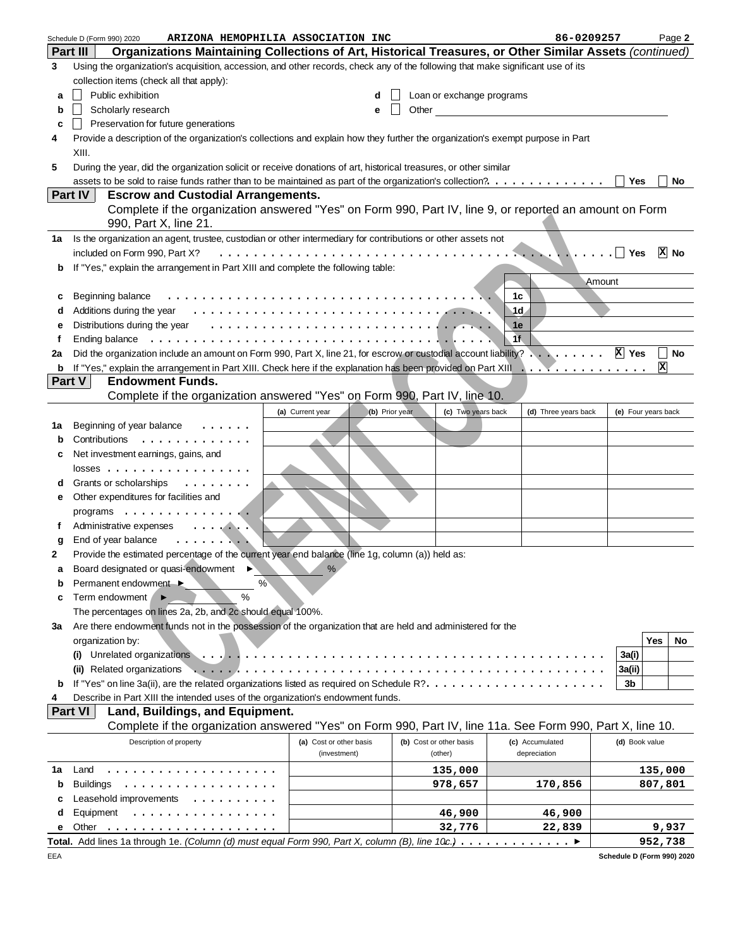|              | ARIZONA HEMOPHILIA ASSOCIATION INC<br>Schedule D (Form 990) 2020                                                                                                                                                               | 86-0209257     | Page 2              |
|--------------|--------------------------------------------------------------------------------------------------------------------------------------------------------------------------------------------------------------------------------|----------------|---------------------|
|              | Organizations Maintaining Collections of Art, Historical Treasures, or Other Similar Assets (continued)<br><b>Part III</b>                                                                                                     |                |                     |
| 3            | Using the organization's acquisition, accession, and other records, check any of the following that make significant use of its                                                                                                |                |                     |
|              | collection items (check all that apply):                                                                                                                                                                                       |                |                     |
| а            | Public exhibition<br>Loan or exchange programs<br>d                                                                                                                                                                            |                |                     |
| b            | Scholarly research<br>Other<br>е                                                                                                                                                                                               |                |                     |
| c            | Preservation for future generations                                                                                                                                                                                            |                |                     |
| 4            | Provide a description of the organization's collections and explain how they further the organization's exempt purpose in Part                                                                                                 |                |                     |
|              | XIII.                                                                                                                                                                                                                          |                |                     |
| 5            | During the year, did the organization solicit or receive donations of art, historical treasures, or other similar                                                                                                              |                |                     |
|              | assets to be sold to raise funds rather than to be maintained as part of the organization's collection?.                                                                                                                       | Yes            | No                  |
|              | Part IV<br><b>Escrow and Custodial Arrangements.</b>                                                                                                                                                                           |                |                     |
|              | Complete if the organization answered "Yes" on Form 990, Part IV, line 9, or reported an amount on Form                                                                                                                        |                |                     |
|              | 990, Part X, line 21.                                                                                                                                                                                                          |                |                     |
| 1а           | Is the organization an agent, trustee, custodian or other intermediary for contributions or other assets not                                                                                                                   |                |                     |
|              | included on Form 990, Part X?<br>$\sim$ . The set of $\sim$                                                                                                                                                                    | Yes            | $ X $ No            |
| b            | If "Yes," explain the arrangement in Part XIII and complete the following table:                                                                                                                                               |                |                     |
|              |                                                                                                                                                                                                                                | Amount         |                     |
|              | Beginning balance<br>1c                                                                                                                                                                                                        |                |                     |
| c            | 1d                                                                                                                                                                                                                             |                |                     |
| d            | Distributions during the year entertainment of the state of the state of the state of the state of the state of the state of the state of the state of the state of the state of the state of the state of the state of the st |                |                     |
| е            | 1e<br>1f                                                                                                                                                                                                                       |                |                     |
| f            | Ending balance                                                                                                                                                                                                                 | X Yes          |                     |
| 2a           | Did the organization include an amount on Form 990, Part X, line 21, for escrow or custodial account liability?                                                                                                                |                | No<br>X             |
| b            | <b>Endowment Funds.</b><br>Part V                                                                                                                                                                                              |                |                     |
|              |                                                                                                                                                                                                                                |                |                     |
|              | Complete if the organization answered "Yes" on Form 990, Part IV, line 10.                                                                                                                                                     |                |                     |
|              | (c) Two years back<br>(a) Current year<br>(b) Prior year<br>(d) Three years back                                                                                                                                               |                | (e) Four years back |
| 1а           | Beginning of year balance                                                                                                                                                                                                      |                |                     |
| b            | Contributions<br>.                                                                                                                                                                                                             |                |                     |
| с            | Net investment earnings, gains, and                                                                                                                                                                                            |                |                     |
|              | $losses$                                                                                                                                                                                                                       |                |                     |
| d            | Grants or scholarships<br>$\sim$                                                                                                                                                                                               |                |                     |
| е            | Other expenditures for facilities and                                                                                                                                                                                          |                |                     |
|              | programs                                                                                                                                                                                                                       |                |                     |
| f            | Administrative expenses<br>. <b>. .</b>                                                                                                                                                                                        |                |                     |
| g            | End of year balance<br>. <b>.</b>                                                                                                                                                                                              |                |                     |
| $\mathbf{2}$ | Provide the estimated percentage of the current year end balance (line 1g, column (a)) held as:                                                                                                                                |                |                     |
|              | Board designated or quasi-endowment ▶<br>$\%$                                                                                                                                                                                  |                |                     |
|              | %<br>Permanent endowment ▶                                                                                                                                                                                                     |                |                     |
| с            | $\frac{0}{0}$<br>Term endowment                                                                                                                                                                                                |                |                     |
|              | The percentages on lines 2a, 2b, and 2c should equal 100%.                                                                                                                                                                     |                |                     |
| За           | Are there endowment funds not in the possession of the organization that are held and administered for the                                                                                                                     |                |                     |
|              | organization by:                                                                                                                                                                                                               |                | Yes<br>No           |
|              | Unrelated organizations<br>(i)                                                                                                                                                                                                 | 3a(i)          |                     |
|              | (ii) Related organizations                                                                                                                                                                                                     | 3a(ii)         |                     |
| b            |                                                                                                                                                                                                                                | 3b             |                     |
| 4            | Describe in Part XIII the intended uses of the organization's endowment funds.                                                                                                                                                 |                |                     |
|              | <b>Part VI</b><br>Land, Buildings, and Equipment.                                                                                                                                                                              |                |                     |
|              | Complete if the organization answered "Yes" on Form 990, Part IV, line 11a. See Form 990, Part X, line 10.                                                                                                                     |                |                     |
|              | Description of property<br>(a) Cost or other basis<br>(b) Cost or other basis<br>(c) Accumulated                                                                                                                               | (d) Book value |                     |
|              | depreciation<br>(investment)<br>(other)                                                                                                                                                                                        |                |                     |
| 1a           | Land<br>135,000<br>.                                                                                                                                                                                                           |                | 135,000             |
| b            | <b>Buildings</b><br>978,657<br>170,856<br>.                                                                                                                                                                                    |                | 807,801             |
| с            | Leasehold improvements<br>$\cdots$                                                                                                                                                                                             |                |                     |
| d            | Equipment<br>46,900<br>46,900<br>.                                                                                                                                                                                             |                |                     |
| е            | 32,776<br>Other<br>22,839                                                                                                                                                                                                      |                | 9,937               |
|              | Total. Add lines 1a through 1e. (Column (d) must equal Form 990, Part X, column (B), line 10c.) ▶                                                                                                                              |                | 952,738             |

**Schedule D (Form 990) 2020**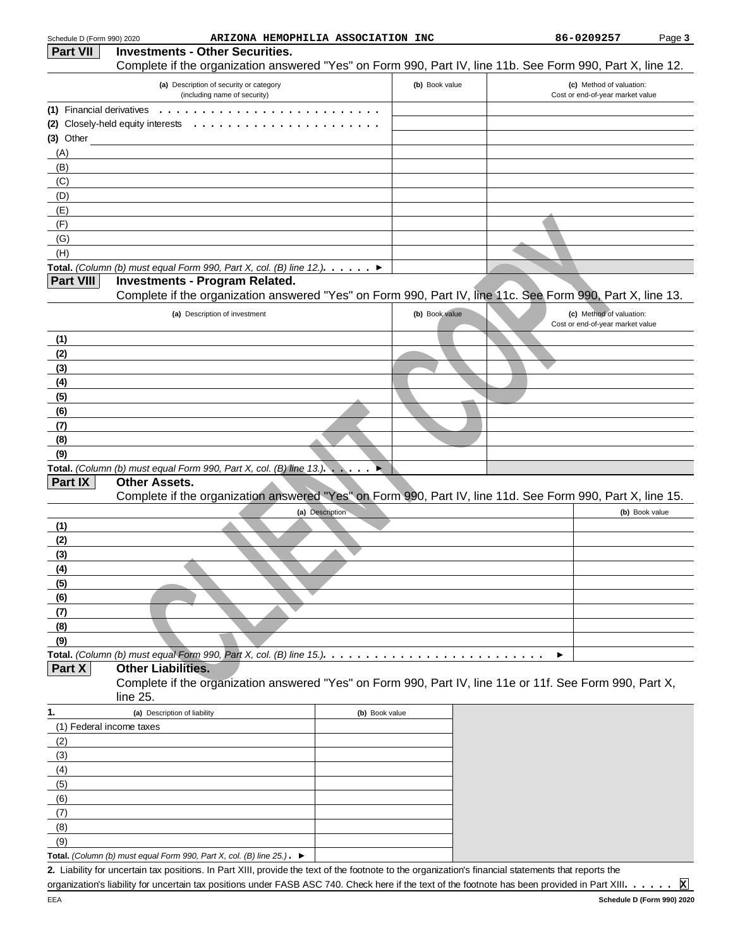| Schedule D (Form 990) 2020 | ARIZONA HEMOPHILIA ASSOCIATION INC                                                                                                                   |                 |                | 86-0209257                                                   | Page 3         |
|----------------------------|------------------------------------------------------------------------------------------------------------------------------------------------------|-----------------|----------------|--------------------------------------------------------------|----------------|
| <b>Part VII</b>            | <b>Investments - Other Securities.</b>                                                                                                               |                 |                |                                                              |                |
|                            | Complete if the organization answered "Yes" on Form 990, Part IV, line 11b. See Form 990, Part X, line 12.                                           |                 |                |                                                              |                |
|                            | (a) Description of security or category<br>(including name of security)                                                                              |                 | (b) Book value | (c) Method of valuation:<br>Cost or end-of-year market value |                |
|                            | (1) Financial derivatives $\dots \dots \dots \dots \dots \dots \dots$                                                                                |                 |                |                                                              |                |
|                            | (2) Closely-held equity interests<br>.                                                                                                               |                 |                |                                                              |                |
| $(3)$ Other                |                                                                                                                                                      |                 |                |                                                              |                |
| (A)                        |                                                                                                                                                      |                 |                |                                                              |                |
| (B)                        |                                                                                                                                                      |                 |                |                                                              |                |
| (C)                        |                                                                                                                                                      |                 |                |                                                              |                |
| (D)                        |                                                                                                                                                      |                 |                |                                                              |                |
| (E)                        |                                                                                                                                                      |                 |                |                                                              |                |
| (F)                        |                                                                                                                                                      |                 |                |                                                              |                |
| (G)                        |                                                                                                                                                      |                 |                |                                                              |                |
| (H)                        |                                                                                                                                                      |                 |                |                                                              |                |
|                            | Total. (Column (b) must equal Form 990, Part X, col. (B) line 12.). $\blacktriangleright$                                                            |                 |                |                                                              |                |
| <b>Part VIII</b>           | <b>Investments - Program Related.</b>                                                                                                                |                 |                |                                                              |                |
|                            | Complete if the organization answered "Yes" on Form 990, Part IV, line 11c. See Form 990, Part X, line 13.                                           |                 |                |                                                              |                |
|                            | (a) Description of investment                                                                                                                        |                 | (b) Book value | (c) Method of valuation:<br>Cost or end-of-year market value |                |
| (1)                        |                                                                                                                                                      |                 |                |                                                              |                |
| (2)                        |                                                                                                                                                      |                 |                |                                                              |                |
| (3)                        |                                                                                                                                                      |                 |                |                                                              |                |
| (4)                        |                                                                                                                                                      |                 |                |                                                              |                |
| (5)                        |                                                                                                                                                      |                 |                |                                                              |                |
| (6)                        |                                                                                                                                                      |                 |                |                                                              |                |
| (7)                        |                                                                                                                                                      |                 |                |                                                              |                |
| (8)                        |                                                                                                                                                      |                 |                |                                                              |                |
| (9)                        |                                                                                                                                                      |                 |                |                                                              |                |
|                            | Total. (Column (b) must equal Form 990, Part X, col. (B) line $13.$ ).                                                                               |                 |                |                                                              |                |
| Part IX                    | <b>Other Assets.</b>                                                                                                                                 |                 |                |                                                              |                |
|                            | Complete if the organization answered "Yes" on Form 990, Part IV, line 11d. See Form 990, Part X, line 15.                                           |                 |                |                                                              |                |
|                            |                                                                                                                                                      | (a) Description |                |                                                              | (b) Book value |
| (1)                        |                                                                                                                                                      |                 |                |                                                              |                |
| (2)                        |                                                                                                                                                      |                 |                |                                                              |                |
| (3)                        |                                                                                                                                                      |                 |                |                                                              |                |
| (4)                        |                                                                                                                                                      |                 |                |                                                              |                |
| (5)                        |                                                                                                                                                      |                 |                |                                                              |                |
| (6)                        |                                                                                                                                                      |                 |                |                                                              |                |
| (7)                        |                                                                                                                                                      |                 |                |                                                              |                |
| (8)                        |                                                                                                                                                      |                 |                |                                                              |                |
| (9)                        |                                                                                                                                                      |                 |                |                                                              |                |
|                            | Total. (Column (b) must equal Form 990, Part X, col. (B) line 15.). $\ldots \ldots \ldots \ldots \ldots \ldots \ldots$                               |                 |                |                                                              |                |
| Part X                     | <b>Other Liabilities.</b>                                                                                                                            |                 |                |                                                              |                |
|                            | Complete if the organization answered "Yes" on Form 990, Part IV, line 11e or 11f. See Form 990, Part X,<br>line 25.                                 |                 |                |                                                              |                |
| 1.                         | (a) Description of liability                                                                                                                         | (b) Book value  |                |                                                              |                |
| (1) Federal income taxes   |                                                                                                                                                      |                 |                |                                                              |                |
| (2)                        |                                                                                                                                                      |                 |                |                                                              |                |
| (3)                        |                                                                                                                                                      |                 |                |                                                              |                |
| (4)                        |                                                                                                                                                      |                 |                |                                                              |                |
| (5)                        |                                                                                                                                                      |                 |                |                                                              |                |
| (6)                        |                                                                                                                                                      |                 |                |                                                              |                |
| (7)                        |                                                                                                                                                      |                 |                |                                                              |                |
| (8)                        |                                                                                                                                                      |                 |                |                                                              |                |
| (9)                        |                                                                                                                                                      |                 |                |                                                              |                |
|                            | Total. (Column (b) must equal Form 990, Part X, col. (B) line $25$ .). $\blacktriangleright$                                                         |                 |                |                                                              |                |
|                            | 2. Liability for uncertain tax positions. In Part XIII, provide the text of the footnote to the organization's financial statements that reports the |                 |                |                                                              |                |

organization's liability for uncertain tax positions under FASB ASC 740. Check here if the text of the footnote has been provided in Part XIII ...... **X**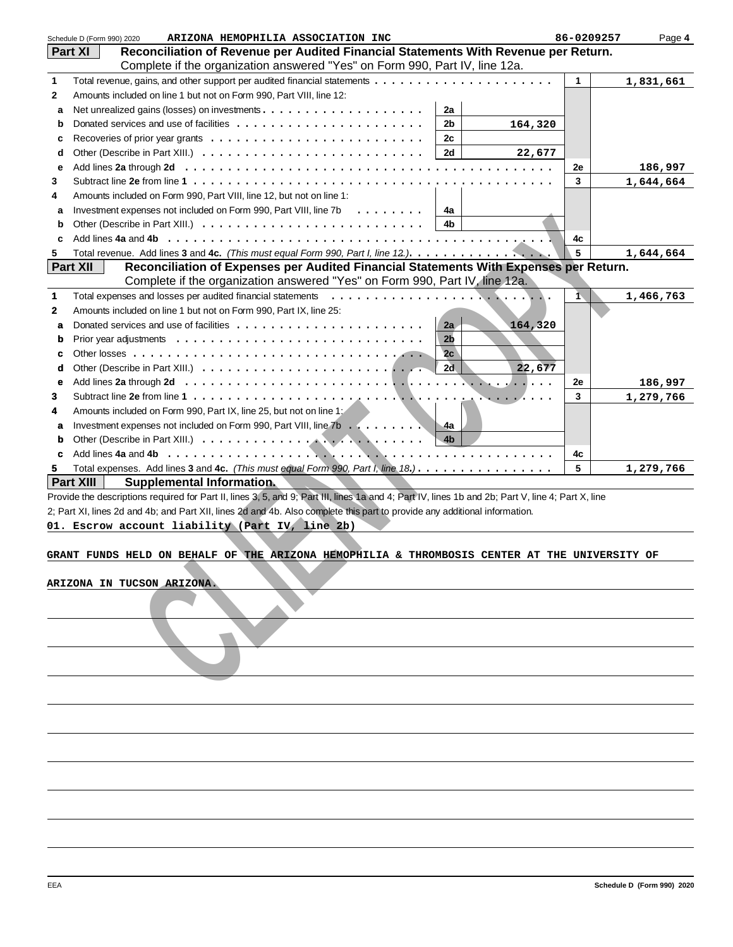|              | Schedule D (Form 990) 2020<br>ARIZONA HEMOPHILIA ASSOCIATION INC                                                                                   | 86-0209257 | Page 4    |
|--------------|----------------------------------------------------------------------------------------------------------------------------------------------------|------------|-----------|
|              | Reconciliation of Revenue per Audited Financial Statements With Revenue per Return.<br><b>Part XI</b>                                              |            |           |
|              | Complete if the organization answered "Yes" on Form 990, Part IV, line 12a.                                                                        |            |           |
| 1            |                                                                                                                                                    | 1          | 1,831,661 |
| 2            | Amounts included on line 1 but not on Form 990, Part VIII, line 12:                                                                                |            |           |
| a            | 2a                                                                                                                                                 |            |           |
| b            | 2b<br>164,320                                                                                                                                      |            |           |
| c            | 2c                                                                                                                                                 |            |           |
|              | 2d                                                                                                                                                 |            |           |
| d            | 22,677                                                                                                                                             |            |           |
| е            |                                                                                                                                                    | 2e         | 186,997   |
| 3            |                                                                                                                                                    | 3          | 1,644,664 |
| 4            | Amounts included on Form 990, Part VIII, line 12, but not on line 1:                                                                               |            |           |
| a            | Investment expenses not included on Form 990, Part VIII, line 7b<br>.<br>4a                                                                        |            |           |
| b            | 4 <sub>b</sub>                                                                                                                                     |            |           |
| c            | Add lines 4a and 4b                                                                                                                                | 4c         |           |
| 5            |                                                                                                                                                    | 5          | 1,644,664 |
|              | <b>Part XII</b><br>Reconciliation of Expenses per Audited Financial Statements With Expenses per Return.                                           |            |           |
|              | Complete if the organization answered "Yes" on Form 990, Part IV, line 12a.                                                                        |            |           |
| 1            | Total expenses and losses per audited financial statements                                                                                         | $\bar{1}$  | 1,466,763 |
| $\mathbf{2}$ | Amounts included on line 1 but not on Form 990, Part IX, line 25:                                                                                  |            |           |
| a            | 2a<br>164,320                                                                                                                                      |            |           |
|              | 2 <sub>b</sub>                                                                                                                                     |            |           |
| b            |                                                                                                                                                    |            |           |
| c            | 2c                                                                                                                                                 |            |           |
| d            | 2d<br>22,677                                                                                                                                       |            |           |
| e            | .                                                                                                                                                  | 2e         | 186,997   |
| 3            | . <i>.</i>                                                                                                                                         | 3          | 1,279,766 |
| 4            | Amounts included on Form 990, Part IX, line 25, but not on line 1:                                                                                 |            |           |
| a            | Investment expenses not included on Form 990, Part VIII, line 7b<br>-4a                                                                            |            |           |
| b            | 4 <sub>b</sub>                                                                                                                                     |            |           |
| c            |                                                                                                                                                    | 4c         |           |
| 5            | Total expenses. Add lines 3 and 4c. (This must equal Form 990, Part I, line 18.).                                                                  | 5          | 1,279,766 |
|              | <b>Part XIII</b><br><b>Supplemental Information.</b>                                                                                               |            |           |
|              | Provide the descriptions required for Part II, lines 3, 5, and 9; Part III, lines 1a and 4; Part IV, lines 1b and 2b; Part V, line 4; Part X, line |            |           |
|              | 2; Part XI, lines 2d and 4b; and Part XII, lines 2d and 4b. Also complete this part to provide any additional information.                         |            |           |
|              |                                                                                                                                                    |            |           |
|              | 01. Escrow account liability (Part IV, line 2b)                                                                                                    |            |           |
|              |                                                                                                                                                    |            |           |
|              | GRANT FUNDS HELD ON BEHALF OF THE ARIZONA HEMOPHILIA & THROMBOSIS CENTER AT THE UNIVERSITY OF                                                      |            |           |
|              |                                                                                                                                                    |            |           |
|              | <b>ARIZONA IN TUCSON ARIZONA.</b>                                                                                                                  |            |           |
|              |                                                                                                                                                    |            |           |
|              |                                                                                                                                                    |            |           |
|              |                                                                                                                                                    |            |           |
|              |                                                                                                                                                    |            |           |
|              |                                                                                                                                                    |            |           |
|              |                                                                                                                                                    |            |           |
|              |                                                                                                                                                    |            |           |
|              |                                                                                                                                                    |            |           |
|              |                                                                                                                                                    |            |           |
|              |                                                                                                                                                    |            |           |
|              |                                                                                                                                                    |            |           |
|              |                                                                                                                                                    |            |           |
|              |                                                                                                                                                    |            |           |
|              |                                                                                                                                                    |            |           |

## **GRANT FUNDS HELD ON BEHALF OF THE ARIZONA HEMOPHILIA & THROMBOSIS CENTER AT THE UNIVERSITY OF**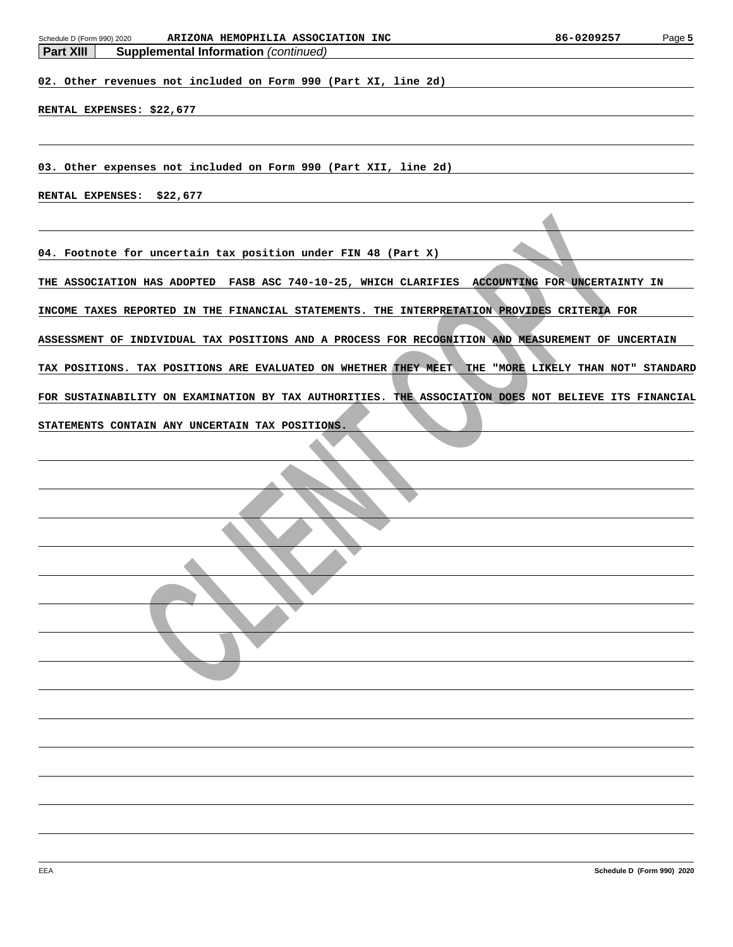| ARIZONA HEMOPHILIA ASSOCIATION INC<br>Schedule D (Form 990) 2020<br><b>Part XIII</b><br><b>Supplemental Information (continued)</b> | 86-0209257 | Page 5 |
|-------------------------------------------------------------------------------------------------------------------------------------|------------|--------|
|                                                                                                                                     |            |        |
| 02. Other revenues not included on Form 990 (Part XI, line 2d)                                                                      |            |        |
|                                                                                                                                     |            |        |
| RENTAL EXPENSES: \$22,677                                                                                                           |            |        |
|                                                                                                                                     |            |        |
|                                                                                                                                     |            |        |
| 03. Other expenses not included on Form 990 (Part XII, line 2d)                                                                     |            |        |
| RENTAL EXPENSES: \$22,677                                                                                                           |            |        |
|                                                                                                                                     |            |        |
|                                                                                                                                     |            |        |
| 04. Footnote for uncertain tax position under FIN 48 (Part X)                                                                       |            |        |
| THE ASSOCIATION HAS ADOPTED FASB ASC 740-10-25, WHICH CLARIFIES ACCOUNTING FOR UNCERTAINTY IN                                       |            |        |
|                                                                                                                                     |            |        |
| INCOME TAXES REPORTED IN THE FINANCIAL STATEMENTS. THE INTERPRETATION PROVIDES CRITERIA FOR                                         |            |        |
| ASSESSMENT OF INDIVIDUAL TAX POSITIONS AND A PROCESS FOR RECOGNITION AND MEASUREMENT OF UNCERTAIN                                   |            |        |
|                                                                                                                                     |            |        |
| TAX POSITIONS. TAX POSITIONS ARE EVALUATED ON WHETHER THEY MEET THE "MORE LIKELY THAN NOT" STANDARD                                 |            |        |
| FOR SUSTAINABILITY ON EXAMINATION BY TAX AUTHORITIES. THE ASSOCIATION DOES NOT BELIEVE ITS FINANCIAL                                |            |        |
|                                                                                                                                     |            |        |
| STATEMENTS CONTAIN ANY UNCERTAIN TAX POSITIONS.                                                                                     |            |        |
|                                                                                                                                     |            |        |
|                                                                                                                                     |            |        |
|                                                                                                                                     |            |        |
|                                                                                                                                     |            |        |
|                                                                                                                                     |            |        |
|                                                                                                                                     |            |        |
|                                                                                                                                     |            |        |
|                                                                                                                                     |            |        |
|                                                                                                                                     |            |        |
|                                                                                                                                     |            |        |
|                                                                                                                                     |            |        |
|                                                                                                                                     |            |        |
|                                                                                                                                     |            |        |
|                                                                                                                                     |            |        |
|                                                                                                                                     |            |        |
|                                                                                                                                     |            |        |
|                                                                                                                                     |            |        |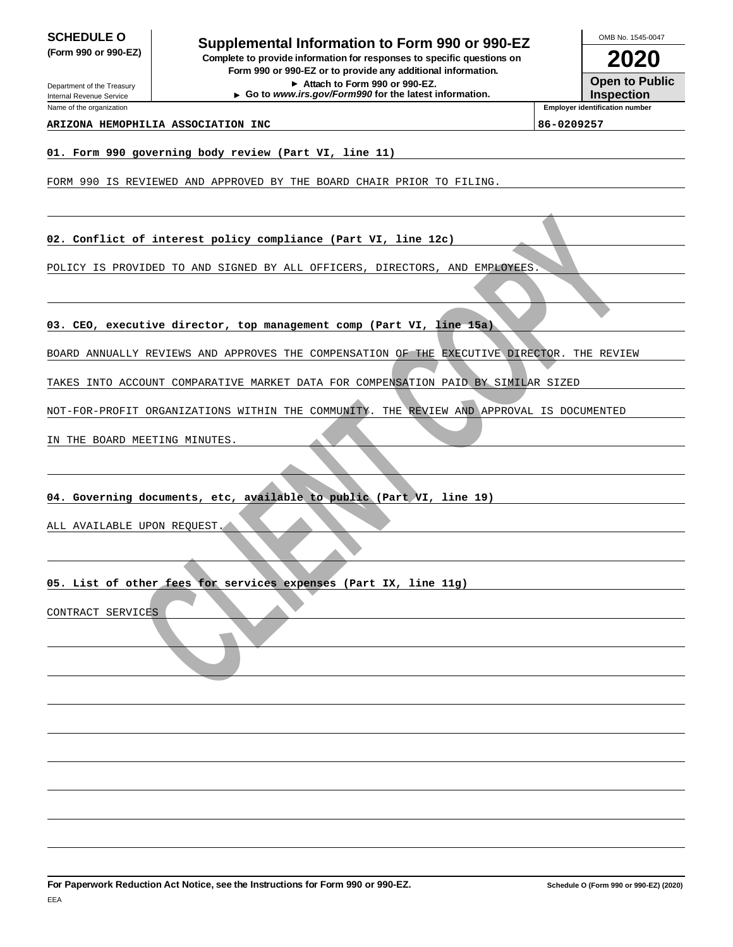Department of the Treasury

**SCHEDULE O**<br> **Supplemental Information to Form 990 or 990-EZ**<br> **Supplemental Information to Form 990 or 990-EZ (Form 990 or 990-EZ) Complete to provide information for responses to specific questions on Form 990 or 990-EZ or to provide any additional information.**

**Attach to Form 990 or 990-EZ. Go to www.irs.gov/Form990 for the latest information.** **2020**

OMB No. 1545-0047

**Open to Public Inspection**

Internal Revenue Service Name of the organization

### **ARIZONA HEMOPHILIA ASSOCIATION INC 86-0209257**

**Employer identification number**

### **01. Form 990 governing body review (Part VI, line 11)**

FORM 990 IS REVIEWED AND APPROVED BY THE BOARD CHAIR PRIOR TO FILING.

**02. Conflict of interest policy compliance (Part VI, line 12c)**

POLICY IS PROVIDED TO AND SIGNED BY ALL OFFICERS, DIRECTORS, AND EMPLOYEES.

### **03. CEO, executive director, top management comp (Part VI, line 15a)**

CONTRED TO AND SIGNED AY ALL OFFICES, DEROTORS, AND EMPERIES.<br>
NOVIDED TO AND SIGNED AY ALL OFFICES, DEROTORS, AND EMPERIES.<br>
IN SEVIEW SIGNED AND ADDROVES THE CONDENSATION OF THE REVIEW DISTRIBUTION CONTRIBUTION CONTRIGEN BOARD ANNUALLY REVIEWS AND APPROVES THE COMPENSATION OF THE EXECUTIVE DIRECTOR. THE REVIEW

TAKES INTO ACCOUNT COMPARATIVE MARKET DATA FOR COMPENSATION PAID BY SIMILAR SIZED

NOT-FOR-PROFIT ORGANIZATIONS WITHIN THE COMMUNITY. THE REVIEW AND APPROVAL IS DOCUMENTED

IN THE BOARD MEETING MINUTES.

### **04. Governing documents, etc, available to public (Part VI, line 19)**

ALL AVAILABLE UPON REQUEST.

### **05. List of other fees for services expenses (Part IX, line 11g)**

CONTRACT SERVICES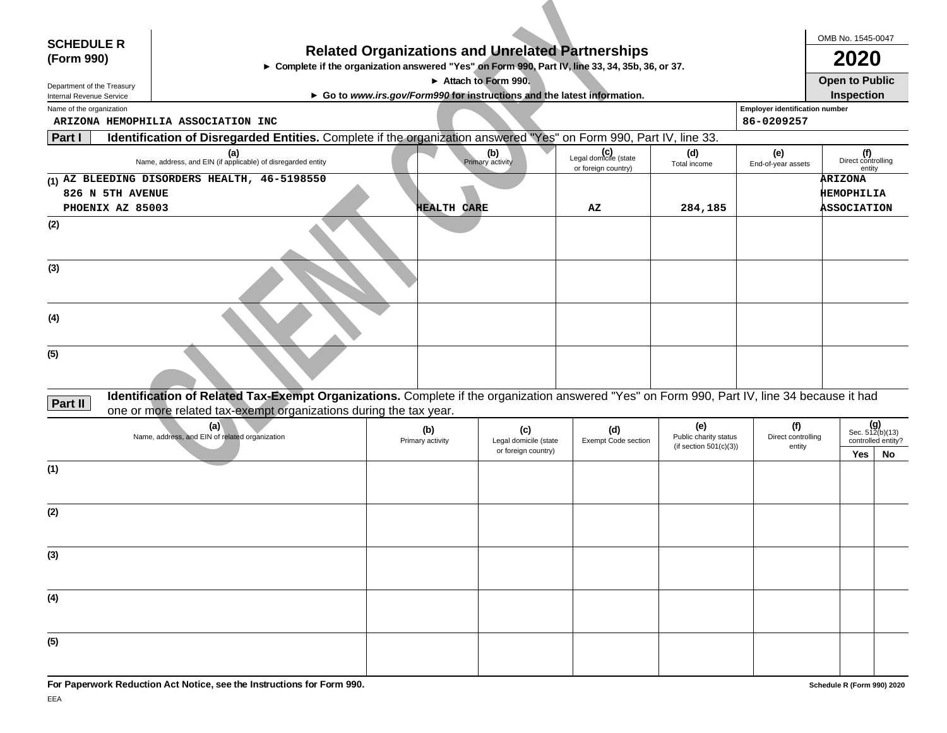| <b>SCHEDULE R</b>                                    |                                                                                                                                                                                                                   |                    |                                              |                                                                        |                                                    |                                       | OMB No. 1545-0047                          |                    |
|------------------------------------------------------|-------------------------------------------------------------------------------------------------------------------------------------------------------------------------------------------------------------------|--------------------|----------------------------------------------|------------------------------------------------------------------------|----------------------------------------------------|---------------------------------------|--------------------------------------------|--------------------|
| (Form 990)                                           |                                                                                                                                                                                                                   |                    |                                              | <b>Related Organizations and Unrelated Partnerships</b>                |                                                    |                                       | 2020                                       |                    |
|                                                      | ► Complete if the organization answered "Yes" on Form 990, Part IV, line 33, 34, 35b, 36, or 37.                                                                                                                  |                    |                                              |                                                                        |                                                    |                                       |                                            |                    |
| Department of the Treasury                           |                                                                                                                                                                                                                   |                    | $\triangleright$ Attach to Form 990.         |                                                                        |                                                    |                                       | <b>Open to Public</b><br><b>Inspection</b> |                    |
| Internal Revenue Service<br>Name of the organization |                                                                                                                                                                                                                   |                    |                                              | Go to www.irs.gov/Form990 for instructions and the latest information. |                                                    | <b>Employer identification number</b> |                                            |                    |
|                                                      | ARIZONA HEMOPHILIA ASSOCIATION INC                                                                                                                                                                                |                    |                                              |                                                                        |                                                    | 86-0209257                            |                                            |                    |
| Part I                                               | Identification of Disregarded Entities. Complete if the organization answered "Yes" on Form 990, Part IV, line 33.                                                                                                |                    |                                              |                                                                        |                                                    |                                       |                                            |                    |
|                                                      | (a)<br>Name, address, and EIN (if applicable) of disregarded entity                                                                                                                                               |                    | (b)<br>Primary activity                      | Legal domicile (state<br>or foreign country)                           | (d)<br>Total income                                | (e)<br>End-of-year assets             | (f)<br>Direct controlling<br>entity        |                    |
|                                                      | (1) AZ BLEEDING DISORDERS HEALTH, 46-5198550                                                                                                                                                                      |                    |                                              |                                                                        |                                                    |                                       | ARIZONA                                    |                    |
| 826 N 5TH AVENUE                                     |                                                                                                                                                                                                                   |                    |                                              |                                                                        |                                                    |                                       | <b>HEMOPHILIA</b>                          |                    |
| PHOENIX AZ 85003                                     |                                                                                                                                                                                                                   | <b>HEALTH CARE</b> |                                              | AZ                                                                     | 284,185                                            |                                       | ASSOCIATION                                |                    |
| (2)                                                  |                                                                                                                                                                                                                   |                    |                                              |                                                                        |                                                    |                                       |                                            |                    |
|                                                      |                                                                                                                                                                                                                   |                    |                                              |                                                                        |                                                    |                                       |                                            |                    |
| (3)                                                  |                                                                                                                                                                                                                   |                    |                                              |                                                                        |                                                    |                                       |                                            |                    |
|                                                      |                                                                                                                                                                                                                   |                    |                                              |                                                                        |                                                    |                                       |                                            |                    |
|                                                      |                                                                                                                                                                                                                   |                    |                                              |                                                                        |                                                    |                                       |                                            |                    |
| (4)                                                  |                                                                                                                                                                                                                   |                    |                                              |                                                                        |                                                    |                                       |                                            |                    |
| (5)                                                  |                                                                                                                                                                                                                   |                    |                                              |                                                                        |                                                    |                                       |                                            |                    |
|                                                      |                                                                                                                                                                                                                   |                    |                                              |                                                                        |                                                    |                                       |                                            |                    |
| Part II                                              | Identification of Related Tax-Exempt Organizations. Complete if the organization answered "Yes" on Form 990, Part IV, line 34 because it had<br>one or more related tax-exempt organizations during the tax year. |                    |                                              |                                                                        |                                                    |                                       |                                            |                    |
|                                                      | (a)                                                                                                                                                                                                               | (b)                | (c)                                          | (d)                                                                    | (e)                                                | (f)                                   |                                            | Sec. 512(b)(13)    |
|                                                      | Name, address, and EIN of related organization                                                                                                                                                                    | Primary activity   | Legal domicile (state<br>or foreign country) | Exempt Code section                                                    | Public charity status<br>(if section $501(c)(3)$ ) | Direct controlling<br>entity          |                                            | controlled entity? |
| (1)                                                  |                                                                                                                                                                                                                   |                    |                                              |                                                                        |                                                    |                                       | Yes                                        | No                 |
|                                                      |                                                                                                                                                                                                                   |                    |                                              |                                                                        |                                                    |                                       |                                            |                    |
|                                                      |                                                                                                                                                                                                                   |                    |                                              |                                                                        |                                                    |                                       |                                            |                    |
| (2)                                                  |                                                                                                                                                                                                                   |                    |                                              |                                                                        |                                                    |                                       |                                            |                    |
|                                                      |                                                                                                                                                                                                                   |                    |                                              |                                                                        |                                                    |                                       |                                            |                    |
| (3)                                                  |                                                                                                                                                                                                                   |                    |                                              |                                                                        |                                                    |                                       |                                            |                    |
|                                                      |                                                                                                                                                                                                                   |                    |                                              |                                                                        |                                                    |                                       |                                            |                    |
|                                                      |                                                                                                                                                                                                                   |                    |                                              |                                                                        |                                                    |                                       |                                            |                    |
| (4)                                                  |                                                                                                                                                                                                                   |                    |                                              |                                                                        |                                                    |                                       |                                            |                    |
|                                                      |                                                                                                                                                                                                                   |                    |                                              |                                                                        |                                                    |                                       |                                            |                    |
|                                                      |                                                                                                                                                                                                                   |                    |                                              |                                                                        |                                                    |                                       |                                            |                    |
| (5)                                                  |                                                                                                                                                                                                                   |                    |                                              |                                                                        |                                                    |                                       |                                            |                    |
|                                                      |                                                                                                                                                                                                                   |                    |                                              |                                                                        |                                                    |                                       |                                            |                    |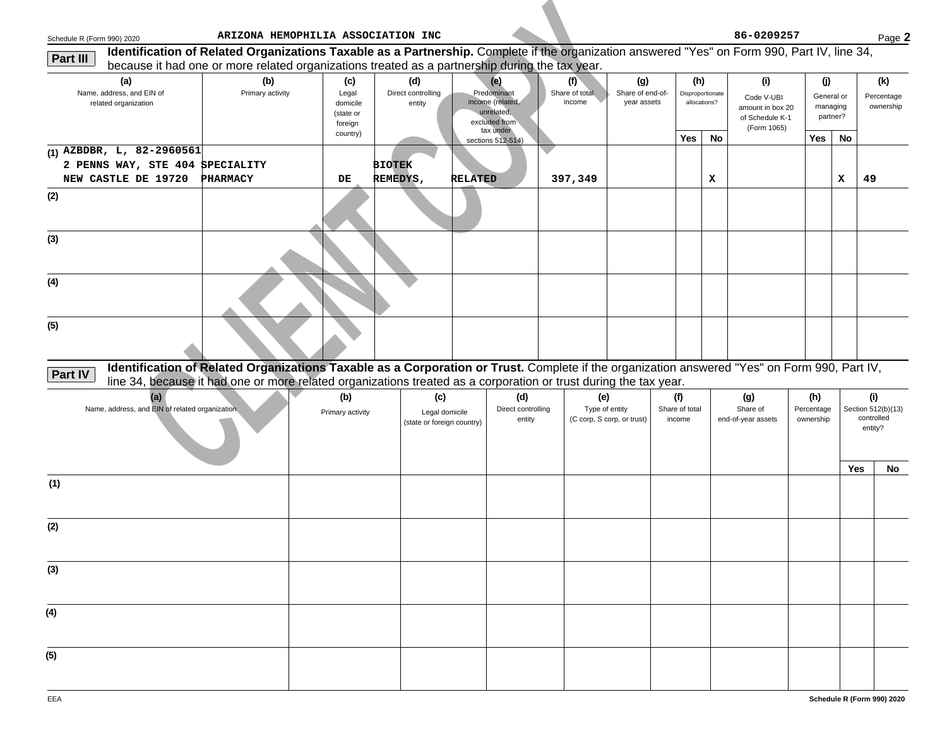| Schedule R (Form 990) 2020 |                                                                                                                                              |                         | ARIZONA HEMOPHILIA ASSOCIATION INC               |                                                     |                                                                       |                                     |                                                     |                                        |                                 |                                  | 86-0209257                                               |                                |                                    | Page 2                                             |
|----------------------------|----------------------------------------------------------------------------------------------------------------------------------------------|-------------------------|--------------------------------------------------|-----------------------------------------------------|-----------------------------------------------------------------------|-------------------------------------|-----------------------------------------------------|----------------------------------------|---------------------------------|----------------------------------|----------------------------------------------------------|--------------------------------|------------------------------------|----------------------------------------------------|
| Part III                   | Identification of Related Organizations Taxable as a Partnership. Complete if the organization answered "Yes" on Form 990, Part IV, line 34, |                         |                                                  |                                                     |                                                                       |                                     |                                                     |                                        |                                 |                                  |                                                          |                                |                                    |                                                    |
|                            | because it had one or more related organizations treated as a partnership during the tax year.                                               |                         |                                                  |                                                     |                                                                       |                                     |                                                     |                                        |                                 |                                  |                                                          |                                |                                    |                                                    |
|                            | (a)<br>Name, address, and EIN of<br>related organization                                                                                     | (b)<br>Primary activity | (c)<br>Legal<br>domicile<br>(state or<br>foreign | (d)<br>Direct controlling<br>entity                 | (e)<br>Predominant<br>income (related,<br>unrelated,<br>excluded from |                                     | (f)<br>Share of total<br>income                     | (g)<br>Share of end-of-<br>year assets | (h)                             | Disproportionate<br>allocations? | (i)<br>Code V-UBI<br>amount in box 20<br>of Schedule K-1 | (j)                            | General or<br>managing<br>partner? | (k)<br>Percentage<br>ownership                     |
|                            |                                                                                                                                              |                         | country)                                         |                                                     | tax under<br>sections 512-514)                                        |                                     |                                                     |                                        | Yes                             | No                               | (Form 1065)                                              | Yes                            | No                                 |                                                    |
|                            | (1) AZBDBR, L, 82-2960561<br>2 PENNS WAY, STE 404 SPECIALITY<br>NEW CASTLE DE 19720 PHARMACY                                                 |                         | DE,                                              | <b>BIOTEK</b><br>REMEDYS,                           | <b>RELATED</b>                                                        |                                     | 397,349                                             |                                        |                                 | x                                |                                                          |                                | x                                  | 49                                                 |
| (2)                        |                                                                                                                                              |                         |                                                  |                                                     |                                                                       |                                     |                                                     |                                        |                                 |                                  |                                                          |                                |                                    |                                                    |
| (3)                        |                                                                                                                                              |                         |                                                  |                                                     |                                                                       |                                     |                                                     |                                        |                                 |                                  |                                                          |                                |                                    |                                                    |
| (4)                        |                                                                                                                                              |                         |                                                  |                                                     |                                                                       |                                     |                                                     |                                        |                                 |                                  |                                                          |                                |                                    |                                                    |
| (5)                        |                                                                                                                                              |                         |                                                  |                                                     |                                                                       |                                     |                                                     |                                        |                                 |                                  |                                                          |                                |                                    |                                                    |
| <b>Part IV</b>             | Identification of Related Organizations Taxable as a Corporation or Trust. Complete if the organization answered "Yes" on Form 990, Part IV, |                         |                                                  |                                                     |                                                                       |                                     |                                                     |                                        |                                 |                                  |                                                          |                                |                                    |                                                    |
|                            | line 34, because it had one or more related organizations treated as a corporation or trust during the tax year.                             |                         |                                                  |                                                     |                                                                       |                                     |                                                     |                                        |                                 |                                  |                                                          |                                |                                    |                                                    |
|                            | (a)<br>Name, address, and EIN of related organization                                                                                        |                         | (b)<br>Primary activity                          | (c)<br>Legal domicile<br>(state or foreign country) |                                                                       | (d)<br>Direct controlling<br>entity | (e)<br>Type of entity<br>(C corp, S corp, or trust) |                                        | (f)<br>Share of total<br>income |                                  | (g)<br>Share of<br>end-of-year assets                    | (h)<br>Percentage<br>ownership | Yes                                | (i)<br>Section 512(b)(13)<br>controlled<br>entity? |
| (1)                        |                                                                                                                                              |                         |                                                  |                                                     |                                                                       |                                     |                                                     |                                        |                                 |                                  |                                                          |                                |                                    | No                                                 |
|                            |                                                                                                                                              |                         |                                                  |                                                     |                                                                       |                                     |                                                     |                                        |                                 |                                  |                                                          |                                |                                    |                                                    |
| (2)                        |                                                                                                                                              |                         |                                                  |                                                     |                                                                       |                                     |                                                     |                                        |                                 |                                  |                                                          |                                |                                    |                                                    |
| (3)                        |                                                                                                                                              |                         |                                                  |                                                     |                                                                       |                                     |                                                     |                                        |                                 |                                  |                                                          |                                |                                    |                                                    |
| (4)                        |                                                                                                                                              |                         |                                                  |                                                     |                                                                       |                                     |                                                     |                                        |                                 |                                  |                                                          |                                |                                    |                                                    |
| (5)                        |                                                                                                                                              |                         |                                                  |                                                     |                                                                       |                                     |                                                     |                                        |                                 |                                  |                                                          |                                |                                    |                                                    |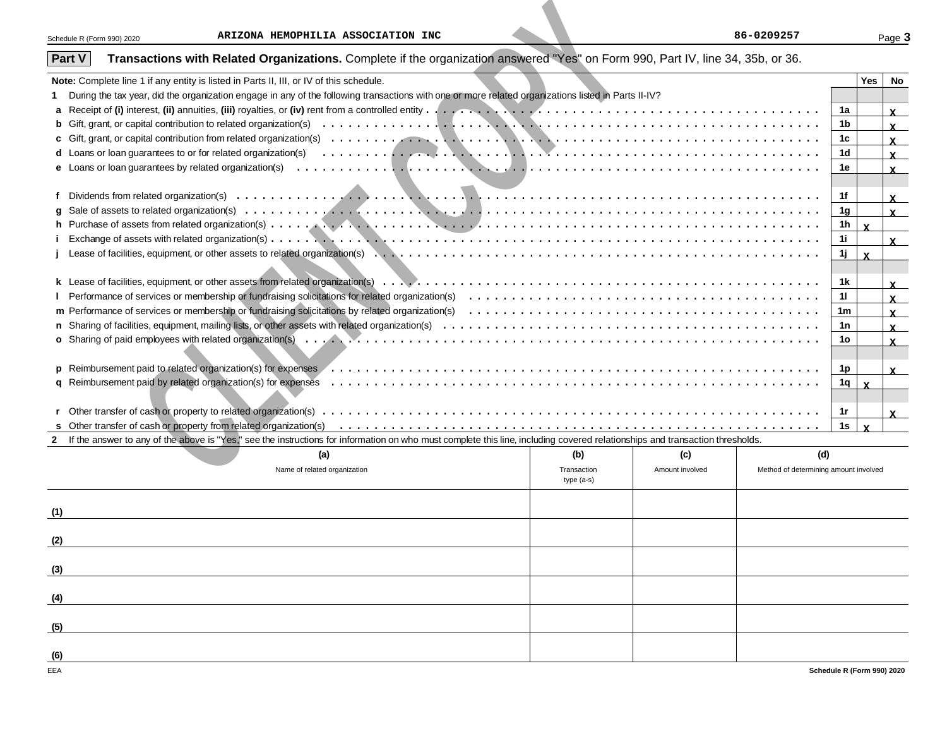| Schedule R (Form 990) 2020 | ARIZONA HEMOPHILIA ASSOCIATION INC                                                                                                                                                                                                                                                                  |                            |                 | 86-0209257                            |     |              | Page:        |
|----------------------------|-----------------------------------------------------------------------------------------------------------------------------------------------------------------------------------------------------------------------------------------------------------------------------------------------------|----------------------------|-----------------|---------------------------------------|-----|--------------|--------------|
| <b>Part V</b>              | Transactions with Related Organizations. Complete if the organization answered "Yes" on Form 990, Part IV, line 34, 35b, or 36.                                                                                                                                                                     |                            |                 |                                       |     |              |              |
|                            | Note: Complete line 1 if any entity is listed in Parts II, III, or IV of this schedule.                                                                                                                                                                                                             |                            |                 |                                       |     | <b>Yes</b>   | <b>No</b>    |
|                            | During the tax year, did the organization engage in any of the following transactions with one or more related organizations listed in Parts II-IV?                                                                                                                                                 |                            |                 |                                       |     |              |              |
|                            |                                                                                                                                                                                                                                                                                                     |                            |                 |                                       | 1a  |              | $\mathbf{x}$ |
|                            |                                                                                                                                                                                                                                                                                                     |                            |                 |                                       | 1b  |              | $\mathbf{x}$ |
|                            |                                                                                                                                                                                                                                                                                                     |                            |                 |                                       | 1c  |              | $\mathbf{x}$ |
|                            | <b>d</b> Loans or loan guarantees to or for related organization(s)                                                                                                                                                                                                                                 |                            |                 |                                       | 1d  |              | $\mathbf{x}$ |
|                            |                                                                                                                                                                                                                                                                                                     |                            |                 |                                       | 1e  |              | $\mathbf{x}$ |
|                            |                                                                                                                                                                                                                                                                                                     |                            |                 |                                       |     |              |              |
|                            |                                                                                                                                                                                                                                                                                                     |                            |                 |                                       | 1f  |              | $\mathbf{x}$ |
|                            |                                                                                                                                                                                                                                                                                                     |                            |                 |                                       | 1g  |              | $\mathbf{x}$ |
|                            |                                                                                                                                                                                                                                                                                                     |                            |                 |                                       | 1h  | $\mathbf{x}$ |              |
|                            | $i$ Exchange of assets with related organization(s) $\ldots$ , $\ldots$ , $\ldots$ , $\ldots$ , $\ldots$ , $\ldots$ , $\ldots$ , $\ldots$ , $\ldots$ , $\ldots$ , $\ldots$ , $\ldots$ , $\ldots$ , $\ldots$ , $\ldots$ , $\ldots$ , $\ldots$ , $\ldots$ , $\ldots$ , $\ldots$ , $\ldots$ , $\ldots$ |                            |                 |                                       | 1i. |              | $\mathbf{x}$ |
|                            |                                                                                                                                                                                                                                                                                                     |                            |                 |                                       | 1j. | $\mathbf{x}$ |              |
|                            |                                                                                                                                                                                                                                                                                                     |                            |                 |                                       |     |              |              |
|                            |                                                                                                                                                                                                                                                                                                     |                            |                 |                                       | 1k  |              | $\mathbf{x}$ |
|                            |                                                                                                                                                                                                                                                                                                     |                            |                 |                                       | 11  |              | $\mathbf{x}$ |
|                            |                                                                                                                                                                                                                                                                                                     |                            |                 |                                       | 1m  |              | $\mathbf{x}$ |
|                            |                                                                                                                                                                                                                                                                                                     |                            |                 |                                       | 1n  |              | $\mathbf{x}$ |
|                            |                                                                                                                                                                                                                                                                                                     |                            |                 |                                       | 1o  |              | $\mathbf{x}$ |
|                            |                                                                                                                                                                                                                                                                                                     |                            |                 |                                       |     |              |              |
|                            | Reimbursement paid to related organization(s) for expenses (excession content of excession content of expenses                                                                                                                                                                                      |                            |                 |                                       | 1p  |              |              |
|                            |                                                                                                                                                                                                                                                                                                     |                            |                 |                                       | 1q  | $\mathbf{x}$ | $\mathbf{x}$ |
|                            |                                                                                                                                                                                                                                                                                                     |                            |                 |                                       |     |              |              |
|                            |                                                                                                                                                                                                                                                                                                     |                            |                 |                                       | 1r  |              |              |
|                            |                                                                                                                                                                                                                                                                                                     |                            |                 |                                       | 1s  | $\mathbf{x}$ | $\mathbf{x}$ |
|                            | 2 If the answer to any of the above is "Yes," see the instructions for information on who must complete this line, including covered relationships and transaction thresholds.                                                                                                                      |                            |                 |                                       |     |              |              |
|                            | (a)                                                                                                                                                                                                                                                                                                 | (b)                        | (c)             | (d)                                   |     |              |              |
|                            | Name of related organization                                                                                                                                                                                                                                                                        | Transaction<br>$type(a-s)$ | Amount involved | Method of determining amount involved |     |              |              |
|                            |                                                                                                                                                                                                                                                                                                     |                            |                 |                                       |     |              |              |
|                            |                                                                                                                                                                                                                                                                                                     |                            |                 |                                       |     |              |              |
| (1)                        |                                                                                                                                                                                                                                                                                                     |                            |                 |                                       |     |              |              |
|                            |                                                                                                                                                                                                                                                                                                     |                            |                 |                                       |     |              |              |
| (2)                        |                                                                                                                                                                                                                                                                                                     |                            |                 |                                       |     |              |              |
|                            |                                                                                                                                                                                                                                                                                                     |                            |                 |                                       |     |              |              |

| (a)                          | (b)                       | (c)             | (d)                                   |
|------------------------------|---------------------------|-----------------|---------------------------------------|
| Name of related organization | Transaction<br>type (a-s) | Amount involved | Method of determining amount involved |
| (1)                          |                           |                 |                                       |
| (2)                          |                           |                 |                                       |
| (3)                          |                           |                 |                                       |
| (4)                          |                           |                 |                                       |
| (5)                          |                           |                 |                                       |
| (6)                          |                           |                 |                                       |
| EEA                          |                           |                 | Schedule R (Form 990) 2020            |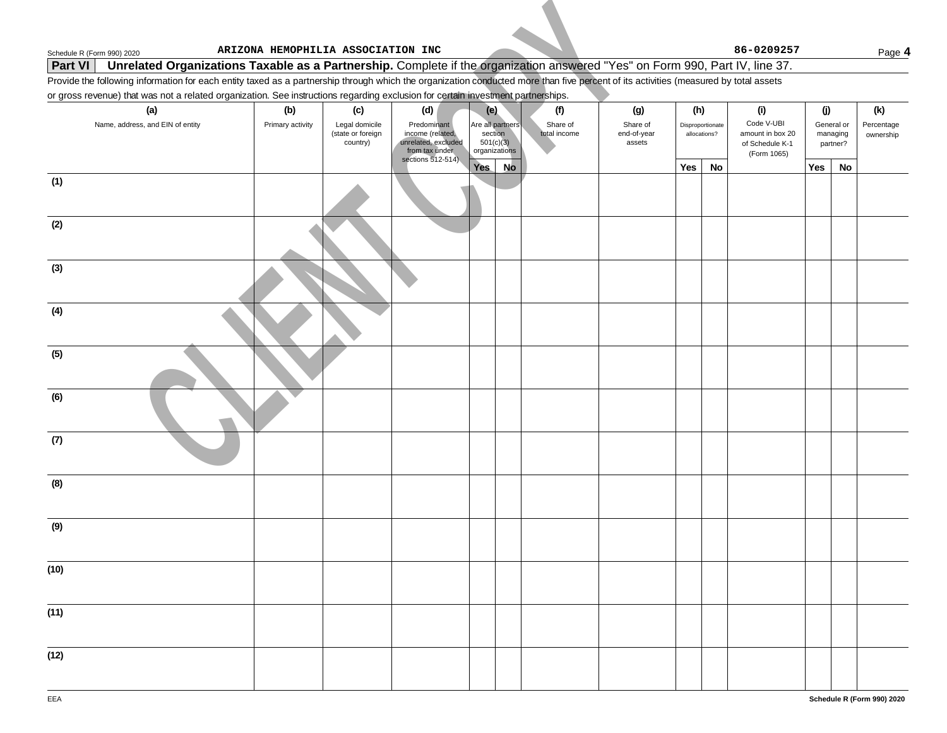### **Part VI** Unrelated Organizations Taxable as a Partnership. Complete if the organization answered "Yes" on Form 990, Part IV, line 37.

### or gross revenue) that was not a related organization. See instructions regarding exclusion for certain investment partnerships.

| Schedule R (Form 990) 2020                                                                                                                                                           | ARIZONA HEMOPHILIA ASSOCIATION INC                                  |                                                                          |                                                           |                          |                                   |                                  |    | 86-0209257                                                       |     |                                    | Page 4                  |
|--------------------------------------------------------------------------------------------------------------------------------------------------------------------------------------|---------------------------------------------------------------------|--------------------------------------------------------------------------|-----------------------------------------------------------|--------------------------|-----------------------------------|----------------------------------|----|------------------------------------------------------------------|-----|------------------------------------|-------------------------|
| Unrelated Organizations Taxable as a Partnership. Complete if the organization answered "Yes" on Form 990, Part IV, line 37.<br><b>Part VI</b>                                       |                                                                     |                                                                          |                                                           |                          |                                   |                                  |    |                                                                  |     |                                    |                         |
| Provide the following information for each entity taxed as a partnership through which the organization conducted more than five percent of its activities (measured by total assets |                                                                     |                                                                          |                                                           |                          |                                   |                                  |    |                                                                  |     |                                    |                         |
| or gross revenue) that was not a related organization. See instructions regarding exclusion for certain investment partnerships.                                                     |                                                                     |                                                                          |                                                           |                          |                                   |                                  |    |                                                                  |     |                                    |                         |
| (a)                                                                                                                                                                                  | (b)<br>(c)                                                          | (d)                                                                      | (e)                                                       | (f)                      | (g)                               | (h)                              |    | (i)                                                              | (j) |                                    | (k)                     |
| Name, address, and EIN of entity                                                                                                                                                     | Legal domicile<br>Primary activity<br>(state or foreign<br>country) | Predominant<br>income (related,<br>unrelated, excluded<br>from tax under | Are all partners<br>section<br>501(c)(3)<br>organizations | Share of<br>total income | Share of<br>end-of-year<br>assets | Disproportionate<br>allocations? |    | Code V-UBI<br>amount in box 20<br>of Schedule K-1<br>(Form 1065) |     | General or<br>managing<br>partner? | Percentage<br>ownership |
|                                                                                                                                                                                      |                                                                     | sections 512-514)                                                        | Yes<br><b>No</b>                                          |                          |                                   | Yes                              | No |                                                                  | Yes | <b>No</b>                          |                         |
| (1)                                                                                                                                                                                  |                                                                     |                                                                          |                                                           |                          |                                   |                                  |    |                                                                  |     |                                    |                         |
| (2)                                                                                                                                                                                  |                                                                     |                                                                          |                                                           |                          |                                   |                                  |    |                                                                  |     |                                    |                         |
| (3)                                                                                                                                                                                  |                                                                     |                                                                          |                                                           |                          |                                   |                                  |    |                                                                  |     |                                    |                         |
| (4)                                                                                                                                                                                  |                                                                     |                                                                          |                                                           |                          |                                   |                                  |    |                                                                  |     |                                    |                         |
| (5)                                                                                                                                                                                  |                                                                     |                                                                          |                                                           |                          |                                   |                                  |    |                                                                  |     |                                    |                         |
| (6)                                                                                                                                                                                  |                                                                     |                                                                          |                                                           |                          |                                   |                                  |    |                                                                  |     |                                    |                         |
| (7)                                                                                                                                                                                  |                                                                     |                                                                          |                                                           |                          |                                   |                                  |    |                                                                  |     |                                    |                         |
| (8)                                                                                                                                                                                  |                                                                     |                                                                          |                                                           |                          |                                   |                                  |    |                                                                  |     |                                    |                         |
| (9)                                                                                                                                                                                  |                                                                     |                                                                          |                                                           |                          |                                   |                                  |    |                                                                  |     |                                    |                         |
| (10)                                                                                                                                                                                 |                                                                     |                                                                          |                                                           |                          |                                   |                                  |    |                                                                  |     |                                    |                         |
| (11)                                                                                                                                                                                 |                                                                     |                                                                          |                                                           |                          |                                   |                                  |    |                                                                  |     |                                    |                         |
| (12)                                                                                                                                                                                 |                                                                     |                                                                          |                                                           |                          |                                   |                                  |    |                                                                  |     |                                    |                         |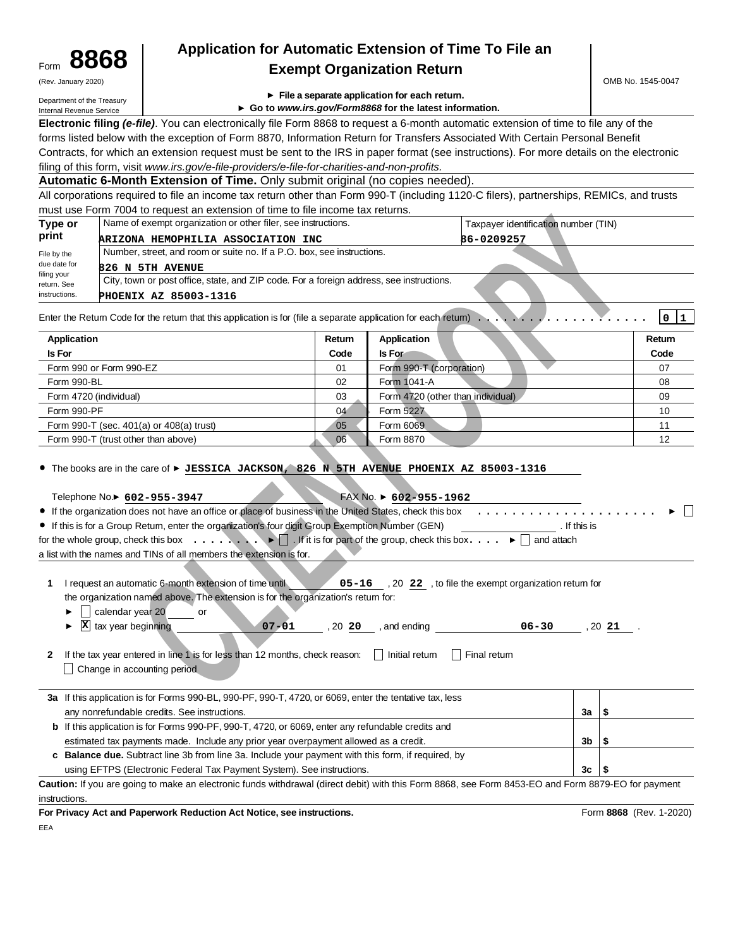| Form | 8868                |  |
|------|---------------------|--|
|      | (Rev. January 2020) |  |

## **8868 Application for Automatic Extension of Time To File an Exempt Organization Return**

Department of the Treasury Internal Revenue Service

- **File a separate application for each return.**
- **Go to www.irs.gov/Form8868 for the latest information.**

**Electronic filing (e-file)**. You can electronically file Form 8868 to request a 6-month automatic extension of time to file any of the forms listed below with the exception of Form 8870, Information Return for Transfers Associated With Certain Personal Benefit Contracts, for which an extension request must be sent to the IRS in paper format (see instructions). For more details on the electronic filing of this form, visit www.irs.gov/e-file-providers/e-file-for-charities-and-non-profits.

**Automatic 6-Month Extension of Time.** Only submit original (no copies needed).

All corporations required to file an income tax return other than Form 990-T (including 1120-C filers), partnerships, REMICs, and trusts must use Form 7004 to request an extension of time to file income tax returns.

| Type or                    | Name of exempt organization or other filer, see instructions.                            | Taxpayer identification number (TIN) |
|----------------------------|------------------------------------------------------------------------------------------|--------------------------------------|
| print                      | ARIZONA HEMOPHILIA ASSOCIATION INC                                                       | 86-0209257                           |
| File by the                | Number, street, and room or suite no. If a P.O. box, see instructions.                   |                                      |
| due date for               | 826 N 5TH AVENUE                                                                         |                                      |
| filing your<br>return. See | City, town or post office, state, and ZIP code. For a foreign address, see instructions. |                                      |
| instructions.              | PHOENIX AZ 85003-1316                                                                    |                                      |

| Application                              | Return | Application                       | Return |
|------------------------------------------|--------|-----------------------------------|--------|
| <b>Is For</b>                            | Code   | Is For                            | Code   |
| Form 990 or Form 990-EZ                  | 01     | Form 990-T (corporation)          | 07     |
| Form 990-BL                              | 02     | Form 1041-A                       | 08     |
| Form 4720 (individual)                   | 03     | Form 4720 (other than individual) | 09     |
| Form 990-PF                              | 04     | Form 5227                         | 10     |
| Form 990-T (sec. 401(a) or 408(a) trust) | 05     | Form 6069                         |        |
| Form 990-T (trust other than above)      | 06     | Form 8870                         | 12     |

| $m$ as $m$ and $m$ are $m$ is the property of $m$ and $m$ and $m$ are $m$ and $m$ and $m$ and $m$                                                                                                                                                                                                                                                                                                                                                                                                                                                                                                                                                                                     |                                                                                                                                                                                      |                                       |                                                                                                                                                    |              |                         |
|---------------------------------------------------------------------------------------------------------------------------------------------------------------------------------------------------------------------------------------------------------------------------------------------------------------------------------------------------------------------------------------------------------------------------------------------------------------------------------------------------------------------------------------------------------------------------------------------------------------------------------------------------------------------------------------|--------------------------------------------------------------------------------------------------------------------------------------------------------------------------------------|---------------------------------------|----------------------------------------------------------------------------------------------------------------------------------------------------|--------------|-------------------------|
| Type or                                                                                                                                                                                                                                                                                                                                                                                                                                                                                                                                                                                                                                                                               | Name of exempt organization or other filer, see instructions.                                                                                                                        |                                       | Taxpayer identification number (TIN)                                                                                                               |              |                         |
| print                                                                                                                                                                                                                                                                                                                                                                                                                                                                                                                                                                                                                                                                                 | ARIZONA HEMOPHILIA ASSOCIATION INC                                                                                                                                                   |                                       | 86-0209257                                                                                                                                         |              |                         |
| File by the                                                                                                                                                                                                                                                                                                                                                                                                                                                                                                                                                                                                                                                                           | Number, street, and room or suite no. If a P.O. box, see instructions.                                                                                                               |                                       |                                                                                                                                                    |              |                         |
| due date for<br><b>826 N 5TH AVENUE</b>                                                                                                                                                                                                                                                                                                                                                                                                                                                                                                                                                                                                                                               |                                                                                                                                                                                      |                                       |                                                                                                                                                    |              |                         |
| filing your<br>return. See                                                                                                                                                                                                                                                                                                                                                                                                                                                                                                                                                                                                                                                            | City, town or post office, state, and ZIP code. For a foreign address, see instructions.                                                                                             |                                       |                                                                                                                                                    |              |                         |
| instructions.<br><b>PHOENIX AZ 85003-1316</b>                                                                                                                                                                                                                                                                                                                                                                                                                                                                                                                                                                                                                                         |                                                                                                                                                                                      |                                       |                                                                                                                                                    |              |                         |
| Enter the Retum Code for the retum that this application is for (file a separate application for each retum) $\ldots$                                                                                                                                                                                                                                                                                                                                                                                                                                                                                                                                                                 |                                                                                                                                                                                      |                                       |                                                                                                                                                    |              | 0 1                     |
| <b>Application</b>                                                                                                                                                                                                                                                                                                                                                                                                                                                                                                                                                                                                                                                                    | Return                                                                                                                                                                               | <b>Application</b>                    |                                                                                                                                                    |              | Return                  |
| Is For                                                                                                                                                                                                                                                                                                                                                                                                                                                                                                                                                                                                                                                                                | Code                                                                                                                                                                                 | Is For                                |                                                                                                                                                    |              | Code                    |
| Form 990 or Form 990-EZ                                                                                                                                                                                                                                                                                                                                                                                                                                                                                                                                                                                                                                                               | 01                                                                                                                                                                                   | Form 990-T (corporation)              |                                                                                                                                                    |              | 07                      |
| Form 990-BL                                                                                                                                                                                                                                                                                                                                                                                                                                                                                                                                                                                                                                                                           | 02                                                                                                                                                                                   | Form 1041-A                           |                                                                                                                                                    |              | 08                      |
| Form 4720 (individual)                                                                                                                                                                                                                                                                                                                                                                                                                                                                                                                                                                                                                                                                | 03                                                                                                                                                                                   | Form 4720 (other than individual)     |                                                                                                                                                    |              | 09                      |
| Form 990-PF                                                                                                                                                                                                                                                                                                                                                                                                                                                                                                                                                                                                                                                                           | 04                                                                                                                                                                                   | Form 5227                             |                                                                                                                                                    |              | 10                      |
| Form 990-T (sec. 401(a) or 408(a) trust)                                                                                                                                                                                                                                                                                                                                                                                                                                                                                                                                                                                                                                              | 05                                                                                                                                                                                   | Form 6069                             |                                                                                                                                                    |              | 11                      |
| Form 990-T (trust other than above)                                                                                                                                                                                                                                                                                                                                                                                                                                                                                                                                                                                                                                                   | 06                                                                                                                                                                                   | Form 8870                             |                                                                                                                                                    |              | 12                      |
| Telephone No.▶ 602-955-3947<br>• If the organization does not have an office or place of business in the United States, check this box<br>• If this is for a Group Retum, enter the organization's four digit Group Exemption Number (GEN)<br>for the whole group, check this box $\ldots$ , $\cdot \cdot$ $\Box$ If it is for part of the group, check this box $\ldots$ $\blacktriangleright$ $\Box$ and attach<br>a list with the names and TINs of all members the extension is for.<br>I request an automatic 6-month extension of time until<br>1<br>$\triangleright$ $\bigcup$ calendar year 20 or<br>$\mathbf{\Sigma}$ tax year beginning<br>2<br>Change in accounting period | the organization named above. The extension is for the organization's retum for:<br>If the tax year entered in line 1 is for less than 12 months, check reason: $\Box$ Initial retum | FAX No. $\triangleright$ 602-955-1962 | $\sim$ 05-16, 20 22, to file the exempt organization return for<br>$07 - 01$ , 20 20 , and ending $06 - 30$ , 20 21 .<br>$\vert \vert$ Final retum | . If this is |                         |
| 3a If this application is for Forms 990-BL, 990-PF, 990-T, 4720, or 6069, enter the tentative tax, less<br>any nonrefundable credits. See instructions.                                                                                                                                                                                                                                                                                                                                                                                                                                                                                                                               |                                                                                                                                                                                      |                                       |                                                                                                                                                    | 3a<br>  \$   |                         |
|                                                                                                                                                                                                                                                                                                                                                                                                                                                                                                                                                                                                                                                                                       | <b>b</b> If this application is for Forms 990-PF, 990-T, 4720, or 6069, enter any refundable credits and                                                                             |                                       |                                                                                                                                                    |              |                         |
|                                                                                                                                                                                                                                                                                                                                                                                                                                                                                                                                                                                                                                                                                       | estimated tax payments made. Include any prior year overpayment allowed as a credit.                                                                                                 |                                       |                                                                                                                                                    | 3b<br>\$     |                         |
|                                                                                                                                                                                                                                                                                                                                                                                                                                                                                                                                                                                                                                                                                       | c Balance due. Subtract line 3b from line 3a. Include your payment with this form, if required, by                                                                                   |                                       |                                                                                                                                                    |              |                         |
|                                                                                                                                                                                                                                                                                                                                                                                                                                                                                                                                                                                                                                                                                       | using EFTPS (Electronic Federal Tax Payment System). See instructions.                                                                                                               |                                       |                                                                                                                                                    | 3c<br>\$     |                         |
| Caution: If you are going to make an electronic funds withdrawal (direct debit) with this Form 8868, see Form 8453-EO and Form 8879-EO for payment                                                                                                                                                                                                                                                                                                                                                                                                                                                                                                                                    |                                                                                                                                                                                      |                                       |                                                                                                                                                    |              |                         |
| instructions.                                                                                                                                                                                                                                                                                                                                                                                                                                                                                                                                                                                                                                                                         |                                                                                                                                                                                      |                                       |                                                                                                                                                    |              |                         |
| For Privacy Act and Paperwork Reduction Act Notice, see instructions.                                                                                                                                                                                                                                                                                                                                                                                                                                                                                                                                                                                                                 |                                                                                                                                                                                      |                                       |                                                                                                                                                    |              | Form 8868 (Rev. 1-2020) |
|                                                                                                                                                                                                                                                                                                                                                                                                                                                                                                                                                                                                                                                                                       |                                                                                                                                                                                      |                                       |                                                                                                                                                    |              |                         |

EEA